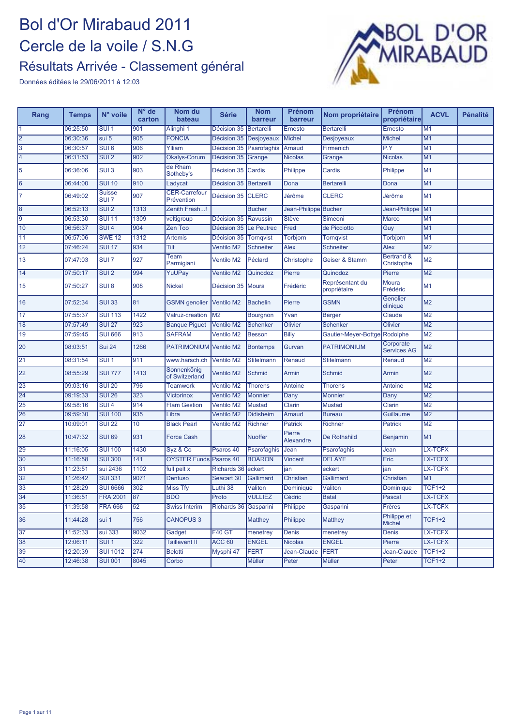

| Rang           | <b>Temps</b> | N° voile                          | N° de<br>carton | Nom du<br>bateau                   | Série              | <b>Nom</b><br>barreur | Prénom<br>barreur          | Nom propriétaire                | Prénom<br>propriétaire          | <b>ACVL</b>              | <b>Pénalité</b> |
|----------------|--------------|-----------------------------------|-----------------|------------------------------------|--------------------|-----------------------|----------------------------|---------------------------------|---------------------------------|--------------------------|-----------------|
|                | 06:25:50     | SUI <sub>1</sub>                  | 901             | Alinghi 1                          | Décision 35        | <b>Bertarelli</b>     | Ernesto                    | <b>Bertarelli</b>               | Ernesto                         | M <sub>1</sub>           |                 |
| $\overline{2}$ | 06:30:36     | sui 5                             | 905             | <b>FONCIA</b>                      | Décision 35        | Desjoyeaux            | <b>Michel</b>              | <b>Desjoyeaux</b>               | <b>Michel</b>                   | M1                       |                 |
| 3              | 06:30:57     | SUI6                              | 906             | Ylliam                             | Décision 35        | Psarofaghis           | Arnaud                     | Firmenich                       | $\overline{P.Y}$                | M <sub>1</sub>           |                 |
| 4              | 06:31:53     | SUI <sub>2</sub>                  | 902             | Okalys-Corum                       | Décision 35        | Grange                | <b>Nicolas</b>             | Grange                          | <b>Nicolas</b>                  | M1                       |                 |
| $\overline{5}$ | 06:36:06     | SUI <sub>3</sub>                  | 903             | de Rham<br>Sotheby's               | Décision 35        | Cardis                | Philippe                   | Cardis                          | Philippe                        | M1                       |                 |
| $\overline{6}$ | 06:44:00     | <b>SUI 10</b>                     | 910             | Ladycat                            | Décision 35        | Bertarelli            | Dona                       | <b>Bertarelli</b>               | Dona                            | M1                       |                 |
| $\overline{7}$ | 06:49:02     | <b>Suisse</b><br>SUI <sub>7</sub> | 907             | <b>CER-Carrefour</b><br>Prévention | Décision 35        | <b>CLERC</b>          | Jérôme                     | <b>CLERC</b>                    | Jérôme                          | M1                       |                 |
| 8              | 06:52:13     | SUI <sub>2</sub>                  | 1313            | Zenith Fresh!                      |                    | <b>Bucher</b>         | Jean-Philippe Bucher       |                                 | Jean-Philippe                   | M <sub>1</sub>           |                 |
| $\overline{9}$ | 06:53:30     | <b>SUI 11</b>                     | 1309            | veltigroup                         | Décision 35        | Ravussin              | <b>Stève</b>               | Simeoni                         | Marco                           | M <sub>1</sub>           |                 |
| 10             | 06:56:37     | SUI <sub>4</sub>                  | 904             | Zen Too                            | Décision 35        | Le Peutrec            | Fred                       | de Picciotto                    | Guy                             | M1                       |                 |
| 11             | 06:57:06     | <b>SWE 12</b>                     | 1312            | <b>Artemis</b>                     | Décision 35        | <b>Tornqvist</b>      | <b>Torbjorn</b>            | Tornqvist                       | <b>Torbjorn</b>                 | M1                       |                 |
| 12             | 07:46:24     | <b>SUI 17</b>                     | 934             | Tilt                               | Ventilo M2         | <b>Schneiter</b>      | Alex                       | <b>Schneiter</b>                | Alex                            | M <sub>2</sub>           |                 |
| 13             | 07:47:03     | SUI <sub>7</sub>                  | 927             | Team<br>Parmigiani                 | Ventilo M2         | Péclard               | Christophe                 | Geiser & Stamm                  | Bertrand &<br>Christophe        | M <sub>2</sub>           |                 |
| 14             | 07:50:17     | SUI <sub>2</sub>                  | 994             | YuUPay                             | <b>Ventilo M2</b>  | Quinodoz              | Pierre                     | Quinodoz                        | Pierre                          | $\overline{\mathsf{M2}}$ |                 |
| 15             | 07:50:27     | SUI <sub>8</sub>                  | 908             | <b>Nickel</b>                      | Décision 35 Moura  |                       | Frédéric                   | Représentant du<br>propriétaire | Moura<br>Frédéric               | M1                       |                 |
| 16             | 07:52:34     | <b>SUI 33</b>                     | 81              | <b>GSMN</b> genolier               | <b>Ventilo M2</b>  | <b>Bachelin</b>       | Pierre                     | <b>GSMN</b>                     | Genolier<br>clinique            | M <sub>2</sub>           |                 |
| 17             | 07:55:37     | <b>SUI 113</b>                    | 1422            | <b>Valruz-creation</b>             | M <sub>2</sub>     | Bourgnon              | Yvan                       | <b>Berger</b>                   | Claude                          | M <sub>2</sub>           |                 |
| 18             | 07:57:49     | <b>SUI 27</b>                     | 923             | <b>Banque Piguet</b>               | <b>Ventilo M2</b>  | Schenker              | <b>Olivier</b>             | <b>Schenker</b>                 | Olivier                         | $\overline{M2}$          |                 |
| 19             | 07:59:45     | <b>SUI 666</b>                    | 913             | <b>SAFRAM</b>                      | <b>Ventilo M2</b>  | <b>Besson</b>         | <b>Billy</b>               | Gautier-Meyer-Bottge Rodolphe   |                                 | M <sub>2</sub>           |                 |
| 20             | 08:03:51     | <b>Sui 24</b>                     | 1266            | <b>PATRIMONIUM</b>                 | Ventilo M2         | <b>Bontemps</b>       | Gurvan                     | <b>PATRIMONIUM</b>              | Corporate<br><b>Services AG</b> | M <sub>2</sub>           |                 |
| 21             | 08:31:54     | SUI <sub>1</sub>                  | 911             | www.harsch.ch                      | <b>Ventilo M2</b>  | <b>Stitelmann</b>     | Renaud                     | <b>Stitelmann</b>               | Renaud                          | M <sub>2</sub>           |                 |
| 22             | 08:55:29     | <b>SUI 777</b>                    | 1413            | Sonnenkönig<br>of Switzerland      | <b>Ventilo M2</b>  | <b>Schmid</b>         | <b>Armin</b>               | <b>Schmid</b>                   | Armin                           | M <sub>2</sub>           |                 |
| 23             | 09:03:16     | <b>SUI 20</b>                     | 796             | <b>Teamwork</b>                    | <b>Ventilo M2</b>  | <b>Thorens</b>        | Antoine                    | <b>Thorens</b>                  | Antoine                         | M <sub>2</sub>           |                 |
| 24             | 09:19:33     | <b>SUI 26</b>                     | 323             | <b>Victorinox</b>                  | <b>Ventilo M2</b>  | <b>Monnier</b>        | Dany                       | <b>Monnier</b>                  | Dany                            | M <sub>2</sub>           |                 |
| 25             | 09:58:16     | SUI <sub>4</sub>                  | 914             | <b>Flam Gestion</b>                | Ventilo M2         | <b>Mustad</b>         | Clarin                     | <b>Mustad</b>                   | Clarin                          | $\overline{M2}$          |                 |
| 26             | 09:59:30     | <b>SUI 100</b>                    | 935             | Libra                              | <b>Ventilo M2</b>  | <b>Didisheim</b>      | Arnaud                     | <b>Bureau</b>                   | Guillaume                       | M <sub>2</sub>           |                 |
| 27             | 10:09:01     | <b>SUI 22</b>                     | 10              | <b>Black Pearl</b>                 | <b>Ventilo M2</b>  | Richner               | <b>Patrick</b>             | <b>Richner</b>                  | <b>Patrick</b>                  | M <sub>2</sub>           |                 |
| 28             | 10:47:32     | <b>SUI 69</b>                     | 931             | <b>Force Cash</b>                  |                    | <b>Nuoffer</b>        | Pierre<br><b>Alexandre</b> | De Rothshild                    | <b>Benjamin</b>                 | M1                       |                 |
| 29             | 11:16:05     | <b>SUI 100</b>                    | 1430            | Syz & Co                           | Psaros 40          | Psarofaghis           | Jean                       | Psarofaghis                     | Jean                            | LX-TCFX                  |                 |
| 30             | 11:16:58     | <b>SUI 300</b>                    | 141             | <b>OYSTER Funds</b>                | Psaros 40          | <b>BOARON</b>         | <b>Vincent</b>             | <b>DELAYE</b>                   | Eric                            | LX-TCFX                  |                 |
| 31             | 11:23:51     | sui 2436                          | 1102            | full pelt x                        | <b>Richards 36</b> | eckert                | jan                        | eckert                          | jan                             | <b>LX-TCFX</b>           |                 |
| 32             | 11:26:42     | <b>SUI 331</b>                    | 9071            | <b>Dentuso</b>                     | Seacart 30         | Gallimard             | Christian                  | Gallimard                       | Christian                       | M1                       |                 |
| 33             | 11:28:29     | <b>SUI 6666</b>                   | 302             | <b>Miss Tfy</b>                    | Luthi 38           | Valiton               | Dominique                  | Valiton                         | Dominique                       | <b>TCF1+2</b>            |                 |
| 34             | 11:36:51     | <b>FRA 2001</b>                   | 87              | <b>BDO</b>                         | Proto              | <b>VULLIEZ</b>        | Cédric                     | <b>Batal</b>                    | Pascal                          | LX-TCFX                  |                 |
| 35             | 11:39:58     | <b>FRA 666</b>                    | 52              | <b>Swiss Interim</b>               | <b>Richards 36</b> | Gasparini             | Philippe                   | Gasparini                       | Frères                          | LX-TCFX                  |                 |
| 36             | 11:44:28     | sui 1                             | 756             | <b>CANOPUS 3</b>                   |                    | <b>Matthey</b>        | Philippe                   | <b>Matthey</b>                  | Philippe et<br><b>Michel</b>    | <b>TCF1+2</b>            |                 |
| 37             | 11:52:33     | <b>sui 333</b>                    | 9032            | Gadget                             | F40 GT             | menetrey              | <b>Denis</b>               | menetrey                        | <b>Denis</b>                    | LX-TCFX                  |                 |
| 38             | 12:06:11     | SUI <sub>1</sub>                  | 322             | <b>Taillevent II</b>               | ACC <sub>60</sub>  | <b>ENGEL</b>          | <b>Nicolas</b>             | <b>ENGEL</b>                    | Pierre                          | LX-TCFX                  |                 |
| 39             | 12:20:39     | <b>SUI 1012</b>                   | 274             | <b>Belotti</b>                     | Mysphi 47          | <b>FERT</b>           | Jean-Claude                | FERT                            | Jean-Claude                     | <b>TCF1+2</b>            |                 |
| 40             | 12:46:38     | <b>SUI 001</b>                    | 8045            | Corbo                              |                    | Müller                | Peter                      | Müller                          | Peter                           | <b>TCF1+2</b>            |                 |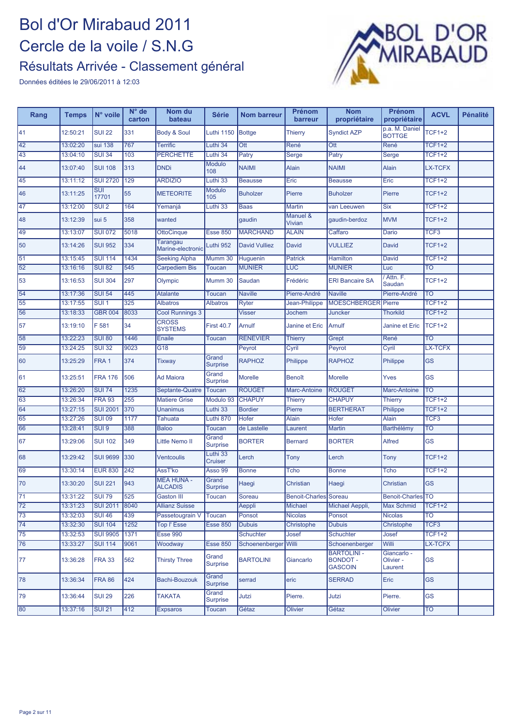

| Rang            | Temps    | N° voile            | N° de<br>carton | Nom du<br>bateau                    | <b>Série</b>             | <b>Nom barreur</b>   | Prénom<br>barreur         | <b>Nom</b><br>propriétaire                              | Prénom<br>propriétaire              | <b>ACVL</b>      | <b>Pénalité</b> |
|-----------------|----------|---------------------|-----------------|-------------------------------------|--------------------------|----------------------|---------------------------|---------------------------------------------------------|-------------------------------------|------------------|-----------------|
| 41              | 12:50:21 | <b>SUI 22</b>       | 331             | Body & Soul                         | Luthi 1150               | <b>Bottge</b>        | <b>Thierry</b>            | <b>Syndict AZP</b>                                      | p.a. M. Daniel<br><b>BOTTGE</b>     | <b>TCF1+2</b>    |                 |
| 42              | 13:02:20 | <b>sui 138</b>      | 767             | <b>Terrific</b>                     | Luthi 34                 | Ott                  | René                      | Ott                                                     | René                                | <b>TCF1+2</b>    |                 |
| 43              | 13:04:10 | <b>SUI 34</b>       | 103             | <b>PERCHETTE</b>                    | Luthi 34                 | Patry                | Serge                     | Patry                                                   | <b>Serge</b>                        | <b>TCF1+2</b>    |                 |
| 44              | 13:07:40 | <b>SUI 108</b>      | 313             | <b>DNDi</b>                         | <b>Modulo</b><br>108     | <b>NAIMI</b>         | <b>Alain</b>              | <b>NAIMI</b>                                            | <b>Alain</b>                        | <b>LX-TCFX</b>   |                 |
| 45              | 13:11:12 | <b>SUI 2720</b>     | 129             | <b>ARDIZIO</b>                      | Luthi 33                 | <b>Beausse</b>       | Eric                      | <b>Beausse</b>                                          | Eric                                | <b>TCF1+2</b>    |                 |
| 46              | 13:11:25 | <b>SUI</b><br>17701 | 55              | <b>METEORITE</b>                    | <b>Modulo</b><br>105     | <b>Buholzer</b>      | Pierre                    | <b>Buholzer</b>                                         | Pierre                              | <b>TCF1+2</b>    |                 |
| 47              | 13:12:00 | SUI <sub>2</sub>    | 164             | Yemanjá                             | Luthi 33                 | <b>Baas</b>          | <b>Martin</b>             | van Leeuwen                                             | <b>Six</b>                          | <b>TCF1+2</b>    |                 |
| 48              | 13:12:39 | sui 5               | 358             | wanted                              |                          | gaudin               | Manuel &<br><b>Vivian</b> | gaudin-berdoz                                           | <b>MVM</b>                          | <b>TCF1+2</b>    |                 |
| 49              | 13:13:07 | <b>SUI 072</b>      | 5018            | <b>OttoCinque</b>                   | <b>Esse 850</b>          | <b>MARCHAND</b>      | <b>ALAIN</b>              | Caffaro                                                 | Dario                               | TCF3             |                 |
| 50              | 13:14:26 | <b>SUI 952</b>      | 334             | Tarangau<br>Marine-electronic       | Luthi 952                | <b>David Vulliez</b> | David                     | <b>VULLIEZ</b>                                          | <b>David</b>                        | <b>TCF1+2</b>    |                 |
| 51              | 13:15:45 | <b>SUI 114</b>      | 1434            | <b>Seeking Alpha</b>                | Mumm 30                  | Huguenin             | Patrick                   | Hamilton                                                | David                               | <b>TCF1+2</b>    |                 |
| 52              | 13:16:16 | <b>SUI 82</b>       | 545             | <b>Carpediem Bis</b>                | Toucan                   | <b>MUNIER</b>        | LUC                       | <b>MUNIER</b>                                           | Luc                                 | TO               |                 |
| 53              | 13:16:53 | <b>SUI 304</b>      | 297             | Olympic                             | Mumm 30                  | Saudan               | Frédéric                  | <b>ERI Bancaire SA</b>                                  | Attn. F.<br>Saudan                  | <b>TCF1+2</b>    |                 |
| 54              | 13:17:36 | <b>SUI 54</b>       | 445             | <b>Atalante</b>                     | Toucan                   | <b>Naville</b>       | Pierre-André              | <b>Naville</b>                                          | Pierre-André                        | TO               |                 |
| 55              | 13:17:55 | $SUI$ 1             | 325             | <b>Albatros</b>                     | <b>Albatros</b>          | <b>Ryter</b>         | Jean-Philippe             | <b>MOESCHBERGER</b>                                     | Pierre                              | <b>TCF1+2</b>    |                 |
| 56              | 13:18:33 | <b>GBR 004</b>      | 8033            | <b>Cool Runnings 3</b>              |                          | Visser               | Jochem                    | Juncker                                                 | <b>Thorkild</b>                     | <b>TCF1+2</b>    |                 |
| 57              | 13:19:10 | F 581               | 34              | <b>CROSS</b><br><b>SYSTEMS</b>      | <b>First 40.7</b>        | Arnulf               | Janine et Eric            | Arnulf                                                  | Janine et Eric                      | <b>TCF1+2</b>    |                 |
| 58              | 13:22:23 | <b>SUI 80</b>       | 1446            | Enaile                              | <b>Toucan</b>            | <b>RENEVIER</b>      | <b>Thierry</b>            | Grept                                                   | René                                | <b>TO</b>        |                 |
| 59              | 13:24:25 | <b>SUI 32</b>       | 9023            | G18                                 |                          | Peyrot               | Cyril                     | Peyrot                                                  | Cyril                               | <b>LX-TCFX</b>   |                 |
| 60              | 13:25:29 | FRA <sub>1</sub>    | 374             | Tixway                              | Grand<br><b>Surprise</b> | <b>RAPHOZ</b>        | Philippe                  | <b>RAPHOZ</b>                                           | Philippe                            | <b>GS</b>        |                 |
| 61              | 13:25:51 | <b>FRA 176</b>      | 506             | <b>Ad Maiora</b>                    | Grand<br><b>Surprise</b> | <b>Morelle</b>       | <b>Benoît</b>             | <b>Morelle</b>                                          | Yves                                | <b>GS</b>        |                 |
| 62              | 13:26:20 | <b>SUI 74</b>       | 1235            | Septante-Quatre                     | Toucan                   | <b>ROUGET</b>        | Marc-Antoine              | <b>ROUGET</b>                                           | Marc-Antoine                        | $\overline{TO}$  |                 |
| 63              | 13:26:34 | <b>FRA 93</b>       | 255             | <b>Matiere Grise</b>                | Modulo 93                | <b>CHAPUY</b>        | <b>Thierry</b>            | <b>CHAPUY</b>                                           | Thierry                             | $TCF1+2$         |                 |
| 64              | 13:27:15 | <b>SUI 2001</b>     | 370             | <b>Unanimus</b>                     | Luthi 33                 | <b>Bordier</b>       | Pierre                    | <b>BERTHERAT</b>                                        | Philippe                            | <b>TCF1+2</b>    |                 |
| 65              | 13:27:26 | <b>SUI 09</b>       | 1177            | <b>Tahuata</b>                      | Luthi 870                | Hofer                | <b>Alain</b>              | Hofer                                                   | Alain                               | TCF3             |                 |
| 66              | 13:28:41 | SUI <sub>9</sub>    | 388             | <b>Baloo</b>                        | Toucan                   | de Lastelle          | Laurent                   | <b>Martin</b>                                           | Barthélémy                          | TO               |                 |
| 67              | 13:29:06 | <b>SUI 102</b>      | 349             | <b>Little Nemo II</b>               | Grand<br><b>Surprise</b> | <b>BORTER</b>        | <b>Bernard</b>            | <b>BORTER</b>                                           | <b>Alfred</b>                       | <b>GS</b>        |                 |
| 68              | 13:29:42 | <b>SUI 9699</b>     | 330             | <b>Ventcoulis</b>                   | Luthi 33<br>Cruiser      | Lerch                | Tony                      | Lerch                                                   | Tony                                | <b>TCF1+2</b>    |                 |
| 69              | 13:30:14 | <b>EUR 830</b>      | 242             | AssT'ko                             | Asso 99                  | <b>Bonne</b>         | Tcho                      | <b>Bonne</b>                                            | Tcho                                | <b>TCF1+2</b>    |                 |
| 70              | 13:30:20 | <b>SUI 221</b>      | 943             | <b>MEA HUNA -</b><br><b>ALCADIS</b> | Grand<br><b>Surprise</b> | Haegi                | Christian                 | Haegi                                                   | Christian                           | <b>GS</b>        |                 |
| 171             | 13:31:22 | <b>SUI 79</b>       | 525             | Gaston III                          | Toucan                   | Soreau               | Benoit-Charles Soreau     |                                                         | Benoit-Charles   TO                 |                  |                 |
| $\overline{72}$ | 13:31:23 | <b>SUI 2011</b>     | 8040            | <b>Allianz Suisse</b>               |                          | Aeppli               | <b>Michael</b>            | Michael Aeppli,                                         | Max Schmid                          | <b>TCF1+2</b>    |                 |
| $\overline{73}$ | 13:32:03 | <b>SUI 46</b>       | 439             | Passetougrain V                     | <b>Toucan</b>            | Ponsot               | <b>Nicolas</b>            | Ponsot                                                  | <b>Nicolas</b>                      | TO               |                 |
| $\overline{74}$ | 13:32:30 | <b>SUI 104</b>      | 1252            | <b>Top I' Esse</b>                  | <b>Esse 850</b>          | <b>Dubuis</b>        | Christophe                | <b>Dubuis</b>                                           | Christophe                          | TCF <sub>3</sub> |                 |
| 75              | 13:32:53 | <b>SUI 9905</b>     | 1371            | Esse 990                            |                          | <b>Schuchter</b>     | Josef                     | <b>Schuchter</b>                                        | Josef                               | $TCF1+2$         |                 |
| 76              | 13:33:27 | <b>SUI 114</b>      | 9061            | Woodway                             | <b>Esse 850</b>          | Schoenenberger Willi |                           | Schoenenberger                                          | Willi                               | <b>LX-TCFX</b>   |                 |
| 77              | 13:36:28 | <b>FRA 33</b>       | 562             | <b>Thirsty Three</b>                | Grand<br><b>Surprise</b> | <b>BARTOLINI</b>     | Giancarlo                 | <b>BARTOLINI -</b><br><b>BONDOT -</b><br><b>GASCOIN</b> | Giancarlo -<br>Olivier -<br>Laurent | GS               |                 |
| 78              | 13:36:34 | <b>FRA 86</b>       | 424             | <b>Bachi-Bouzouk</b>                | Grand<br><b>Surprise</b> | serrad               | eric                      | <b>SERRAD</b>                                           | Eric                                | <b>GS</b>        |                 |
| 79              | 13:36:44 | <b>SUI 29</b>       | 226             | <b>TAKATA</b>                       | Grand<br><b>Surprise</b> | Jutzi                | Pierre.                   | Jutzi                                                   | Pierre.                             | GS               |                 |
| 80              | 13:37:16 | <b>SUI 21</b>       | 412             | <b>Expsaros</b>                     | <b>Toucan</b>            | Gétaz                | Olivier                   | Gétaz                                                   | Olivier                             | $\overline{TO}$  |                 |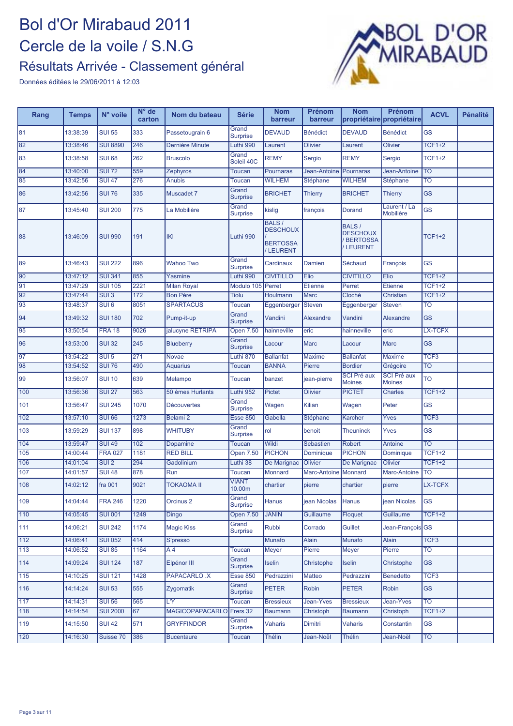

| Rang             | <b>Temps</b> | N° voile         | N° de<br>carton | Nom du bateau          | <b>Série</b>             | <b>Nom</b><br>barreur                                          | <b>Prénom</b><br>barreur | <b>Nom</b><br>propriétaire                                    | Prénom<br>propriétaire              | <b>ACVL</b>              | <b>Pénalité</b> |
|------------------|--------------|------------------|-----------------|------------------------|--------------------------|----------------------------------------------------------------|--------------------------|---------------------------------------------------------------|-------------------------------------|--------------------------|-----------------|
| 81               | 13:38:39     | <b>SUI 55</b>    | 333             | Passetougrain 6        | Grand<br><b>Surprise</b> | <b>DEVAUD</b>                                                  | <b>Bénédict</b>          | <b>DEVAUD</b>                                                 | <b>Bénédict</b>                     | <b>GS</b>                |                 |
| 82               | 13:38:46     | <b>SUI 8890</b>  | 246             | Dernière Minute        | Luthi 990                | Laurent                                                        | <b>Olivier</b>           | Laurent                                                       | <b>Olivier</b>                      | <b>TCF1+2</b>            |                 |
| 83               | 13:38:58     | <b>SUI 68</b>    | 262             | <b>Bruscolo</b>        | Grand<br>Soleil 40C      | <b>REMY</b>                                                    | Sergio                   | <b>REMY</b>                                                   | Sergio                              | <b>TCF1+2</b>            |                 |
| 84               | 13:40:00     | <b>SUI 72</b>    | 559             | Zephyros               | Toucan                   | Pournaras                                                      | Jean-Antoine             | Pournaras                                                     | Jean-Antoine                        | <b>TO</b>                |                 |
| 85               | 13:42:56     | <b>SUI 47</b>    | 276             | <b>Anubis</b>          | Toucan                   | <b>WILHEM</b>                                                  | Stéphane                 | <b>WILHEM</b>                                                 | Stéphane                            | $\overline{\mathrm{TO}}$ |                 |
| 86               | 13:42:56     | <b>SUI 76</b>    | 335             | Muscadet 7             | Grand<br><b>Surprise</b> | <b>BRICHET</b>                                                 | <b>Thierry</b>           | <b>BRICHET</b>                                                | <b>Thierry</b>                      | <b>GS</b>                |                 |
| 87               | 13:45:40     | <b>SUI 200</b>   | 775             | La Mobilière           | Grand<br><b>Surprise</b> | kislig                                                         | françois                 | Dorand                                                        | aurent / La<br>Mobilière            | <b>GS</b>                |                 |
| 88               | 13:46:09     | <b>SUI 990</b>   | 191             | IKI                    | Luthi 990                | <b>BALS/</b><br><b>DESCHOUX</b><br><b>BERTOSSA</b><br>/LEURENT |                          | <b>BALS/</b><br><b>DESCHOUX</b><br><b>BERTOSSA</b><br>LEURENT |                                     | <b>TCF1+2</b>            |                 |
| 89               | 13:46:43     | <b>SUI 222</b>   | 896             | <b>Wahoo Two</b>       | Grand<br><b>Surprise</b> | Cardinaux                                                      | Damien                   | Séchaud                                                       | François                            | GS                       |                 |
| 90               | 13:47:12     | <b>SUI 341</b>   | 855             | Yasmine                | Luthi 990                | <b>CIVITILLO</b>                                               | Elio                     | <b>CIVITILLO</b>                                              | Elio                                | $TCF1+2$                 |                 |
| 91               | 13:47:29     | <b>SUI 105</b>   | 2221            | <b>Milan Royal</b>     | Modulo 105               | Perret                                                         | <b>Etienne</b>           | Perret                                                        | <b>Etienne</b>                      | $TCF1+2$                 |                 |
| 92               | 13:47:44     | SUI <sub>3</sub> | 172             | <b>Bon Père</b>        | <b>Tiolu</b>             | Houlmann                                                       | <b>Marc</b>              | Cloché                                                        | Christian                           | <b>TCF1+2</b>            |                 |
| 93               | 13:48:37     | SUI <sub>6</sub> | 8051            | <b>SPARTACUS</b>       | <b>Toucan</b>            | Eggenberger                                                    | <b>Steven</b>            | Eggenberger                                                   | <b>Steven</b>                       | <b>TO</b>                |                 |
| 94               | 13:49:32     | <b>SUI 180</b>   | 702             | Pump-it-up             | Grand<br><b>Surprise</b> | Vandini                                                        | Alexandre                | Vandini                                                       | Alexandre                           | <b>GS</b>                |                 |
| 95               | 13:50:54     | <b>FRA 18</b>    | 9026            | jalucyne RETRIPA       | <b>Open 7.50</b>         | hainneville                                                    | eric                     | hainneville                                                   | eric                                | LX-TCFX                  |                 |
| 96               | 13:53:00     | <b>SUI 32</b>    | 245             | <b>Blueberry</b>       | Grand<br><b>Surprise</b> | Lacour                                                         | Marc                     | Lacour                                                        | <b>Marc</b>                         | <b>GS</b>                |                 |
| 97               | 13:54:22     | $SUI$ 5          | 271             | <b>Novae</b>           | Luthi 870                | <b>Ballanfat</b>                                               | <b>Maxime</b>            | <b>Ballanfat</b>                                              | <b>Maxime</b>                       | TCF <sub>3</sub>         |                 |
| 98               | 13:54:52     | <b>SUI 76</b>    | 490             | <b>Aquarius</b>        | Toucan                   | <b>BANNA</b>                                                   | Pierre                   | <b>Bordier</b>                                                | Grégoire                            | $\overline{\text{TO}}$   |                 |
| 99               | 13:56:07     | <b>SUI 10</b>    | 639             | Melampo                | <b>Toucan</b>            | banzet                                                         | jean-pierre              | <b>SCI Pré aux</b><br><b>Moines</b>                           | <b>SCI Pré aux</b><br><b>Moines</b> | <b>TO</b>                |                 |
| 100              | 13:56:36     | <b>SUI 27</b>    | 563             | 50 èmes Hurlants       | Luthi 952                | <b>Pictet</b>                                                  | <b>Olivier</b>           | <b>PICTET</b>                                                 | <b>Charles</b>                      | <b>TCF1+2</b>            |                 |
| 101              | 13:56:47     | <b>SUI 245</b>   | 1070            | <b>Découvertes</b>     | Grand<br><b>Surprise</b> | Wagen                                                          | Kilian                   | Wagen                                                         | Peter                               | <b>GS</b>                |                 |
| 102              | 13:57:10     | <b>SUI 66</b>    | 1273            | Belami <sub>2</sub>    | <b>Esse 850</b>          | Gabella                                                        | Stéphane                 | Karcher                                                       | Yves                                | TCF <sub>3</sub>         |                 |
| 103              | 13:59:29     | <b>SUI 137</b>   | 898             | <b>WHITUBY</b>         | Grand<br>Surprise        | rol                                                            | benoit                   | <b>Theuninck</b>                                              | Yves                                | <b>GS</b>                |                 |
| 104              | 13:59:47     | <b>SUI 49</b>    | 102             | Dopamine               | <b>Toucan</b>            | Wildi                                                          | <b>Sebastien</b>         | Robert                                                        | Antoine                             | TO                       |                 |
| 105              | 14:00:44     | <b>FRA 027</b>   | 1181            | <b>RED BILL</b>        | <b>Open 7.50</b>         | <b>PICHON</b>                                                  | <b>Dominique</b>         | <b>PICHON</b>                                                 | Dominique                           | <b>TCF1+2</b>            |                 |
| 106              | 14:01:04     | SUI <sub>2</sub> | 294             | Gadolinium             | Luthi 38                 | De Marignac                                                    | Olivier                  | De Marignac                                                   | <b>Olivier</b>                      | <b>TCF1+2</b>            |                 |
| 107              | 14:01:57     | <b>SUI 48</b>    | 878             | Run                    | <b>Toucan</b>            | Monnard                                                        | <b>Marc-Antoine</b>      | Monnard                                                       | <b>Marc-Antoine</b>                 | TO                       |                 |
| 108              | 14:02:12     | fra 001          | 9021            | <b>TOKAOMA II</b>      | <b>VIANT</b><br>10.00m   | chartier                                                       | pierre                   | chartier                                                      | pierre                              | LX-TCFX                  |                 |
| 109              | 14:04:44     | <b>FRA 246</b>   | 1220            | Orcinus <sub>2</sub>   | Grand<br>Surprise        | Hanus                                                          | jean Nicolas             | <b>Hanus</b>                                                  | jean Nicolas                        | <b>GS</b>                |                 |
| 110              | 14:05:45     | <b>SUI 001</b>   | 1249            | Dingo                  | <b>Open 7.50</b>         | <b>JANIN</b>                                                   | Guillaume                | Floquet                                                       | Guillaume                           | $TCF1+2$                 |                 |
| 111              | 14:06:21     | <b>SUI 242</b>   | 1174            | <b>Magic Kiss</b>      | Grand<br>Surprise        | Rubbi                                                          | Corrado                  | <b>Guillet</b>                                                | Jean-François GS                    |                          |                 |
| $\overline{112}$ | 14:06:41     | <b>SUI 052</b>   | 414             | S'presso               |                          | <b>Munafo</b>                                                  | Alain                    | Munafo                                                        | <b>Alain</b>                        | TCF <sub>3</sub>         |                 |
| 113              | 14:06:52     | <b>SUI 85</b>    | 1164            | $\overline{A4}$        | Toucan                   | Meyer                                                          | Pierre                   | <b>Meyer</b>                                                  | Pierre                              | $\overline{\text{TO}}$   |                 |
| 114              | 14:09:24     | <b>SUI 124</b>   | 187             | Elpénor III            | Grand<br><b>Surprise</b> | <b>Iselin</b>                                                  | Christophe               | <b>Iselin</b>                                                 | Christophe                          | <b>GS</b>                |                 |
| 115              | 14:10:25     | <b>SUI 121</b>   | 1428            | <b>PAPACARLO .X</b>    | <b>Esse 850</b>          | Pedrazzini                                                     | Matteo                   | Pedrazzini                                                    | <b>Benedetto</b>                    | TCF <sub>3</sub>         |                 |
| 116              | 14:14:24     | <b>SUI 53</b>    | 555             | Zygomatik              | Grand<br>Surprise        | <b>PETER</b>                                                   | Robin                    | <b>PETER</b>                                                  | <b>Robin</b>                        | <b>GS</b>                |                 |
| 117              | 14:14:31     | <b>SUI 56</b>    | 565             | L'Y                    | <b>Toucan</b>            | <b>Bressieux</b>                                               | Jean-Yves                | <b>Bressieux</b>                                              | Jean-Yves                           | TO                       |                 |
| 118              | 14:14:54     | <b>SUI 2000</b>  | 67              | <b>MAGICOPAPACARLO</b> | Frers 32                 | <b>Baumann</b>                                                 | Christoph                | <b>Baumann</b>                                                | Christoph                           | <b>TCF1+2</b>            |                 |
| 119              | 14:15:50     | <b>SUI 42</b>    | 571             | <b>GRYFFINDOR</b>      | Grand<br><b>Surprise</b> | <b>Vaharis</b>                                                 | Dimitri                  | <b>Vaharis</b>                                                | Constantin                          | <b>GS</b>                |                 |
| 120              | 14:16:30     | Suisse 70        | 386             | <b>Bucentaure</b>      | <b>Toucan</b>            | <b>Thélin</b>                                                  | Jean-Noël                | <b>Thélin</b>                                                 | Jean-Noël                           | TO                       |                 |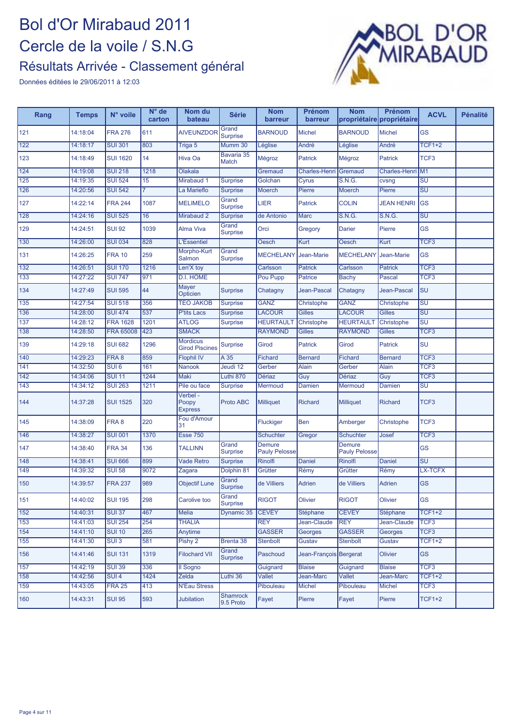

| Rang             | <b>Temps</b> | N° voile         | N° de<br>carton | Nom du<br>bateau                         | <b>Série</b>             | <b>Nom</b><br>barreur          | Prénom<br>barreur      | <b>Nom</b><br>propriétaire propriétaire | Prénom            | <b>ACVL</b>                       | <b>Pénalité</b> |
|------------------|--------------|------------------|-----------------|------------------------------------------|--------------------------|--------------------------------|------------------------|-----------------------------------------|-------------------|-----------------------------------|-----------------|
| 121              | 14:18:04     | <b>FRA 276</b>   | 611             | <b>AIVEUNZDOR</b>                        | Grand<br><b>Surprise</b> | <b>BARNOUD</b>                 | <b>Michel</b>          | <b>BARNOUD</b>                          | <b>Michel</b>     | <b>GS</b>                         |                 |
| 122              | 14:18:17     | <b>SUI 301</b>   | 803             | Triga 5                                  | Mumm 30                  | Léglise                        | André                  | Léglise                                 | André             | <b>TCF1+2</b>                     |                 |
| 123              | 14:18:49     | <b>SUI 1620</b>  | 14              | Hiva Oa                                  | Bavaria 35<br>Match      | Mégroz                         | <b>Patrick</b>         | Mégroz                                  | <b>Patrick</b>    | TCF <sub>3</sub>                  |                 |
| 124              | 14:19:08     | <b>SUI 218</b>   | 1218            | Olakala                                  |                          | Gremaud                        | Charles-Henri          | Gremaud                                 | Charles-Henri M1  |                                   |                 |
| $\overline{125}$ | 14:19:35     | <b>SUI 524</b>   | 15              | Mirabaud 1                               | <b>Surprise</b>          | Golchan                        | Cyrus                  | S.N.G.                                  | cvsng             | SU                                |                 |
| 126              | 14:20:56     | <b>SUI 542</b>   | 7               | La Marieflo                              | <b>Surprise</b>          | Moerch                         | Pierre                 | <b>Moerch</b>                           | Pierre            | $\overline{\text{SU}}$            |                 |
| 127              | 14:22:14     | <b>FRA 244</b>   | 1087            | <b>MELIMELO</b>                          | Grand<br><b>Surprise</b> | LIER                           | <b>Patrick</b>         | <b>COLIN</b>                            | <b>JEAN HENRI</b> | <b>GS</b>                         |                 |
| 128              | 14:24:16     | <b>SUI 525</b>   | 16              | Mirabaud 2                               | <b>Surprise</b>          | de Antonio                     | <b>Marc</b>            | <b>S.N.G.</b>                           | S.N.G.            | $\overline{\text{SU}}$            |                 |
| 129              | 14:24:51     | <b>SUI 92</b>    | 1039            | Alma Viva                                | Grand<br><b>Surprise</b> | Orci                           | Gregory                | <b>Darier</b>                           | Pierre            | <b>GS</b>                         |                 |
| 130              | 14:26:00     | <b>SUI 034</b>   | 828             | <b>L'Essentiel</b>                       |                          | Oesch                          | Kurt                   | Oesch                                   | Kurt              | TCF <sub>3</sub>                  |                 |
| 131              | 14:26:25     | <b>FRA 10</b>    | 259             | Morpho-Kurt<br><b>Salmon</b>             | Grand<br><b>Surprise</b> | <b>MECHELANY</b>               | Jean-Marie             | <b>MECHELANY</b>                        | Jean-Marie        | <b>GS</b>                         |                 |
| 132              | 14:26:51     | <b>SUI 170</b>   | 1216            | Len'X toy                                |                          | Carlsson                       | <b>Patrick</b>         | Carlsson                                | <b>Patrick</b>    | TCF <sub>3</sub>                  |                 |
| 133              | 14:27:22     | <b>SUI 747</b>   | 971             | <b>D.I. HOME</b>                         |                          | Pou Pupp                       | <b>Patrice</b>         | <b>Bachy</b>                            | Pascal            | TCF3                              |                 |
| 134              | 14:27:49     | <b>SUI 595</b>   | 44              | <b>Mayer</b><br>Opticien                 | <b>Surprise</b>          | Chatagny                       | Jean-Pascal            | Chatagny                                | Jean-Pascal       | SU                                |                 |
| 135              | 14:27:54     | <b>SUI 518</b>   | 356             | <b>TEO JAKOB</b>                         | <b>Surprise</b>          | <b>GANZ</b>                    | Christophe             | <b>GANZ</b>                             | Christophe        | $\overline{\mathsf{S}\mathsf{U}}$ |                 |
| 136              | 14:28:00     | <b>SUI 474</b>   | 537             | P'tits Lacs                              | <b>Surprise</b>          | <b>LACOUR</b>                  | <b>Gilles</b>          | LACOUR                                  | <b>Gilles</b>     | SU                                |                 |
| 137              | 14:28:12     | <b>FRA 1628</b>  | 1201            | <b>ATLOG</b>                             | <b>Surprise</b>          | <b>HEURTAUL</b>                | Christophe             | <b>HEURTAULT</b>                        | Christophe        | $\overline{\mathsf{SU}}$          |                 |
| 138              | 14:28:50     | FRA 65008        | 423             | <b>SMACK</b>                             |                          | <b>RAYMOND</b>                 | <b>Gilles</b>          | <b>RAYMOND</b>                          | <b>Gilles</b>     | TCF3                              |                 |
| 139              | 14:29:18     | <b>SUI 682</b>   | 1296            | <b>Mordicus</b><br><b>Girod Piscines</b> | <b>Surprise</b>          | Girod                          | <b>Patrick</b>         | Girod                                   | <b>Patrick</b>    | <b>SU</b>                         |                 |
| 140              | 14:29:23     | FRA 8            | 859             | <b>Flophil IV</b>                        | A 35                     | <b>Fichard</b>                 | <b>Bernard</b>         | <b>Fichard</b>                          | <b>Bernard</b>    | TCF3                              |                 |
| 141              | 14:32:50     | SUI <sub>6</sub> | 161             | <b>Nanook</b>                            | Jeudi 12                 | Gerber                         | <b>Alain</b>           | Gerber                                  | <b>Alain</b>      | TCF <sub>3</sub>                  |                 |
| 142              | 14:34:06     | <b>SUI 11</b>    | 1244            | Maki                                     | Luthi 870                | <b>Dériaz</b>                  | Guy                    | Dériaz                                  | Guy               | TCF <sub>3</sub>                  |                 |
| 143              | 14:34:12     | <b>SUI 263</b>   | 1211            | Pile ou face                             | Surprise                 | Mermoud                        | Damien                 | <b>Mermoud</b>                          | Damien            | SU                                |                 |
| 144              | 14:37:28     | <b>SUI 1525</b>  | 320             | Verbel -<br>Poopy<br><b>Express</b>      | Proto ABC                | <b>Milliquet</b>               | Richard                | <b>Milliquet</b>                        | <b>Richard</b>    | TCF <sub>3</sub>                  |                 |
| 145              | 14:38:09     | FRA 8            | 220             | Fou d'Amour<br>31                        |                          | Fluckiger                      | Ben                    | Amberger                                | Christophe        | TCF3                              |                 |
| 146              | 14:38:27     | <b>SUI 001</b>   | 1370            | <b>Esse 750</b>                          |                          | <b>Schuchter</b>               | Gregor                 | <b>Schuchter</b>                        | Josef             | TCF3                              |                 |
| 147              | 14:38:40     | <b>FRA 34</b>    | 136             | <b>TALLINN</b>                           | Grand<br><b>Surprise</b> | Demure<br><b>Pauly Pelosse</b> |                        | Demure<br><b>Pauly Pelosse</b>          |                   | <b>GS</b>                         |                 |
| 148              | 14:38:41     | <b>SUI 666</b>   | 899             | <b>Vade Retro</b>                        | <b>Surprise</b>          | <b>Rinolfi</b>                 | <b>Daniel</b>          | Rinolfi                                 | <b>Daniel</b>     | $\overline{\mathsf{S}\mathsf{U}}$ |                 |
| 149              | 14:39:32     | <b>SUI 58</b>    | 9072            | Zagara                                   | Dolphin 81               | Grütter                        | Rémy                   | Grütter                                 | Rémy              | <b>LX-TCFX</b>                    |                 |
| 150              | 14:39:57     | <b>FRA 237</b>   | 989             | <b>Objectif Lune</b>                     | Grand<br><b>Surprise</b> | de Villiers                    | Adrien                 | de Villiers                             | <b>Adrien</b>     | <b>GS</b>                         |                 |
| 151              | 14:40:02     | <b>SUI 195</b>   | 298             | Carolive too                             | Grand<br><b>Surprise</b> | <b>RIGOT</b>                   | Olivier                | <b>RIGOT</b>                            | Olivier           | <b>GS</b>                         |                 |
| 152              | 14:40:31     | <b>SUI 37</b>    | 467             | <b>Melia</b>                             | Dynamic 35               | <b>CEVEY</b>                   | Stéphane               | <b>CEVEY</b>                            | <b>Stéphane</b>   | $TCF1+2$                          |                 |
| 153              | 14:41:03     | <b>SUI 254</b>   | 254             | <b>THALIA</b>                            |                          | <b>REY</b>                     | Jean-Claude            | <b>REY</b>                              | Jean-Claude       | TCF3                              |                 |
| 154              | 14:41:10     | <b>SUI 10</b>    | 265             | Anytime                                  |                          | <b>GASSER</b>                  | Georges                | <b>GASSER</b>                           | Georges           | TCF <sub>3</sub>                  |                 |
| 155              | 14:41:30     | SUI3             | 581             | Pishy 2                                  | Brenta 38                | <b>Stenbolt</b>                | Gustav                 | <b>Stenbolt</b>                         | Gustav            | <b>TCF1+2</b>                     |                 |
| 156              | 14:41:46     | <b>SUI 131</b>   | 1319            | <b>Filochard VII</b>                     | Grand<br>Surprise        | Paschoud                       | Jean-François Bergerat |                                         | Olivier           | <b>GS</b>                         |                 |
| 157              | 14:42:19     | <b>SUI 39</b>    | 336             | Il Sogno                                 |                          | Guignard                       | <b>Blaise</b>          | Guignard                                | <b>Blaise</b>     | TCF <sub>3</sub>                  |                 |
| 158              | 14:42:56     | SUI <sub>4</sub> | 1424            | Zelda                                    | Luthi 36                 | Vallet                         | Jean-Marc              | <b>Vallet</b>                           | Jean-Marc         | <b>TCF1+2</b>                     |                 |
| 159              | 14:43:05     | <b>FRA 25</b>    | 413             | <b>N'Eau Stress</b>                      |                          | Pibouleau                      | <b>Michel</b>          | Pibouleau                               | <b>Michel</b>     | TCF <sub>3</sub>                  |                 |
| 160              | 14:43:31     | <b>SUI 95</b>    | 593             | <b>Jubilation</b>                        | Shamrock<br>9.5 Proto    | Fayet                          | Pierre                 | Fayet                                   | Pierre            | <b>TCF1+2</b>                     |                 |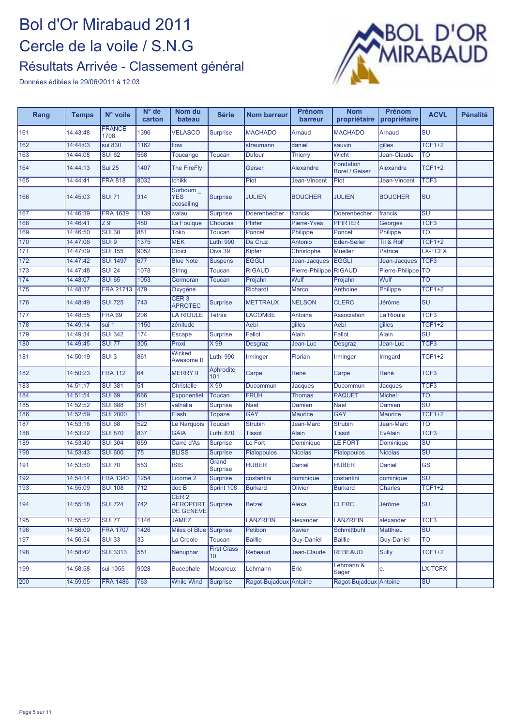

| Rang | <b>Temps</b> | N° voile              | $N^{\circ}$ de<br>carton | Nom du<br>bateau                                                 | <b>Série</b>                          | <b>Nom barreur</b>     | Prénom<br>barreur | <b>Nom</b><br>propriétaire         | Prénom<br>propriétaire | <b>ACVL</b>                       | <b>Pénalité</b> |
|------|--------------|-----------------------|--------------------------|------------------------------------------------------------------|---------------------------------------|------------------------|-------------------|------------------------------------|------------------------|-----------------------------------|-----------------|
| 161  | 14:43:48     | <b>FRANCE</b><br>1708 | 1396                     | <b>VELASCO</b>                                                   | <b>Surprise</b>                       | <b>MACHADO</b>         | Arnaud            | <b>MACHADO</b>                     | Arnaud                 | SU                                |                 |
| 162  | 14:44:03     | sui 830               | 1162                     | flow                                                             |                                       | straumann              | daniel            | sauvin                             | gilles                 | <b>TCF1+2</b>                     |                 |
| 163  | 14:44:08     | <b>SUI 62</b>         | 568                      | Toucange                                                         | <b>Toucan</b>                         | <b>Dufour</b>          | <b>Thierry</b>    | <b>Wicht</b>                       | Jean-Claude            | TO                                |                 |
| 164  | 14:44:13     | <b>Sui 25</b>         | 1407                     | <b>The FireFly</b>                                               |                                       | Geiser                 | Alexandre         | Fondation<br><b>Borel / Geiser</b> | <b>Alexandre</b>       | <b>TCF1+2</b>                     |                 |
| 165  | 14:44:41     | <b>FRA 818</b>        | 8032                     | tchikk                                                           |                                       | Piot                   | Jean-Vincent      | Piot                               | Jean-Vincent           | TCF <sub>3</sub>                  |                 |
| 166  | 14:45:03     | <b>SUI 71</b>         | 314                      | Surboum_<br><b>YES</b><br>ecosailing                             | Surprise                              | <b>JULIEN</b>          | <b>BOUCHER</b>    | JULIEN                             | <b>BOUCHER</b>         | SU                                |                 |
| 167  | 14:46:39     | <b>FRA 1639</b>       | 1139                     | ivalau                                                           | <b>Surprise</b>                       | Doerenbecher           | francis           | Doerenbecher                       | francis                | $\overline{\mathsf{S}\mathsf{U}}$ |                 |
| 168  | 14:46:41     | $\overline{Z}9$       | 480                      | La Foulque                                                       | Choucas                               | Pfirter                | Pierre-Yves       | <b>PFIRTER</b>                     | Georges                | TCF <sub>3</sub>                  |                 |
| 169  | 14:46:50     | <b>SUI 38</b>         | 881                      | <b>Toko</b>                                                      | <b>Toucan</b>                         | Poncet                 | Philippe          | Poncet                             | Philippe               | <b>TO</b>                         |                 |
| 170  | 14:47:06     | SUI <sub>9</sub>      | 1375                     | <b>MEK</b>                                                       | Luthi 990                             | Da Cruz                | Antonio           | Eden-Seiler                        | Til & Rolf             | <b>TCF1+2</b>                     |                 |
| 171  | 14:47:09     | <b>SUI 155</b>        | 9052                     | Cibici                                                           | Diva 39                               | Kipfer                 | Christophe        | <b>Mueller</b>                     | Patrice                | <b>LX-TCFX</b>                    |                 |
| 172  | 14:47:42     | <b>SUI 1497</b>       | 677                      | <b>Blue Note</b>                                                 | <b>Suspens</b>                        | <b>EGGLI</b>           | Jean-Jacques      | <b>EGGLI</b>                       | Jean-Jacques           | TCF <sub>3</sub>                  |                 |
| 173  | 14:47:48     | <b>SUI 24</b>         | 1078                     | String                                                           | <b>Toucan</b>                         | <b>RIGAUD</b>          | Pierre-Philippe   | <b>RIGAUD</b>                      | Pierre-Philippe        | TO                                |                 |
| 174  | 14:48:07     | <b>SUI 65</b>         | 1053                     | Cormoran                                                         | Toucan                                | Projahn                | <b>Wulf</b>       | Projahn                            | Wulf                   | $\overline{\text{TO}}$            |                 |
| 175  | 14:48:37     | <b>FRA 21713</b>      | 479                      | Oxygène                                                          |                                       | <b>Richardt</b>        | Marco             | <b>Anthoine</b>                    | Philippe               | <b>TCF1+2</b>                     |                 |
| 176  | 14:48:49     | <b>SUI 725</b>        | 743                      | CER <sub>3</sub><br><b>APROTEC</b>                               | <b>Surprise</b>                       | <b>METTRAUX</b>        | <b>NELSON</b>     | <b>CLERC</b>                       | Jérôme                 | <b>SU</b>                         |                 |
| 177  | 14:48:55     | <b>FRA 69</b>         | 206                      | <b>LA RIOULE</b>                                                 | <b>Tetras</b>                         | <b>LACOMBE</b>         | Antoine           | <b>Association</b>                 | La Rioule              | TCF <sub>3</sub>                  |                 |
| 178  | 14:49:14     | sui 1                 | 1150                     | zénitude                                                         |                                       | Aebi                   | gilles            | Aebi                               | gilles                 | <b>TCF1+2</b>                     |                 |
| 179  | 14:49:34     | <b>SUI 342</b>        | 174                      | Escape                                                           | <b>Surprise</b>                       | Fallot                 | <b>Alain</b>      | Fallot                             | Alain                  | $\overline{\text{SU}}$            |                 |
| 180  | 14:49:45     | <b>SUI 77</b>         | 305                      | Proxi                                                            | X 99                                  | <b>Desgraz</b>         | Jean-Luc          | <b>Desgraz</b>                     | Jean-Luc               | TCF <sub>3</sub>                  |                 |
| 181  | 14:50:19     | SUI <sub>3</sub>      | 861                      | Wicked<br>Awesome II                                             | Luthi 990                             | <b>Irminger</b>        | Florian           | Irminger                           | Irmgard                | <b>TCF1+2</b>                     |                 |
| 182  | 14:50:23     | <b>FRA 112</b>        | 64                       | <b>MERRY II</b>                                                  | Aphrodite<br>101                      | Carpe                  | Rene              | Carpe                              | René                   | TCF <sub>3</sub>                  |                 |
| 183  | 14:51:17     | <b>SUI 381</b>        | 51                       | <b>Christelle</b>                                                | $\times 99$                           | Ducommun               | <b>Jacques</b>    | Ducommun                           | <b>Jacques</b>         | TCF <sub>3</sub>                  |                 |
| 184  | 14:51:54     | <b>SUI 69</b>         | 666                      | <b>Exponentiel</b>                                               | <b>Toucan</b>                         | <b>FRÜH</b>            | <b>Thomas</b>     | <b>PAQUET</b>                      | <b>Michel</b>          | <b>TO</b>                         |                 |
| 185  | 14:52:52     | <b>SUI 688</b>        | 351                      | valhalla                                                         | Surprise                              | <b>Naef</b>            | Damien            | <b>Naef</b>                        | Damien                 | $\overline{\mathsf{S}\mathsf{U}}$ |                 |
| 186  | 14:52:59     | <b>SUI 2000</b>       | $\mathbf{1}$             | Flash                                                            | Topaze                                | <b>GAY</b>             | <b>Maurice</b>    | <b>GAY</b>                         | <b>Maurice</b>         | <b>TCF1+2</b>                     |                 |
| 187  | 14:53:16     | <b>SUI 68</b>         | 522                      | Le Narquois                                                      | <b>Toucan</b>                         | <b>Strubin</b>         | Jean-Marc         | <b>Strubin</b>                     | Jean-Marc              | <b>TO</b>                         |                 |
| 188  | 14:53:22     | <b>SUI 870</b>        | 837                      | <b>GAIA</b>                                                      | Luthi 870                             | <b>Tissot</b>          | <b>Alain</b>      | <b>Tissot</b>                      | <b>EvAlain</b>         | TCF <sub>3</sub>                  |                 |
| 189  | 14:53:40     | <b>SUI 304</b>        | 659                      | Carré d'As                                                       | <b>Surprise</b>                       | Le Fort                | Dominique         | <b>LE FORT</b>                     | Dominique              | SU                                |                 |
| 190  | 14:53:43     | <b>SUI 600</b>        | 75                       | <b>BLISS</b>                                                     | <b>Surprise</b>                       | Pialopoulos            | <b>Nicolas</b>    | <b>Pialopoulos</b>                 | <b>Nicolas</b>         | SU                                |                 |
| 191  | 14:53:50     | <b>SUI 70</b>         | 553                      | <b>ISIS</b>                                                      | Grand<br><b>Surprise</b>              | <b>HUBER</b>           | <b>Daniel</b>     | <b>HUBER</b>                       | <b>Daniel</b>          | <b>GS</b>                         |                 |
| 192  | 14:54:14     | <b>FRA 1340</b>       | 1254                     | Licorne <sub>2</sub>                                             | <b>Surprise</b>                       | costantini             | dominique         | costantini                         | dominique              | $\overline{\mathsf{S}\mathsf{U}}$ |                 |
| 193  | 14:55:09     | <b>SUI 108</b>        | 712                      | doc B                                                            | Sprint 108                            | <b>Burkard</b>         | <b>Olivier</b>    | <b>Burkard</b>                     | <b>Charles</b>         | <b>TCF1+2</b>                     |                 |
| 194  | 14:55:18     | <b>SUI 724</b>        | 742                      | CER <sub>2</sub><br><b>AEROPORT Surprise</b><br><b>DE GENEVE</b> |                                       | <b>Betzel</b>          | Alexa             | <b>CLERC</b>                       | Jérôme                 | <b>SU</b>                         |                 |
| 195  | 14:55:52     | <b>SUI 77</b>         | 1146                     | <b>JAMEZ</b>                                                     |                                       | <b>LANZREIN</b>        | alexander         | <b>LANZREIN</b>                    | alexander              | TCF <sub>3</sub>                  |                 |
| 196  | 14:56:00     | <b>FRA 1707</b>       | 1426                     | Miles of Blue                                                    | Surprise                              | Petibon                | Xavier            | <b>Schmittbuhl</b>                 | Matthieu               | SU                                |                 |
| 197  | 14:56:54     | <b>SUI 33</b>         | 33                       | La Creole                                                        | <b>Toucan</b>                         | <b>Baillie</b>         | <b>Guy-Daniel</b> | <b>Baillie</b>                     | <b>Guy-Daniel</b>      | TO                                |                 |
| 198  | 14:58:42     | <b>SUI 3313</b>       | 551                      | Nénuphar                                                         | <b>First Class</b><br>10 <sup>°</sup> | Rebeaud                | Jean-Claude       | <b>REBEAUD</b>                     | <b>Sully</b>           | <b>TCF1+2</b>                     |                 |
| 199  | 14:58:58     | sui 1055              | 9028                     | <b>Bucephale</b>                                                 | <b>Macareux</b>                       | Lehmann                | Eric              | Lehmann &<br>Sager                 | e.                     | LX-TCFX                           |                 |
| 200  | 14:59:05     | <b>FRA 1486</b>       | 763                      | <b>While Wind</b>                                                | <b>Surprise</b>                       | Ragot-Bujadoux Antoine |                   | Ragot-Bujadoux Antoine             |                        | $\overline{\text{SU}}$            |                 |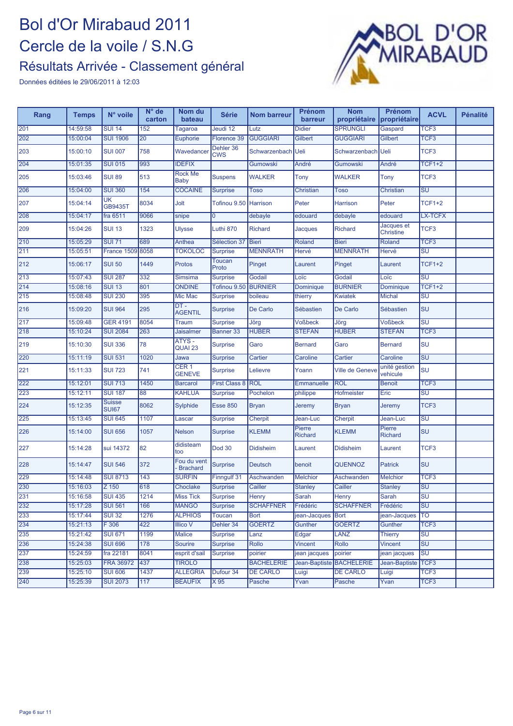

| Rang             | <b>Temps</b> | N° voile                      | $N^{\circ}$ de<br>carton | Nom du<br>bateau                  | <b>Série</b>            | <b>Nom barreur</b> | Prénom<br>barreur        | <b>Nom</b><br>propriétaire | Prénom<br>propriétaire         | <b>ACVL</b>                       | <b>Pénalité</b> |
|------------------|--------------|-------------------------------|--------------------------|-----------------------------------|-------------------------|--------------------|--------------------------|----------------------------|--------------------------------|-----------------------------------|-----------------|
| 201              | 14:59:58     | <b>SUI 14</b>                 | 152                      | Tagaroa                           | Jeudi 12                | Lutz               | <b>Didier</b>            | <b>SPRUNGLI</b>            | Gaspard                        | TCF <sub>3</sub>                  |                 |
| 202              | 15:00:04     | <b>SUI 1906</b>               | $\overline{20}$          | Euphorie                          | Florence 39             | <b>GUGGIARI</b>    | Gilbert                  | <b>GUGGIARI</b>            | Gilbert                        | TCF <sub>3</sub>                  |                 |
| 203              | 15:00:10     | <b>SUI 007</b>                | 758                      | Wavedancer                        | Dehler 36<br><b>CWS</b> | Schwarzenbach      | Ueli                     | Schwarzenbach              | <b>Ueli</b>                    | TCF <sub>3</sub>                  |                 |
| 204              | 15:01:35     | <b>SUI 015</b>                | 993                      | <b>IDEFIX</b>                     |                         | <b>Gumowski</b>    | André                    | Gumowski                   | André                          | <b>TCF1+2</b>                     |                 |
| 205              | 15:03:46     | <b>SUI 89</b>                 | 513                      | <b>Rock Me</b><br>Baby            | <b>Suspens</b>          | <b>WALKER</b>      | Tony                     | <b>WALKER</b>              | Tony                           | TCF <sub>3</sub>                  |                 |
| 206              | 15:04:00     | <b>SUI 360</b>                | 154                      | <b>COCAINE</b>                    | <b>Surprise</b>         | Toso               | Christian                | Toso                       | Christian                      | $\overline{\text{SU}}$            |                 |
| 207              | 15:04:14     | UK<br><b>GB9435T</b>          | 8034                     | Jolt                              | Tofinou 9.50 Harrison   |                    | Peter                    | Harrison                   | Peter                          | <b>TCF1+2</b>                     |                 |
| 208              | 15:04:17     | fra 6511                      | 9066                     | snipe                             | $\Omega$                | debayle            | edouard                  | debayle                    | edouard                        | LX-TCFX                           |                 |
| 209              | 15:04:26     | <b>SUI 13</b>                 | 1323                     | <b>Ulysse</b>                     | Luthi 870               | <b>Richard</b>     | Jacques                  | <b>Richard</b>             | Jacques et<br><b>Christine</b> | TCF <sub>3</sub>                  |                 |
| $\overline{210}$ | 15:05:29     | <b>SUI 71</b>                 | 689                      | Anthea                            | Sélection 37            | <b>Bieri</b>       | Roland                   | <b>Bieri</b>               | Roland                         | TCF <sub>3</sub>                  |                 |
| 211              | 15:05:51     | France 1509 8058              |                          | <b>TOKOLOC</b>                    | <b>Surprise</b>         | <b>MENNRATH</b>    | Hervé                    | <b>MENNRATH</b>            | Hervé                          | <b>SU</b>                         |                 |
| 212              | 15:06:17     | <b>SUI 50</b>                 | 1449                     | <b>Protos</b>                     | <b>Toucan</b><br>Proto  | Pinget             | Laurent                  | Pinget                     | Laurent                        | <b>TCF1+2</b>                     |                 |
| 213              | 15:07:43     | <b>SUI 287</b>                | 332                      | <b>Simsima</b>                    | <b>Surprise</b>         | Godail             | Loïc                     | Godail                     | Loïc                           | <b>SU</b>                         |                 |
| 214              | 15:08:16     | <b>SUI 13</b>                 | 801                      | <b>ONDINE</b>                     | Tofinou 9.50            | <b>BURNIER</b>     | <b>Dominique</b>         | <b>BURNIER</b>             | Dominique                      | <b>TCF1+2</b>                     |                 |
| 215              | 15:08:48     | <b>SUI 230</b>                | 395                      | Mic Mac                           | <b>Surprise</b>         | boileau            | thierry                  | <b>Kwiatek</b>             | <b>Michal</b>                  | <b>SU</b>                         |                 |
| 216              | 15:09:20     | <b>SUI 964</b>                | 295                      | $DT -$<br><b>AGENTIL</b>          | <b>Surprise</b>         | De Carlo           | Sébastien                | De Carlo                   | Sébastien                      | SU                                |                 |
| $\overline{217}$ | 15:09:48     | <b>GER 4191</b>               | 8054                     | Traum                             | <b>Surprise</b>         | Jörg               | <b>Voßbeck</b>           | Jörg                       | <b>Voßbeck</b>                 | $\overline{\mathsf{S}\mathsf{U}}$ |                 |
| 218              | 15:10:24     | <b>SUI 2084</b>               | 263                      | <b>Jaisalmer</b>                  | Banner 33               | <b>HUBER</b>       | <b>STEFAN</b>            | <b>HUBER</b>               | <b>STEFAN</b>                  | TCF <sub>3</sub>                  |                 |
| 219              | 15:10:30     | <b>SUI 336</b>                | 78                       | ATYS -<br>QUAI 23                 | Surprise                | Garo               | <b>Bernard</b>           | Garo                       | <b>Bernard</b>                 | <b>SU</b>                         |                 |
| 220              | 15:11:19     | <b>SUI 531</b>                | 1020                     | Jawa                              | <b>Surprise</b>         | Cartier            | Caroline                 | Cartier                    | Caroline                       | SU                                |                 |
| 221              | 15:11:33     | <b>SUI 723</b>                | 741                      | CER <sub>1</sub><br><b>GENEVE</b> | Surprise                | Lelievre           | Yoann                    | <b>Ville de Geneve</b>     | unité gestion<br>vehicule      | SU                                |                 |
| 222              | 15:12:01     | <b>SUI 713</b>                | 1450                     | <b>Barcarol</b>                   | <b>First Class 8</b>    | <b>ROL</b>         | Emmanuelle               | <b>ROL</b>                 | <b>Benoit</b>                  | TCF <sub>3</sub>                  |                 |
| 223              | 15:12:11     | <b>SUI 187</b>                | 88                       | <b>KAHLUA</b>                     | <b>Surprise</b>         | Pochelon           | philippe                 | Hofmeister                 | Eric                           | $\overline{\mathsf{s}\mathsf{u}}$ |                 |
| 224              | 15:12:35     | <b>Suisse</b><br><b>SUI67</b> | 8062                     | Sylphide                          | <b>Esse 850</b>         | <b>Bryan</b>       | Jeremy                   | <b>Bryan</b>               | Jeremy                         | TCF <sub>3</sub>                  |                 |
| 225              | 15:13:45     | <b>SUI 645</b>                | 1107                     | Lascar                            | <b>Surprise</b>         | Cherpit            | Jean-Luc                 | Cherpit                    | Jean-Luc                       | SU                                |                 |
| 226              | 15:14:00     | <b>SUI 656</b>                | 1057                     | <b>Nelson</b>                     | <b>Surprise</b>         | <b>KLEMM</b>       | Pierre<br><b>Richard</b> | <b>KLEMM</b>               | Pierre<br><b>Richard</b>       | SU                                |                 |
| 227              | 15:14:28     | sui 14372                     | 82                       | didisteam<br>too                  | <b>Dod 30</b>           | <b>Didisheim</b>   | Laurent                  | <b>Didisheim</b>           | Laurent                        | TCF3                              |                 |
| 228              | 15:14:47     | <b>SUI 546</b>                | 372                      | Fou du vent<br>Brachard           | Surprise                | <b>Deutsch</b>     | benoit                   | <b>QUENNOZ</b>             | <b>Patrick</b>                 | <b>SU</b>                         |                 |
| 229              | 15:14:48     | <b>SUI 8713</b>               | 143                      | <b>SURFIN</b>                     | Finngulf 31             | Aschwanden         | <b>Melchior</b>          | Aschwanden                 | <b>Melchior</b>                | TCF <sub>3</sub>                  |                 |
| 230              | 15:16:03     | Z 150                         | 618                      | Choclake                          | <b>Surprise</b>         | Cailler            | <b>Stanley</b>           | Cailler                    | <b>Stanley</b>                 | $\overline{\mathsf{S}\mathsf{U}}$ |                 |
| 231              | 15:16:58     | <b>SUI 435</b>                | 1214                     | <b>Miss Tick</b>                  | Surprise                | Henry              | Sarah                    | Henry                      | Sarah                          | $\overline{\text{SU}}$            |                 |
| 232              | 15:17:28     | <b>SUI 561</b>                | 166                      | <b>MANGO</b>                      | <b>Surprise</b>         | <b>SCHAFFNER</b>   | Frédéric                 | <b>SCHAFFNER</b>           | Frédéric                       | $\overline{\text{SU}}$            |                 |
| 233              | 15:17:44     | <b>SUI 32</b>                 | 1276                     | <b>ALPHIOS</b>                    | Toucan                  | <b>Bort</b>        | jean-Jacques             | Bort                       | jean-Jacques                   | TO                                |                 |
| 234              | 15:21:13     | F 306                         | 422                      | <b>Illico V</b>                   | Dehler 34               | <b>GOERTZ</b>      | <b>Gunther</b>           | <b>GOERTZ</b>              | <b>Gunther</b>                 | TCF <sub>3</sub>                  |                 |
| 235              | 15:21:42     | <b>SUI 671</b>                | 1199                     | <b>Malice</b>                     | <b>Surprise</b>         | Lanz               | Edgar                    | LANZ                       | <b>Thierry</b>                 | SU                                |                 |
| 236              | 15:24:38     | <b>SUI 696</b>                | 178                      | <b>Sourire</b>                    | <b>Surprise</b>         | Rollo              | <b>Vincent</b>           | Rollo                      | <b>Vincent</b>                 | SU                                |                 |
| 237              | 15:24:59     | fra 22181                     | 8041                     | esprit d'sail                     | <b>Surprise</b>         | poirier            | jean jacques             | poirier                    | jean jacques                   | $\overline{\text{SU}}$            |                 |
| 238              | 15:25:03     | <b>FRA 36972</b>              | 437                      | <b>TIROLO</b>                     |                         | <b>BACHELERIE</b>  | Jean-Baptiste            | <b>BACHELERIE</b>          | Jean-Baptiste                  | TCF <sub>3</sub>                  |                 |
| 239              | 15:25:10     | <b>SUI 606</b>                | 1437                     | <b>ALLEGRIA</b>                   | Dufour 34               | <b>DE CARLO</b>    | Luigi                    | <b>DE CARLO</b>            | Luigi                          | TCF <sub>3</sub>                  |                 |
| 240              | 15:25:39     | <b>SUI 2073</b>               | 117                      | <b>BEAUFIX</b>                    | X95                     | Pasche             | Yvan                     | Pasche                     | Yvan                           | TCF <sub>3</sub>                  |                 |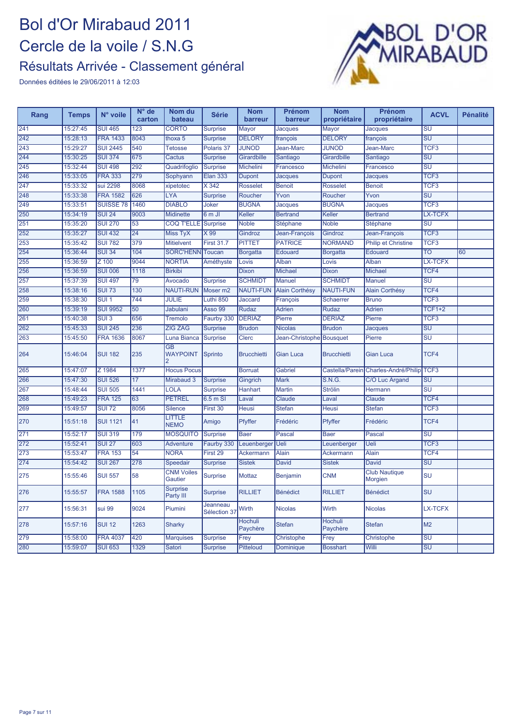

| Rang             | <b>Temps</b> | N° voile         | $N^{\circ}$ de<br>carton | Nom du<br>bateau                        | <b>Série</b>             | <b>Nom</b><br>barreur      | <b>Prénom</b><br>barreur | <b>Nom</b><br>propriétaire | Prénom<br>propriétaire          | <b>ACVL</b>                       | <b>Pénalité</b> |
|------------------|--------------|------------------|--------------------------|-----------------------------------------|--------------------------|----------------------------|--------------------------|----------------------------|---------------------------------|-----------------------------------|-----------------|
| $\overline{241}$ | 15:27:45     | <b>SUI 465</b>   | 123                      | <b>CORTO</b>                            | <b>Surprise</b>          | Mayor                      | <b>Jacques</b>           | <b>Mayor</b>               | Jacques                         | $\overline{\mathsf{SU}}$          |                 |
| $\overline{242}$ | 15:28:13     | <b>FRA 1433</b>  | 8043                     | thoxa 5                                 | <b>Surprise</b>          | <b>DELORY</b>              | françois                 | <b>DELORY</b>              | francois                        | $\overline{\mathsf{SU}}$          |                 |
| 243              | 15:29:27     | <b>SUI 2445</b>  | 540                      | <b>Tetosse</b>                          | Polaris 37               | <b>JUNOD</b>               | Jean-Marc                | <b>JUNOD</b>               | Jean-Marc                       | TCF <sub>3</sub>                  |                 |
| 244              | 15:30:25     | <b>SUI 374</b>   | 675                      | Cactus                                  | <b>Surprise</b>          | Girardbille                | Santiago                 | Girardbille                | Santiago                        | $\overline{\mathsf{SU}}$          |                 |
| 245              | 15:32:44     | <b>SUI 498</b>   | 292                      | Quadrifoglio                            | <b>Surprise</b>          | Michelini                  | Francesco                | Michelini                  | Francesco                       | $\overline{\mathsf{SU}}$          |                 |
| 246              | 15:33:05     | <b>FRA 333</b>   | 279                      | Sophyann                                | <b>Elan 333</b>          | <b>Dupont</b>              | <b>Jacques</b>           | <b>Dupont</b>              | Jacques                         | TCF <sub>3</sub>                  |                 |
| $\overline{247}$ | 15:33:32     | sui 2298         | 8068                     | xipetotec                               | X342                     | <b>Rosselet</b>            | <b>Benoit</b>            | <b>Rosselet</b>            | <b>Benoit</b>                   | TCF <sub>3</sub>                  |                 |
| 248              | 15:33:38     | <b>FRA 1582</b>  | 626                      | LYA                                     | <b>Surprise</b>          | Roucher                    | Yvon                     | Roucher                    | Yvon                            | $\overline{\mathsf{s}\mathsf{u}}$ |                 |
| 249              | 15:33:51     | <b>SUISSE 78</b> | 1460                     | <b>DIABLO</b>                           | Joker                    | <b>BUGNA</b>               | <b>Jacques</b>           | <b>BUGNA</b>               | <b>Jacques</b>                  | TCF <sub>3</sub>                  |                 |
| 250              | 15:34:19     | <b>SUI 24</b>    | 9003                     | <b>Midinette</b>                        | 6 m JI                   | Keller                     | <b>Bertrand</b>          | Keller                     | <b>Bertrand</b>                 | <b>LX-TCFX</b>                    |                 |
| 251              | 15:35:20     | <b>SUI 270</b>   | 53                       | <b>COQ T'ELLE</b>                       | <b>Surprise</b>          | <b>Noble</b>               | Stéphane                 | <b>Noble</b>               | Stéphane                        | $\overline{\mathsf{su}}$          |                 |
| 252              | 15:35:27     | <b>SUI 432</b>   | $\overline{24}$          | <b>Miss TyX</b>                         | $\times 99$              | Gindroz                    | Jean-François            | Gindroz                    | Jean-François                   | TCF <sub>3</sub>                  |                 |
| 253              | 15:35:42     | <b>SUI 782</b>   | 379                      | <b>Mitielvent</b>                       | <b>First 31.7</b>        | <b>PITTET</b>              | <b>PATRICE</b>           | <b>NORMAND</b>             | <b>Philip et Christine</b>      | TCF <sub>3</sub>                  |                 |
| 254              | 15:36:44     | <b>SUI 34</b>    | 104                      | <b>SORC'HENN</b>                        | Toucan                   | <b>Borgatta</b>            | Edouard                  | <b>Borgatta</b>            | <b>Edouard</b>                  | $\overline{\mathrm{TO}}$          | 60              |
| 255              | 15:36:59     | $Z$ 100          | 9044                     | <b>NORTIA</b>                           | Améthyste                | Lovis                      | Alban                    | Lovis                      | <b>Alban</b>                    | LX-TCFX                           |                 |
| 256              | 15:36:59     | <b>SUI 006</b>   | 1118                     | <b>Birkibi</b>                          |                          | <b>Dixon</b>               | Michael                  | <b>Dixon</b>               | <b>Michael</b>                  | TCF4                              |                 |
| $\overline{257}$ | 15:37:39     | <b>SUI 497</b>   | $\overline{79}$          | Avocado                                 | <b>Surprise</b>          | <b>SCHMIDT</b>             | Manuel                   | <b>SCHMIDT</b>             | <b>Manuel</b>                   | $\overline{\mathsf{s}\mathsf{u}}$ |                 |
| 258              | 15:38:16     | <b>SUI 73</b>    | 130                      | <b>NAUTI-RUN</b>                        | Moser <sub>m2</sub>      | <b>NAUTI-FUN</b>           | <b>Alain Corthésy</b>    | <b>NAUTI-FUN</b>           | <b>Alain Corthésy</b>           | TCF4                              |                 |
| 259              | 15:38:30     | SUI <sub>1</sub> | 744                      | <b>JULIE</b>                            | Luthi 850                | Jaccard                    | François                 | Schaerrer                  | <b>Bruno</b>                    | TCF <sub>3</sub>                  |                 |
| 260              | 15:39:19     | <b>SUI 9952</b>  | 50                       | Jabulani                                | Asso 99                  | Rudaz                      | <b>Adrien</b>            | Rudaz                      | <b>Adrien</b>                   | $TCF1+2$                          |                 |
| 261              | 15:40:38     | $SUI$ 3          | 656                      | Tremolo                                 | Faurby 330               | <b>DERIAZ</b>              | Pierre                   | <b>DERIAZ</b>              | Pierre                          | TCF <sub>3</sub>                  |                 |
| 262              | 15:45:33     | <b>SUI 245</b>   | 236                      | <b>ZIG ZAG</b>                          | <b>Surprise</b>          | <b>Brudon</b>              | <b>Nicolas</b>           | <b>Brudon</b>              | <b>Jacques</b>                  | $\overline{\mathsf{SU}}$          |                 |
| 263              | 15:45:50     | <b>FRA 1636</b>  | 8067                     | Luna Bianca                             | <b>Surprise</b>          | <b>Clerc</b>               | Jean-Christophe          | <b>Bousquet</b>            | Pierre                          | $\overline{\mathsf{s}\mathsf{u}}$ |                 |
| 264              | 15:46:04     | <b>SUI 182</b>   | 235                      | $\overline{GB}$<br><b>WAYPOINT</b><br>2 | <b>Sprinto</b>           | <b>Brucchietti</b>         | <b>Gian Luca</b>         | <b>Brucchietti</b>         | <b>Gian Luca</b>                | TCF4                              |                 |
| 265              | 15:47:07     | Z 1984           | 1377                     | <b>Hocus Pocus</b>                      |                          | <b>Borruat</b>             | Gabriel                  | Castella/Parein            | Charles-André/Philip            | TCF <sub>3</sub>                  |                 |
| 266              | 15:47:30     | <b>SUI 526</b>   | 17                       | Mirabaud 3                              | <b>Surprise</b>          | Gingrich                   | <b>Mark</b>              | S.N.G.                     | C/O Luc Argand                  | SU                                |                 |
| 267              | 15:48:44     | <b>SUI 505</b>   | 1441                     | LOLA                                    | <b>Surprise</b>          | Hanhart                    | <b>Martin</b>            | <b>Strölin</b>             | Hermann                         | $\overline{\mathsf{s}\mathsf{u}}$ |                 |
| 268              | 15:49:23     | <b>FRA 125</b>   | 63                       | <b>PETREL</b>                           | $6.5m$ SI                | Laval                      | Claude                   | Laval                      | Claude                          | TCF <sub>4</sub>                  |                 |
| 269              | 15:49:57     | <b>SUI 72</b>    | 8056                     | <b>Silence</b>                          | First 30                 | <b>Heusi</b>               | <b>Stefan</b>            | <b>Heusi</b>               | <b>Stefan</b>                   | TCF <sub>3</sub>                  |                 |
| 270              | 15:51:18     | <b>SUI 1121</b>  | 41                       | LITTLE<br><b>NEMO</b>                   | Amigo                    | Pfyffer                    | Frédéric                 | <b>Pfyffer</b>             | Frédéric                        | TCF4                              |                 |
| 271              | 15:52:17     | <b>SUI 319</b>   | 179                      | <b>MOSQUITO</b>                         | <b>Surprise</b>          | <b>Baer</b>                | Pascal                   | <b>Baer</b>                | Pascal                          | SU                                |                 |
| 272              | 15:52:41     | <b>SUI 27</b>    | 603                      | Adventure                               | Faurby 330               | Leuenberger                | Ueli                     | Leuenberger                | Ueli                            | TCF <sub>3</sub>                  |                 |
| 273              | 15:53:47     | <b>FRA 153</b>   | 54                       | <b>NORA</b>                             | First 29                 | Ackermann                  | <b>Alain</b>             | Ackermann                  | <b>Alain</b>                    | TCF4                              |                 |
| $\overline{274}$ | 15:54:42     | <b>SUI 267</b>   | $\frac{278}{ }$          | Speedair                                | <b>Surprise</b>          | <b>Sistek</b>              | David                    | <b>Sistek</b>              | <b>David</b>                    | $\overline{\mathsf{S}\mathsf{U}}$ |                 |
| 275              | 15:55:46     | <b>SUI 557</b>   | 58                       | <b>CNM Voiles</b><br>Gautier            | <b>Surprise</b>          | Mottaz                     | Benjamin                 | <b>CNM</b>                 | <b>Club Nautique</b><br>Morgien | SU                                |                 |
| 276              | 15:55:57     | <b>FRA 1588</b>  | 1105                     | <b>Surprise</b><br>Party III            | <b>Surprise</b>          | <b>RILLIET</b>             | <b>Bénédict</b>          | <b>RILLIET</b>             | <b>Bénédict</b>                 | SU                                |                 |
| 277              | 15:56:31     | sui 99           | 9024                     | Piumini                                 | Jeanneau<br>Sélection 37 | Wirth                      | <b>Nicolas</b>           | Wirth                      | <b>Nicolas</b>                  | LX-TCFX                           |                 |
| 278              | 15:57:16     | <b>SUI 12</b>    | 1263                     | <b>Sharky</b>                           |                          | <b>Hochuli</b><br>Paychère | <b>Stefan</b>            | <b>Hochuli</b><br>Paychère | <b>Stefan</b>                   | M <sub>2</sub>                    |                 |
| 279              | 15:58:00     | <b>FRA 4037</b>  | 420                      | <b>Marquises</b>                        | <b>Surprise</b>          | Frey                       | Christophe               | Frey                       | Christophe                      | SU                                |                 |
| 280              | 15:59:07     | <b>SUI 653</b>   | 1329                     | <b>Satori</b>                           | <b>Surprise</b>          | <b>Pitteloud</b>           | Dominique                | <b>Bosshart</b>            | Willi                           | $\overline{\mathsf{SU}}$          |                 |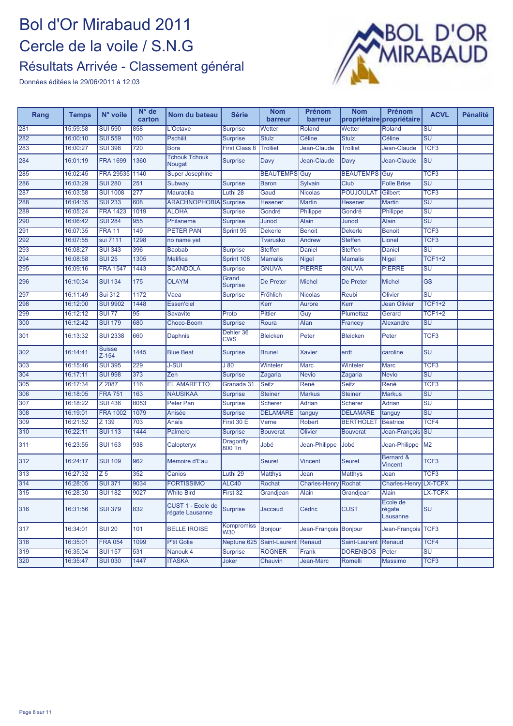

| Rang             | <b>Temps</b> | N° voile            | $N^{\circ}$ de<br>carton | Nom du bateau                        | <b>Série</b>                | <b>Nom</b><br>barreur | Prénom<br>barreur     | <b>Nom</b>           | Prénom<br>propriétaire propriétaire | <b>ACVL</b>                       | Pénalité |
|------------------|--------------|---------------------|--------------------------|--------------------------------------|-----------------------------|-----------------------|-----------------------|----------------------|-------------------------------------|-----------------------------------|----------|
| 281              | 15:59:58     | <b>SUI 590</b>      | 858                      | L'Octave                             | Surprise                    | Wetter                | Roland                | Wetter               | Roland                              | SU                                |          |
| 282              | 16:00:10     | <b>SUI 559</b>      | 100                      | <b>Pschiiit</b>                      | <b>Surprise</b>             | <b>Stulz</b>          | Céline                | <b>Stulz</b>         | Céline                              | $\overline{\mathsf{SU}}$          |          |
| 283              | 16:00:27     | <b>SUI 398</b>      | 720                      | <b>Bora</b>                          | <b>First Class 8</b>        | <b>Trolliet</b>       | Jean-Claude           | <b>Trolliet</b>      | Jean-Claude                         | TCF <sub>3</sub>                  |          |
| 284              | 16:01:19     | <b>FRA 1699</b>     | 1360                     | <b>Tchouk Tchouk</b><br>Nougat       | <b>Surprise</b>             | Davy                  | Jean-Claude           | Davy                 | Jean-Claude                         | SU                                |          |
| 285              | 16:02:45     | FRA 29535 1140      |                          | <b>Super Josephine</b>               |                             | <b>BEAUTEMPS</b> Guy  |                       | <b>BEAUTEMPS Guy</b> |                                     | TCF <sub>3</sub>                  |          |
| 286              | 16:03:29     | <b>SUI 280</b>      | 251                      | Subway                               | <b>Surprise</b>             | <b>Baron</b>          | Sylvain               | Club                 | <b>Folle Brise</b>                  | $\overline{\mathsf{SU}}$          |          |
| 287              | 16:03:58     | <b>SUI 1008</b>     | 277                      | Maurablia                            | Luthi 28                    | Gaud                  | <b>Nicolas</b>        | <b>POUJOULAT</b>     | Gilbert                             | TCF <sub>3</sub>                  |          |
| 288              | 16:04:35     | <b>SUI 233</b>      | 608                      | <b>ARACHNOPHOBIA</b> Surprise        |                             | <b>Hesener</b>        | <b>Martin</b>         | <b>Hesener</b>       | <b>Martin</b>                       | $\overline{\mathsf{SU}}$          |          |
| 289              | 16:05:24     | <b>FRA 1423</b>     | 1019                     | <b>ALOHA</b>                         | <b>Surprise</b>             | Gondré                | Philippe              | Gondré               | Philippe                            | $\overline{\mathsf{su}}$          |          |
| 290              | 16:06:42     | <b>SUI 284</b>      | 955                      | Philaneme                            | <b>Surprise</b>             | Junod                 | <b>Alain</b>          | Junod                | Alain                               | SU                                |          |
| 291              | 16:07:35     | <b>FRA 11</b>       | 149                      | PETER PAN                            | Sprint 95                   | <b>Dekerle</b>        | <b>Benoit</b>         | <b>Dekerle</b>       | <b>Benoit</b>                       | TCF <sub>3</sub>                  |          |
| 292              | 16:07:55     | sui 7111            | 1298                     | no name yet                          |                             | <b>Tvarusko</b>       | <b>Andrew</b>         | <b>Steffen</b>       | Lionel                              | TCF <sub>3</sub>                  |          |
| 293              | 16:08:27     | <b>SUI 343</b>      | 396                      | <b>Baobab</b>                        | <b>Surprise</b>             | <b>Steffen</b>        | Daniel                | <b>Steffen</b>       | Daniel                              | $\overline{\mathsf{S}\mathsf{U}}$ |          |
| 294              | 16:08:58     | <b>SUI 25</b>       | 1305                     | <b>Melifica</b>                      | Sprint 108                  | <b>Mamalis</b>        | <b>Nigel</b>          | <b>Mamalis</b>       | <b>Nigel</b>                        | <b>TCF1+2</b>                     |          |
| 295              | 16:09:16     | <b>FRA 1547</b>     | 1443                     | <b>SCANDOLA</b>                      | Surprise                    | <b>GNUVA</b>          | <b>PIERRE</b>         | <b>GNUVA</b>         | <b>PIERRE</b>                       | SU                                |          |
| 296              | 16:10:34     | <b>SUI 134</b>      | 175                      | <b>OLAYM</b>                         | Grand<br><b>Surprise</b>    | De Preter             | <b>Michel</b>         | De Preter            | <b>Michel</b>                       | <b>GS</b>                         |          |
| $\overline{297}$ | 16:11:49     | <b>Sui 312</b>      | 1172                     | Vaea                                 | Surprise                    | Fröhlich              | <b>Nicolas</b>        | <b>Reubi</b>         | <b>Olivier</b>                      | SU                                |          |
| 298              | 16:12:00     | <b>SUI 9902</b>     | 1448                     | Essen'ciel                           |                             | Kerr                  | <b>Aurore</b>         | Kerr                 | <b>Jean Olivier</b>                 | <b>TCF1+2</b>                     |          |
| 299              | 16:12:12     | <b>SUI 77</b>       | 95                       | <b>Savavite</b>                      | Proto                       | <b>Pittier</b>        | Guy                   | <b>Plumettaz</b>     | Gerard                              | <b>TCF1+2</b>                     |          |
| $\overline{300}$ | 16:12:42     | <b>SUI 179</b>      | 680                      | Choco-Boom                           | <b>Surprise</b>             | Roura                 | Alan                  | Francey              | Alexandre                           | $\overline{\mathsf{SU}}$          |          |
| 301              | 16:13:32     | <b>SUI 2338</b>     | 660                      | Daphnis                              | Dehler 36<br><b>CWS</b>     | <b>Bleicken</b>       | Peter                 | <b>Bleicken</b>      | Peter                               | TCF3                              |          |
| 302              | 16:14:41     | Suisse<br>$Z - 154$ | 1445                     | <b>Blue Beat</b>                     | <b>Surprise</b>             | <b>Brunel</b>         | <b>Xavier</b>         | erdt                 | caroline                            | <b>SU</b>                         |          |
| 303              | 16:15:46     | <b>SUI 395</b>      | 229                      | <b>J-SUI</b>                         | J80                         | Winteler              | <b>Marc</b>           | Winteler             | <b>Marc</b>                         | TCF3                              |          |
| 304              | 16:17:11     | <b>SUI 998</b>      | 373                      | Zen                                  | <b>Surprise</b>             | Zagaria               | <b>Nevio</b>          | Zagaria              | <b>Nevio</b>                        | SU                                |          |
| 305              | 16:17:34     | Z 2087              | 116                      | <b>EL AMARETTO</b>                   | Granada 31                  | <b>Seitz</b>          | René                  | <b>Seitz</b>         | René                                | TCF <sub>3</sub>                  |          |
| 306              | 16:18:05     | <b>FRA 751</b>      | 163                      | <b>NAUSIKAA</b>                      | <b>Surprise</b>             | <b>Steiner</b>        | <b>Markus</b>         | <b>Steiner</b>       | <b>Markus</b>                       | $\overline{\mathsf{SU}}$          |          |
| 307              | 16:18:22     | <b>SUI 436</b>      | 8053                     | <b>Peter Pan</b>                     | <b>Surprise</b>             | <b>Scherer</b>        | <b>Adrian</b>         | <b>Scherer</b>       | <b>Adrian</b>                       | SU                                |          |
| 308              | 16:19:01     | <b>FRA 1002</b>     | 1079                     | Anisée                               | <b>Surprise</b>             | <b>DELAMARE</b>       | tanguy                | <b>DELAMARE</b>      | tanguy                              | SU                                |          |
| 309              | 16:21:52     | Z 139               | 703                      | Anaïs                                | First 30 E                  | Verne                 | Robert                | <b>BERTHOLET</b>     | <b>Béatrice</b>                     | TCF4                              |          |
| 310              | 16:22:11     | <b>SUI 113</b>      | 1444                     | Palmero                              | <b>Surprise</b>             | <b>Bouverat</b>       | <b>Olivier</b>        | <b>Bouverat</b>      | Jean-François                       | <b>SU</b>                         |          |
| 311              | 16:23:55     | <b>SUI 163</b>      | 938                      | Calopteryx                           | <b>Dragonfly</b><br>800 Tri | Jobé                  | Jean-Philippe         | Jobé                 | Jean-Philippe                       | M <sub>2</sub>                    |          |
| 312              | 16:24:17     | <b>SUI 109</b>      | 962                      | Mémoire d'Eau                        |                             | <b>Seuret</b>         | <b>Vincent</b>        | <b>Seuret</b>        | Bernard &<br><b>Vincent</b>         | TCF <sub>3</sub>                  |          |
| 313              | 16:27:32     | Z <sub>5</sub>      | 352                      | Canios                               | Luthi 29                    | <b>Matthys</b>        | Jean                  | <b>Matthys</b>       | Jean                                | TCF <sub>3</sub>                  |          |
| 314              | 16:28:05     | <b>SUI 371</b>      | 9034                     | <b>FORTISSIMO</b>                    | ALC40                       | Rochat                | Charles-Henry Rochat  |                      | Charles-Henry LX-TCFX               |                                   |          |
| 315              | 16:28:30     | <b>SUI 182</b>      | 9027                     | <b>White Bird</b>                    | First 32                    | Grandjean             | Alain                 | Grandjean            | Alain                               | LX-TCFX                           |          |
| 316              | 16:31:56     | <b>SUI 379</b>      | 832                      | CUST 1 - Ecole de<br>régate Lausanne | Surprise                    | Jaccaud               | Cédric                | <b>CUST</b>          | Ecole de<br>régate<br>Lausanne      | <b>SU</b>                         |          |
| 317              | 16:34:01     | <b>SUI 20</b>       | 101                      | <b>BELLE IROISE</b>                  | Kompromiss<br><b>W30</b>    | <b>Bonjour</b>        | Jean-François Bonjour |                      | Jean-François TCF3                  |                                   |          |
| 318              | 16:35:01     | <b>FRA 054</b>      | 1099                     | <b>P'tit Golie</b>                   | Neptune 625                 | Saint-Laurent         | Renaud                | Saint-Laurent        | Renaud                              | TCF4                              |          |
| 319              | 16:35:04     | <b>SUI 157</b>      | 531                      | Nanouk 4                             | <b>Surprise</b>             | <b>ROGNER</b>         | Frank                 | <b>DORENBOS</b>      | Peter                               | $\overline{\mathsf{SU}}$          |          |
| 320              | 16:35:47     | <b>SUI 030</b>      | 1447                     | <b>ITASKA</b>                        | Joker                       | Chauvin               | Jean-Marc             | Romelli              | Massimo                             | TCF <sub>3</sub>                  |          |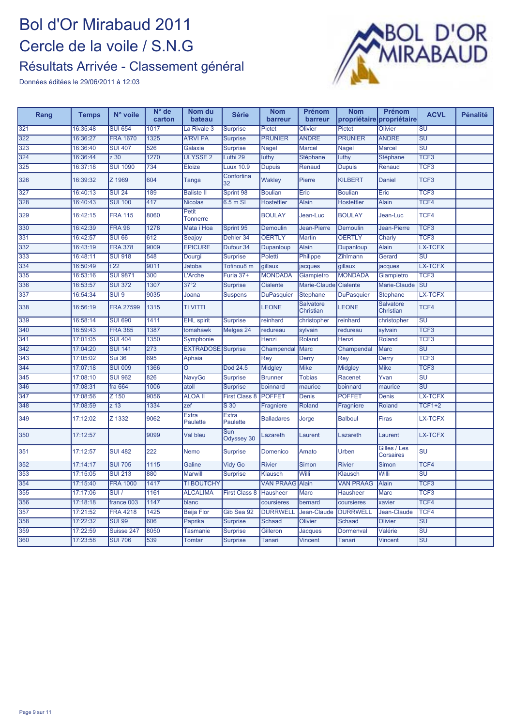

| Rang             | <b>Temps</b> | N° voile         | $N^{\circ}$ de<br>carton | Nom du<br>bateau                | <b>Série</b>             | <b>Nom</b><br>barreur | <b>Prénom</b><br>barreur      | <b>Nom</b><br>propriétaire propriétaire | Prénom                           | <b>ACVL</b>                       | <b>Pénalité</b> |
|------------------|--------------|------------------|--------------------------|---------------------------------|--------------------------|-----------------------|-------------------------------|-----------------------------------------|----------------------------------|-----------------------------------|-----------------|
| 321              | 16:35:48     | <b>SUI 654</b>   | 1017                     | La Rivale 3                     | <b>Surprise</b>          | Pictet                | Olivier                       | Pictet                                  | Olivier                          | $\overline{\mathsf{S}\mathsf{U}}$ |                 |
| 322              | 16:36:27     | <b>FRA 1670</b>  | 1325                     | <b>A'RVI PA</b>                 | <b>Surprise</b>          | <b>PRUNIER</b>        | <b>ANDRE</b>                  | <b>PRUNIER</b>                          | <b>ANDRE</b>                     | $\overline{\mathsf{S}\mathsf{U}}$ |                 |
| $\overline{323}$ | 16:36:40     | <b>SUI 407</b>   | 526                      | Galaxie                         | <b>Surprise</b>          | <b>Nagel</b>          | <b>Marcel</b>                 | <b>Nagel</b>                            | <b>Marcel</b>                    | $\overline{\mathsf{s}\mathsf{u}}$ |                 |
| 324              | 16:36:44     | z30              | 1270                     | <b>ULYSSE 2</b>                 | Luthi 29                 | luthy                 | <b>Stéphane</b>               | luthy                                   | Stéphane                         | TCF <sub>3</sub>                  |                 |
| $\overline{325}$ | 16:37:18     | <b>SUI 1090</b>  | 734                      | Eloize                          | <b>Luux 10.9</b>         | <b>Dupuis</b>         | Renaud                        | <b>Dupuis</b>                           | Renaud                           | TCF <sub>3</sub>                  |                 |
| 326              | 16:39:32     | Z 1969           | 604                      | Tanga                           | Confortina<br>32         | Wakley                | Pierre                        | <b>KILBERT</b>                          | <b>Daniel</b>                    | TCF <sub>3</sub>                  |                 |
| 327              | 16:40:13     | <b>SUI 24</b>    | 189                      | <b>Baliste II</b>               | Sprint 98                | <b>Boulian</b>        | Eric                          | <b>Boulian</b>                          | Eric                             | TCF <sub>3</sub>                  |                 |
| 328              | 16:40:43     | <b>SUI 100</b>   | 417                      | <b>Nicolas</b>                  | $6.5m$ SI                | <b>Hostettler</b>     | <b>Alain</b>                  | Hostettler                              | <b>Alain</b>                     | TCF4                              |                 |
| 329              | 16:42:15     | <b>FRA 115</b>   | 8060                     | <b>Petit</b><br><b>Tonnerre</b> |                          | <b>BOULAY</b>         | Jean-Luc                      | <b>BOULAY</b>                           | Jean-Luc                         | TCF4                              |                 |
| 330              | 16:42:39     | <b>FRA 96</b>    | 1278                     | Mata i Hoa                      | Sprint 95                | <b>Demoulin</b>       | Jean-Pierre                   | Demoulin                                | Jean-Pierre                      | TCF <sub>3</sub>                  |                 |
| 331              | 16:42:57     | <b>SUI 66</b>    | 612                      | Seajoy                          | Dehler 34                | <b>OERTLY</b>         | <b>Martin</b>                 | <b>OERTLY</b>                           | Charly                           | TCF <sub>3</sub>                  |                 |
| 332              | 16:43:19     | <b>FRA 378</b>   | 9009                     | <b>EPICURE</b>                  | Dufour 34                | Dupanloup             | <b>Alain</b>                  | Dupanloup                               | Alain                            | <b>LX-TCFX</b>                    |                 |
| 333              | 16:48:11     | <b>SUI 918</b>   | 548                      | Dourgi                          | <b>Surprise</b>          | <b>Poletti</b>        | <b>Philippe</b>               | Zihlmann                                | Gerard                           | $\overline{\mathsf{s}\mathsf{u}}$ |                 |
| 334              | 16:50:49     | t 22             | 9011                     | Jatoba                          | Tofinou8 m               | gillaux               | jacques                       | gillaux                                 | jacques                          | LX-TCFX                           |                 |
| 335              | 16:53:16     | <b>SUI 9871</b>  | 300                      | L'Arche                         | Furia 37+                | <b>MONDADA</b>        | Giampietro                    | <b>MONDADA</b>                          | Giampietro                       | TCF <sub>3</sub>                  |                 |
| 336              | 16:53:57     | <b>SUI 372</b>   | 1307                     | 37°2                            | <b>Surprise</b>          | Cialente              | Marie-Claude                  | Cialente                                | Marie-Claude                     | $\overline{\mathsf{S}\mathsf{U}}$ |                 |
| 337              | 16:54:34     | SUI <sub>9</sub> | 9035                     | Joana                           | <b>Suspens</b>           | <b>DuPasquier</b>     | <b>Stephane</b>               | <b>DuPasquier</b>                       | Stephane                         | LX-TCFX                           |                 |
| 338              | 16:56:19     | <b>FRA 27599</b> | 1315                     | <b>TI VITTI</b>                 |                          | <b>LEONE</b>          | <b>Salvatore</b><br>Christian | <b>LEONE</b>                            | <b>Salvatore</b><br>Christian    | TCF4                              |                 |
| 339              | 16:58:14     | <b>SUI 690</b>   | 1411                     | <b>EHL</b> spirit               | Surprise                 | reinhard              | christopher                   | reinhard                                | christopher                      | $\overline{\mathsf{S}\mathsf{U}}$ |                 |
| 340              | 16:59:43     | <b>FRA 385</b>   | 1387                     | tomahawk                        | Melges 24                | redureau              | sylvain                       | redureau                                | sylvain                          | TCF <sub>3</sub>                  |                 |
| 341              | 17:01:05     | <b>SUI 404</b>   | 1350                     | Symphonie                       |                          | Henzi                 | Roland                        | Henzi                                   | Roland                           | TCF <sub>3</sub>                  |                 |
| 342              | 17:04:20     | <b>SUI 141</b>   | 273                      | EXTRADOSE Surprise              |                          | Champendal            | <b>Marc</b>                   | Champendal                              | <b>Marc</b>                      | $\overline{\text{SU}}$            |                 |
| $\overline{343}$ | 17:05:02     | Sui 36           | 695                      | <b>Aphaia</b>                   |                          | Rey                   | Derry                         | <b>Rey</b>                              | <b>Derry</b>                     | TCF <sub>3</sub>                  |                 |
| 344              | 17:07:18     | <b>SUI 009</b>   | 1366                     | $\overline{O}$                  | Dod 24.5                 | <b>Midgley</b>        | <b>Mike</b>                   | <b>Midgley</b>                          | <b>Mike</b>                      | TCF <sub>3</sub>                  |                 |
| 345              | 17:08:10     | <b>SUI 962</b>   | 826                      | <b>NavyGo</b>                   | <b>Surprise</b>          | <b>Brunner</b>        | <b>Tobias</b>                 | Racenet                                 | Yvan                             | $\overline{\mathsf{SU}}$          |                 |
| 346              | 17:08:31     | fra 664          | 1006                     | atoll                           | <b>Surprise</b>          | boinnard              | maurice                       | boinnard                                | maurice                          | $\overline{\mathsf{S}\mathsf{U}}$ |                 |
| 347              | 17:08:56     | Z 150            | 9056                     | <b>ALOA II</b>                  | <b>First Class 8</b>     | <b>POFFET</b>         | Denis                         | <b>POFFET</b>                           | <b>Denis</b>                     | <b>LX-TCFX</b>                    |                 |
| 348              | 17:08:59     | z <sub>13</sub>  | 1334                     | zef                             | $\overline{S}$ 30        | Fragniere             | Roland                        | Fragniere                               | Roland                           | $TCF1+2$                          |                 |
| 349              | 17:12:02     | Z 1332           | 9062                     | <b>Extra</b><br><b>Paulette</b> | <b>Extra</b><br>Paulette | <b>Balladares</b>     | Jorge                         | <b>Balboul</b>                          | <b>Firas</b>                     | LX-TCFX                           |                 |
| 350              | 17:12:57     |                  | 9099                     | Val bleu                        | Sun<br>Odyssey 30        | Lazareth              | Laurent                       | Lazareth                                | Laurent                          | LX-TCFX                           |                 |
| 351              | 17:12:57     | <b>SUI 482</b>   | 222                      | <b>Nemo</b>                     | <b>Surprise</b>          | Domenico              | Amato                         | Urben                                   | Gilles / Les<br><b>Corsaires</b> | <b>SU</b>                         |                 |
| 352              | 17:14:17     | <b>SUI 705</b>   | 1115                     | Galine                          | <b>Vidy Go</b>           | <b>Rivier</b>         | <b>Simon</b>                  | <b>Rivier</b>                           | Simon                            | TCF4                              |                 |
| 353              | 17:15:05     | <b>SUI 213</b>   | 880                      | <b>Marwill</b>                  | Surprise                 | Klausch               | Willi                         | Klausch                                 | Willi                            | $\overline{\mathsf{S}\mathsf{U}}$ |                 |
| 354              | 17:15:40     | <b>FRA 1000</b>  | 1417                     | <b>TI BOUTCHY</b>               |                          | <b>VAN PRAAG</b>      | <b>Alain</b>                  | <b>VAN PRAAG</b>                        | <b>Alain</b>                     | TCF <sub>3</sub>                  |                 |
| 355              | 17:17:06     | SUI/             | 1161                     | <b>ALCALIMA</b>                 | <b>First Class 8</b>     | <b>Hausheer</b>       | <b>Marc</b>                   | <b>Hausheer</b>                         | <b>Marc</b>                      | TCF <sub>3</sub>                  |                 |
| 356              | 17:18:18     | france 003       | 1147                     | blanc                           |                          | coursieres            | bernard                       | coursieres                              | xavier                           | TCF4                              |                 |
| $\overline{357}$ | 17:21:52     | <b>FRA 4218</b>  | 1425                     | <b>Beija Flor</b>               | Gib Sea 92               | <b>DURRWELI</b>       | Jean-Claude                   | <b>DURRWELL</b>                         | Jean-Claude                      | TCF4                              |                 |
| 358              | 17:22:32     | <b>SUI 99</b>    | 606                      | Paprika                         | <b>Surprise</b>          | <b>Schaad</b>         | <b>Olivier</b>                | <b>Schaad</b>                           | Olivier                          | $\overline{\mathsf{S}\mathsf{U}}$ |                 |
| 359              | 17:22:59     | Suisse 247       | 8050                     | <b>Tasmanie</b>                 | <b>Surprise</b>          | Gilleron              | <b>Jacques</b>                | Dormenval                               | Valérie                          | $\overline{\mathsf{S}\mathsf{U}}$ |                 |
| 360              | 17:23:58     | <b>SUI 706</b>   | 539                      | Tomtar                          | <b>Surprise</b>          | <b>Tanari</b>         | <b>Vincent</b>                | Tanari                                  | Vincent                          | $\overline{\mathsf{S}\mathsf{U}}$ |                 |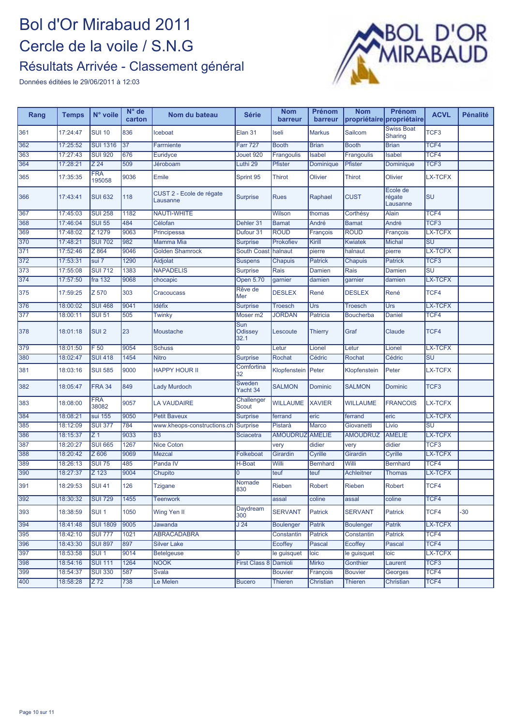

| Rang | <b>Temps</b> | N° voile             | N° de<br>carton | Nom du bateau                        | <b>Série</b>               | <b>Nom</b><br>barreur | <b>Prénom</b><br>barreur | <b>Nom</b>       | Prénom<br>propriétaire propriétaire | <b>ACVL</b>                       | Pénalité |
|------|--------------|----------------------|-----------------|--------------------------------------|----------------------------|-----------------------|--------------------------|------------------|-------------------------------------|-----------------------------------|----------|
| 361  | 17:24:47     | <b>SUI 10</b>        | 836             | Iceboat                              | Elan 31                    | Iseli                 | <b>Markus</b>            | Sailcom          | <b>Swiss Boat</b><br>Sharing        | TCF <sub>3</sub>                  |          |
| 362  | 17:25:52     | <b>SUI 1316</b>      | 37              | Farrniente                           | Farr 727                   | <b>Booth</b>          | <b>Brian</b>             | <b>Booth</b>     | <b>Brian</b>                        | TCF4                              |          |
| 363  | 17:27:43     | <b>SUI 920</b>       | 676             | Euridyce                             | Jouet 920                  | Frangoulis            | <b>Isabel</b>            | Frangoulis       | <b>Isabel</b>                       | TCF4                              |          |
| 364  | 17:28:21     | $\overline{Z}$ 24    | 509             | Jéroboam                             | Luthi 29                   | Pfister               | Dominique                | Pfister          | Dominique                           | TCF <sub>3</sub>                  |          |
| 365  | 17:35:35     | <b>FRA</b><br>195058 | 9036            | Emile                                | Sprint 95                  | <b>Thirot</b>         | Olivier                  | <b>Thirot</b>    | Olivier                             | LX-TCFX                           |          |
| 366  | 17:43:41     | <b>SUI 632</b>       | 118             | CUST 2 - Ecole de régate<br>Lausanne | Surprise                   | <b>Rues</b>           | Raphael                  | <b>CUST</b>      | Ecole de<br>régate<br>Lausanne      | <b>SU</b>                         |          |
| 367  | 17:45:03     | <b>SUI 258</b>       | 1182            | <b>NAUTI-WHITE</b>                   |                            | <b>Wilson</b>         | thomas                   | Corthésy         | <b>Alain</b>                        | TCF4                              |          |
| 368  | 17:46:04     | <b>SUI 55</b>        | 484             | Célofan                              | Dehler 31                  | <b>Bamat</b>          | André                    | <b>Bamat</b>     | André                               | TCF <sub>3</sub>                  |          |
| 369  | 17:48:02     | Z 1279               | 9063            | Principessa                          | Dufour 31                  | <b>ROUD</b>           | François                 | <b>ROUD</b>      | Francois                            | LX-TCFX                           |          |
| 370  | 17:48:21     | <b>SUI 702</b>       | 982             | Mamma Mia                            | <b>Surprise</b>            | Prokofiev             | Kirill                   | <b>Kwiatek</b>   | <b>Michal</b>                       | $\overline{\mathsf{SU}}$          |          |
| 371  | 17:52:46     | Z 864                | 9046            | <b>Golden Shamrock</b>               | <b>South Coast</b>         | halnaut               | pierre                   | halnaut          | pierre                              | LX-TCFX                           |          |
| 372  | 17:53:31     | sui 7                | 1290            | Aidjolat                             | <b>Suspens</b>             | Chapuis               | Patrick                  | Chapuis          | <b>Patrick</b>                      | TCF <sub>3</sub>                  |          |
| 373  | 17:55:08     | <b>SUI 712</b>       | 1383            | <b>NAPADELIS</b>                     | <b>Surprise</b>            | Rais                  | Damien                   | Rais             | Damien                              | $\overline{\mathsf{SU}}$          |          |
| 374  | 17:57:50     | fra 132              | 9068            | chocapic                             | Open 5.70                  | garnier               | damien                   | garnier          | damien                              | LX-TCFX                           |          |
| 375  | 17:59:25     | Z 570                | 303             | Cracoucass                           | Rêve de<br>Mer             | <b>DESLEX</b>         | René                     | <b>DESLEX</b>    | René                                | TCF4                              |          |
| 376  | 18:00:02     | <b>SUI 468</b>       | 9041            | <b>Idéfix</b>                        | Surprise                   | <b>Troesch</b>        | <b>Urs</b>               | <b>Troesch</b>   | Urs                                 | LX-TCFX                           |          |
| 377  | 18:00:11     | <b>SUI 51</b>        | 505             | <b>Twinky</b>                        | Moser <sub>m2</sub>        | <b>JORDAN</b>         | Patricia                 | <b>Boucherba</b> | Daniel                              | TCF4                              |          |
| 378  | 18:01:18     | SUI <sub>2</sub>     | 23              | Moustache                            | Sun<br>Odissey<br>32.1     | Lescoute              | <b>Thierry</b>           | Graf             | Claude                              | TCF4                              |          |
| 379  | 18:01:50     | F50                  | 9054            | <b>Schuss</b>                        | $\overline{0}$             | Letur                 | Lionel                   | Letur            | Lionel                              | <b>LX-TCFX</b>                    |          |
| 380  | 18:02:47     | <b>SUI 418</b>       | 1454            | <b>Nitro</b>                         | <b>Surprise</b>            | <b>Rochat</b>         | Cédric                   | <b>Rochat</b>    | Cédric                              | $\overline{\mathsf{S}\mathsf{U}}$ |          |
| 381  | 18:03:16     | <b>SUI 585</b>       | 9000            | <b>HAPPY HOUR II</b>                 | Comfortina<br>32           | Klopfenstein Peter    |                          | Klopfenstein     | Peter                               | LX-TCFX                           |          |
| 382  | 18:05:47     | <b>FRA 34</b>        | 849             | <b>Lady Murdoch</b>                  | Sweden<br>Yacht 34         | <b>SALMON</b>         | Dominic                  | <b>SALMON</b>    | <b>Dominic</b>                      | TCF3                              |          |
| 383  | 18:08:00     | <b>FRA</b><br>38082  | 9057            | <b>LA VAUDAIRE</b>                   | Challenger<br><b>Scout</b> | <b>WILLAUME</b>       | <b>XAVIER</b>            | <b>WILLAUME</b>  | <b>FRANCOIS</b>                     | LX-TCFX                           |          |
| 384  | 18:08:21     | sui 155              | 9050            | <b>Petit Baveux</b>                  | <b>Surprise</b>            | ferrand               | eric                     | ferrand          | eric                                | <b>LX-TCFX</b>                    |          |
| 385  | 18:12:09     | <b>SUI 377</b>       | 784             | www.kheops-constructions.ch          | Surprise                   | Pistarà               | <b>Marco</b>             | Giovanetti       | Livio                               | $\overline{\mathsf{S}\mathsf{U}}$ |          |
| 386  | 18:15:37     | Z <sub>1</sub>       | 9033            | $\overline{B3}$                      | Sciacetra                  | <b>AMOUDRUZ</b>       | <b>AMELIE</b>            | <b>AMOUDRUZ</b>  | <b>AMELIE</b>                       | LX-TCFX                           |          |
| 387  | 18:20:27     | <b>SUI 665</b>       | 1267            | <b>Nice Coton</b>                    |                            | very                  | didier                   | very             | didier                              | TCF <sub>3</sub>                  |          |
| 388  | 18:20:42     | Z 606                | 9069            | Mezcal                               | <b>Folkeboat</b>           | Girardin              | Cyrille                  | Girardin         | Cyrille                             | LX-TCFX                           |          |
| 389  | 18:26:13     | <b>SUI 75</b>        | 485             | Panda IV                             | H-Boat                     | Willi                 | <b>Bernhard</b>          | Willi            | <b>Bernhard</b>                     | TCF4                              |          |
| 390  | 18:27:37     | Z 123                | 9004            | Chupito                              | $\Omega$                   | teuf                  | teuf                     | Achleitner       | <b>Thomas</b>                       | LX-TCFX                           |          |
| 391  | 18:29:53     | <b>SUI 41</b>        | 126             | <b>Tzigane</b>                       | Nomade<br>830              | <b>Rieben</b>         | Robert                   | Rieben           | Robert                              | TCF4                              |          |
| 392  | 18:30:32     | <b>SUI 729</b>       | 1455            | <b>Teenwork</b>                      |                            | assal                 | coline                   | assal            | coline                              | TCF4                              |          |
| 393  | 18:38:59     | SUI <sub>1</sub>     | 1050            | Wing Yen II                          | Daydream<br>300            | <b>SERVANT</b>        | <b>Patrick</b>           | <b>SERVANT</b>   | <b>Patrick</b>                      | TCF4                              | $-30$    |
| 394  | 18:41:48     | <b>SUI 1809</b>      | 9005            | Jawanda                              | J <sub>24</sub>            | <b>Boulenger</b>      | Patrik                   | Boulenger        | Patrik                              | <b>LX-TCFX</b>                    |          |
| 395  | 18:42:10     | <b>SUI 777</b>       | 1021            | <b>ABRACADABRA</b>                   |                            | Constantin            | <b>Patrick</b>           | Constantin       | <b>Patrick</b>                      | TCF4                              |          |
| 396  | 18:43:30     | <b>SUI 897</b>       | 897             | <b>Silver Lake</b>                   |                            | Ecoffey               | Pascal                   | Ecoffey          | Pascal                              | TCF4                              |          |
| 397  | 18:53:58     | SUI <sub>1</sub>     | 9014            | <b>Betelgeuse</b>                    | ١o                         | le guisquet           | loic                     | le guisquet      | loic                                | LX-TCFX                           |          |
| 398  | 18:54:16     | <b>SUI 111</b>       | 1264            | <b>NOOK</b>                          | <b>First Class 8</b>       | Damioli               | <b>Mirko</b>             | Gonthier         | Laurent                             | TCF3                              |          |
| 399  | 18:54:37     | <b>SUI 330</b>       | 587             | <b>Svala</b>                         |                            | <b>Bouvier</b>        | François                 | <b>Bouvier</b>   | Georges                             | TCF4                              |          |
| 400  | 18:58:28     | $Z$ 72               | 738             | Le Melen                             | <b>Bucero</b>              | <b>Thieren</b>        | Christian                | <b>Thieren</b>   | Christian                           | TCF4                              |          |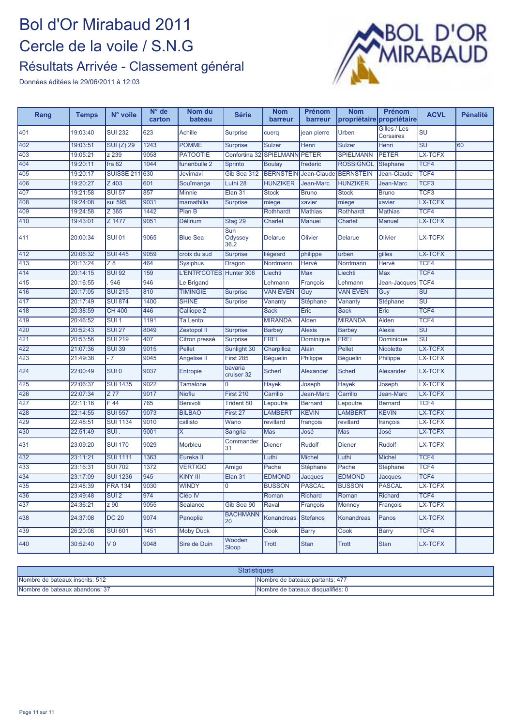

| Rang | <b>Temps</b> | N° voile          | N° de<br>carton | Nom du<br>bateau      | <b>Série</b>           | <b>Nom</b><br>barreur  | Prénom<br>barreur | <b>Nom</b><br>propriétaire | Prénom<br>propriétaire           | <b>ACVL</b>                       | <b>Pénalité</b> |
|------|--------------|-------------------|-----------------|-----------------------|------------------------|------------------------|-------------------|----------------------------|----------------------------------|-----------------------------------|-----------------|
| 401  | 19:03:40     | <b>SUI 232</b>    | 623             | <b>Achille</b>        | <b>Surprise</b>        | cuerq                  | jean pierre       | Urben                      | Gilles / Les<br><b>Corsaires</b> | SU                                |                 |
| 402  | 19:03:51     | <b>SUI (Z) 29</b> | 1243            | <b>POMME</b>          | <b>Surprise</b>        | <b>Sulzer</b>          | <b>Henri</b>      | Sulzer                     | <b>Henri</b>                     | $\overline{\mathsf{S}\mathsf{U}}$ | 60              |
| 403  | 19:05:21     | z 239             | 9058            | <b>PATOOTIE</b>       | Confortina 32          | <b>SPIELMANN PETER</b> |                   | <b>SPIELMANN</b>           | <b>PETER</b>                     | <b>LX-TCFX</b>                    |                 |
| 404  | 19:20:11     | fra $62$          | 1044            | funenbulle 2          | <b>Sprinto</b>         | <b>Boulay</b>          | frederic          | <b>ROSSIGNOL</b>           | <b>Stephane</b>                  | TCF4                              |                 |
| 405  | 19:20:17     | <b>SUISSE 211</b> | 630             | Jevimavi              | Gib Sea 312            | <b>BERNSTEIN</b>       | Jean-Claude       | <b>BERNSTEIN</b>           | Jean-Claude                      | TCF4                              |                 |
| 406  | 19:20:27     | $Z$ 403           | 601             | Souïmanga             | Luthi 28               | <b>HUNZIKER</b>        | Jean-Marc         | <b>HUNZIKER</b>            | Jean-Marc                        | TCF <sub>3</sub>                  |                 |
| 407  | 19:21:58     | <b>SUI 57</b>     | 857             | <b>Minnie</b>         | Elan 31                | <b>Stock</b>           | <b>Bruno</b>      | <b>Stock</b>               | <b>Bruno</b>                     | TCF <sub>3</sub>                  |                 |
| 408  | 19:24:08     | sui 595           | 9031            | mamathilia            | <b>Surprise</b>        | miege                  | xavier            | miege                      | xavier                           | <b>LX-TCFX</b>                    |                 |
| 409  | 19:24:58     | $Z$ 365           | 1442            | Plan <sub>B</sub>     |                        | Rothhardt              | <b>Mathias</b>    | Rothhardt                  | <b>Mathias</b>                   | TCF4                              |                 |
| 410  | 19:43:01     | Z 1477            | 9051            | <b>Délirium</b>       | Stag 29                | <b>Charlet</b>         | Manuel            | <b>Charlet</b>             | <b>Manuel</b>                    | <b>LX-TCFX</b>                    |                 |
| 411  | 20:00:34     | <b>SUI 01</b>     | 9065            | <b>Blue Sea</b>       | Sun<br>Odyssey<br>36.2 | <b>Delarue</b>         | <b>Olivier</b>    | <b>Delarue</b>             | Olivier                          | <b>LX-TCFX</b>                    |                 |
| 412  | 20:06:32     | <b>SUI 445</b>    | 9059            | croix du sud          | <b>Surprise</b>        | liégeard               | philippe          | urben                      | gilles                           | <b>LX-TCFX</b>                    |                 |
| 413  | 20:13:24     | Z8                | 464             | <b>Sysiphus</b>       | Dragon                 | Nordmann               | Hervé             | Nordmann                   | Hervé                            | TCF4                              |                 |
| 414  | 20:14:15     | <b>SUI 92</b>     | 159             | L'ENTR'COTES          | Hunter 306             | Liechti                | <b>Max</b>        | Liechti                    | Max                              | TCF4                              |                 |
| 415  | 20:16:55     | 946               | 946             | Le Brigand            |                        | Lehmann                | François          | Lehmann                    | Jean-Jacques                     | TCF4                              |                 |
| 416  | 20:17:05     | <b>SUI 215</b>    | 810             | <b>TIMINGIE</b>       | <b>Surprise</b>        | <b>VAN EVEN</b>        | Guy               | <b>VAN EVEN</b>            | Guy                              | $\overline{\mathsf{SU}}$          |                 |
| 417  | 20:17:49     | <b>SUI 874</b>    | 1400            | <b>SHINE</b>          | <b>Surprise</b>        | Vananty                | Stéphane          | Vananty                    | <b>Stéphane</b>                  | $\overline{\mathsf{s}\mathsf{u}}$ |                 |
| 418  | 20:38:59     | <b>CH 400</b>     | 446             | Calliope <sub>2</sub> |                        | <b>Sack</b>            | Eric              | Sack                       | Eric                             | TCF4                              |                 |
| 419  | 20:46:52     | $SUI$ 1           | 1191            | <b>Ta Lento</b>       |                        | <b>MIRANDA</b>         | Alden             | <b>MIRANDA</b>             | <b>Alden</b>                     | TCF4                              |                 |
| 420  | 20:52:43     | <b>SUI 27</b>     | 8049            | Zestopol II           | <b>Surprise</b>        | <b>Barbey</b>          | <b>Alexis</b>     | <b>Barbey</b>              | <b>Alexis</b>                    | $\overline{\mathsf{SU}}$          |                 |
| 421  | 20:53:56     | <b>SUI 219</b>    | 407             | Citron pressé         | <b>Surprise</b>        | <b>FREI</b>            | <b>Dominique</b>  | <b>FREI</b>                | Dominique                        | $\overline{\mathsf{s}\mathsf{u}}$ |                 |
| 422  | 21:07:36     | <b>SUI 39</b>     | 9015            | <b>Pellet</b>         | Sunlight 30            | Charpilloz             | Alain             | Pellet                     | Nicolette                        | <b>LX-TCFX</b>                    |                 |
| 423  | 21:49:38     | $-7$              | 9045            | Angelise II           | First 285              | <b>Béquelin</b>        | Philippe          | <b>Béguelin</b>            | Philippe                         | LX-TCFX                           |                 |
| 424  | 22:00:49     | <b>SUIO</b>       | 9037            | Entropie              | bavaria<br>cruiser 32  | <b>Scherl</b>          | Alexander         | <b>Scherl</b>              | Alexander                        | LX-TCFX                           |                 |
| 425  | 22:06:37     | <b>SUI 1435</b>   | 9022            | <b>Tamalone</b>       | 0                      | Hayek                  | Joseph            | Hayek                      | Joseph                           | <b>LX-TCFX</b>                    |                 |
| 426  | 22:07:34     | $Z$ 77            | 9017            | <b>Nioflu</b>         | First 210              | Carrillo               | Jean-Marc         | Carrillo                   | Jean-Marc                        | LX-TCFX                           |                 |
| 427  | 22:11:16     | F44               | 765             | <b>Benivoli</b>       | <b>Trident 80</b>      | Lepoutre               | <b>Bernard</b>    | Lepoutre                   | <b>Bernard</b>                   | TCF4                              |                 |
| 428  | 22:14:55     | <b>SUI 557</b>    | 9073            | <b>BILBAO</b>         | First 27               | <b>LAMBERT</b>         | <b>KEVIN</b>      | <b>LAMBERT</b>             | <b>KEVIN</b>                     | <b>LX-TCFX</b>                    |                 |
| 429  | 22:48:51     | <b>SUI 1134</b>   | 9010            | callisto              | Wano                   | revillard              | françois          | revillard                  | françois                         | LX-TCFX                           |                 |
| 430  | 22:51:49     | $SUI$ .           | 9001            | X                     | Sangria                | <b>Mas</b>             | José              | Mas                        | José                             | LX-TCFX                           |                 |
| 431  | 23:09:20     | <b>SUI 170</b>    | 9029            | Morbleu               | Commander<br>31        | Diener                 | Rudolf            | <b>Diener</b>              | <b>Rudolf</b>                    | <b>LX-TCFX</b>                    |                 |
| 432  | 23:11:21     | <b>SUI 1111</b>   | 1363            | Eureka II             |                        | Luthi                  | <b>Michel</b>     | Luthi                      | <b>Michel</b>                    | TCF4                              |                 |
| 433  | 23:16:31     | <b>SUI 702</b>    | 1372            | <b>VERTIGO</b>        | Amigo                  | Pache                  | Stéphane          | Pache                      | Stéphane                         | TCF4                              |                 |
| 434  | 23:17:09     | <b>SUI 1236</b>   | 945             | <b>KINY III</b>       | Elan 31                | <b>EDMOND</b>          | <b>Jacques</b>    | <b>EDMOND</b>              | <b>Jacques</b>                   | TCF4                              |                 |
| 435  | 23:48:39     | <b>FRA 134</b>    | 9030            | <b>WINDY</b>          | 0                      | <b>BUSSON</b>          | <b>PASCAL</b>     | <b>BUSSON</b>              | <b>PASCAL</b>                    | <b>LX-TCFX</b>                    |                 |
| 436  | 23:49:48     | SUI <sub>2</sub>  | 974             | Cléo IV               |                        | Roman                  | <b>Richard</b>    | Roman                      | Richard                          | TCF4                              |                 |
| 437  | 24:36:21     | z90               | 9055            | <b>Sealance</b>       | Gib Sea 90             | Raval                  | François          | Monney                     | François                         | LX-TCFX                           |                 |
| 438  | 24:37:08     | <b>DC 20</b>      | 9074            | Panoplie              | <b>BACHMANN</b><br>20  | <b>Konandreas</b>      | <b>Stefanos</b>   | <b>Konandreas</b>          | Panos                            | LX-TCFX                           |                 |
| 439  | 26:20:08     | <b>SUI 601</b>    | 1451            | <b>Moby Duck</b>      |                        | Cook                   | <b>Barry</b>      | Cook                       | Barry                            | TCF4                              |                 |
| 440  | 30:52:40     | V <sub>0</sub>    | 9048            | Sire de Duin          | Wooden<br>Sloop        | Trott                  | <b>Stan</b>       | Trott                      | <b>Stan</b>                      | LX-TCFX                           |                 |

|                                 | ∋tatistiques                       |
|---------------------------------|------------------------------------|
| Nombre de bateaux inscrits: 512 | INombre de bateaux partants: 477   |
| Nombre de bateaux abandons: 37  | INombre de bateaux disqualifiés: 0 |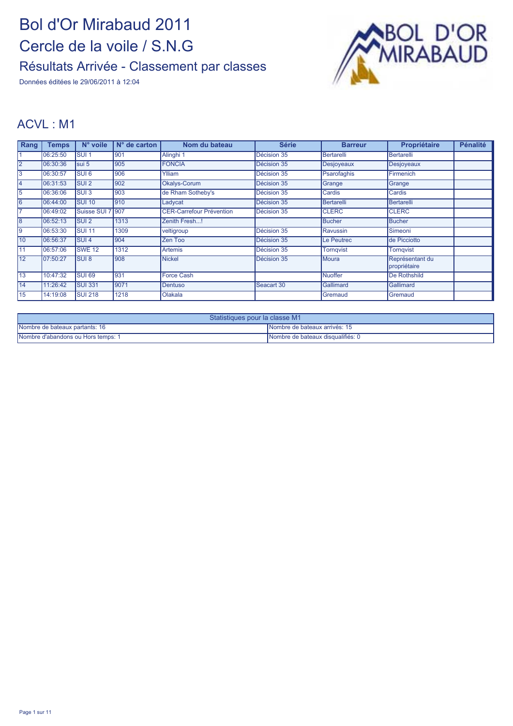Données éditées le 29/06/2011 à 12:04



#### ACVL : M1

| Rang            | <b>Temps</b> | $N^{\circ}$ voile         | $No$ de carton | Nom du bateau                   | <b>Série</b> | <b>Barreur</b>    | Propriétaire                    | <b>Pénalité</b> |
|-----------------|--------------|---------------------------|----------------|---------------------------------|--------------|-------------------|---------------------------------|-----------------|
|                 | 06:25:50     | <b>SUI1</b>               | 901            | Alinghi 1                       | Décision 35  | <b>Bertarelli</b> | Bertarelli                      |                 |
| 2               | 06:30:36     | Isui 5                    | 905            | <b>FONCIA</b>                   | Décision 35  | <b>Desjoyeaux</b> | Desjoyeaux                      |                 |
| 3               | 06:30:57     | SUI <sub>6</sub>          | 906            | Ylliam                          | Décision 35  | Psarofaghis       | Firmenich                       |                 |
| 14              | 06:31:53     | <b>SUI2</b>               | 902            | Okalys-Corum                    | Décision 35  | Grange            | Grange                          |                 |
| 5               | 06:36:06     | <b>SUI3</b>               | 903            | de Rham Sotheby's               | Décision 35  | Cardis            | Cardis                          |                 |
| l6              | 06:44:00     | <b>SUI 10</b>             | 910            | Ladycat                         | Décision 35  | <b>Bertarelli</b> | Bertarelli                      |                 |
|                 | 06:49:02     | Suisse SUI 71907          |                | <b>CER-Carrefour Prévention</b> | Décision 35  | <b>CLERC</b>      | <b>CLERC</b>                    |                 |
| 8               | 06:52:13     | $\overline{\text{SUI 2}}$ | 1313           | Zenith Fresh!                   |              | <b>Bucher</b>     | Bucher                          |                 |
| 19              | 06:53:30     | <b>SUI 11</b>             | 1309           | veltigroup                      | Décision 35  | Ravussin          | Simeoni                         |                 |
| 10              | 06:56:37     | <b>SUI4</b>               | 904            | Zen Too                         | Décision 35  | Le Peutrec        | de Picciotto                    |                 |
| $\overline{11}$ | 06:57:06     | <b>SWE 12</b>             | 1312           | <b>Artemis</b>                  | Décision 35  | <b>Torngvist</b>  | <b>Torngvist</b>                |                 |
| $\overline{12}$ | 07:50:27     | <b>SUI 8</b>              | 908            | <b>Nickel</b>                   | Décision 35  | Moura             | Représentant du<br>propriétaire |                 |
| 13              | 10:47:32     | <b>SUI 69</b>             | 931            | <b>Force Cash</b>               |              | Nuoffer           | De Rothshild                    |                 |
| 14              | 11:26:42     | <b>SUI 331</b>            | 9071           | <b>Dentuso</b>                  | Seacart 30   | Gallimard         | Gallimard                       |                 |
| 15              | 14:19:08     | <b>SUI 218</b>            | 1218           | Olakala                         |              | Gremaud           | Gremaud                         |                 |

| Statistiques pour la classe M1     |                                    |  |  |
|------------------------------------|------------------------------------|--|--|
| Nombre de bateaux partants: 16     | INombre de bateaux arrivés: 15     |  |  |
| Nombre d'abandons ou Hors temps: 1 | INombre de bateaux disqualifiés: 0 |  |  |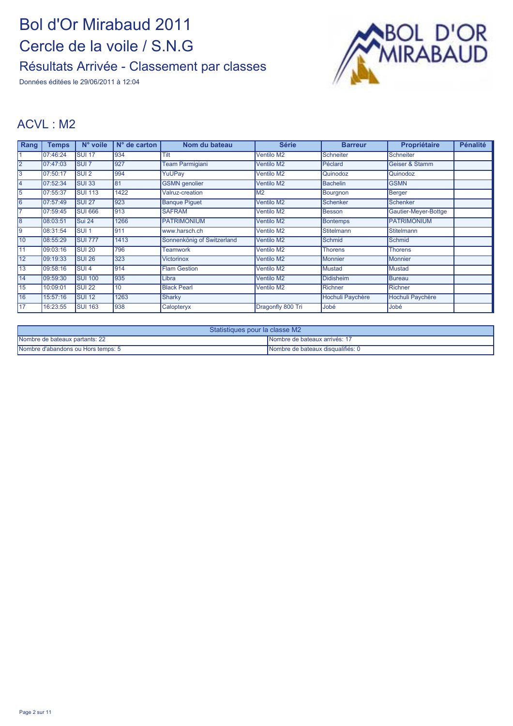Données éditées le 29/06/2011 à 12:04



#### ACVL : M2

| Rang            | <b>Temps</b> | N° voile                  | $N°$ de carton | Nom du bateau              | <b>Série</b>      | <b>Barreur</b>    | Propriétaire         | <b>Pénalité</b> |
|-----------------|--------------|---------------------------|----------------|----------------------------|-------------------|-------------------|----------------------|-----------------|
|                 | 07:46:24     | <b>SUI 17</b>             | 934            | Tilt                       | Ventilo M2        | <b>Schneiter</b>  | Schneiter            |                 |
| 2               | 07:47:03     | <b>SUI 7</b>              | 927            | <b>Feam Parmigiani</b>     | Ventilo M2        | Péclard           | Geiser & Stamm       |                 |
| 3               | 07:50:17     | $\overline{\text{SUI 2}}$ | 994            | YuUPay                     | Ventilo M2        | Quinodoz          | Quinodoz             |                 |
| 14              | 07:52:34     | <b>SUI 33</b>             | 81             | <b>GSMN</b> genolier       | Ventilo M2        | <b>Bachelin</b>   | <b>GSMN</b>          |                 |
| 5               | 07:55:37     | <b>SUI 113</b>            | 1422           | Valruz-creation            | M <sub>2</sub>    | Bourgnon          | Berger               |                 |
| l6              | 07:57:49     | <b>SUI 27</b>             | 923            | <b>Banque Piguet</b>       | Ventilo M2        | <b>Schenker</b>   | Schenker             |                 |
|                 | 07:59:45     | <b>SUI 666</b>            | 913            | <b>SAFRAM</b>              | Ventilo M2        | Besson            | Gautier-Meyer-Bottge |                 |
| l8              | 08:03:51     | Sui 24                    | 1266           | <b>PATRIMONIUM</b>         | Ventilo M2        | <b>Bontemps</b>   | <b>PATRIMONIUM</b>   |                 |
| l9              | 08:31:54     | <b>SUI1</b>               | 911            | www.harsch.ch              | Ventilo M2        | <b>Stitelmann</b> | <b>Stitelmann</b>    |                 |
| 10              | 08:55:29     | <b>SUI 777</b>            | 1413           | Sonnenkönig of Switzerland | Ventilo M2        | Schmid            | Schmid               |                 |
| 11              | 09:03:16     | <b>SUI 20</b>             | 796            | <b>Teamwork</b>            | Ventilo M2        | <b>Thorens</b>    | <b>Thorens</b>       |                 |
| $\overline{12}$ | 09:19:33     | <b>SUI 26</b>             | 323            | <b>Victorinox</b>          | Ventilo M2        | <b>Monnier</b>    | <b>Monnier</b>       |                 |
| 13              | 09:58:16     | <b>SUI4</b>               | 914            | <b>Flam Gestion</b>        | Ventilo M2        | Mustad            | <b>Mustad</b>        |                 |
| 14              | 09:59:30     | <b>SUI 100</b>            | 935            | Libra                      | Ventilo M2        | <b>Didisheim</b>  | <b>Bureau</b>        |                 |
| 15              | 10:09:01     | <b>SUI 22</b>             | 10             | <b>Black Pearl</b>         | Ventilo M2        | Richner           | Richner              |                 |
| 16              | 15:57:16     | SUI <sub>12</sub>         | 1263           | Sharky                     |                   | Hochuli Paychère  | Hochuli Paychère     |                 |
| 17              | 16:23:55     | <b>SUI 163</b>            | 938            | Calopteryx                 | Dragonfly 800 Tri | Jobé              | Jobé                 |                 |

| Statistiques pour la classe M2     |                                    |  |  |
|------------------------------------|------------------------------------|--|--|
| Nombre de bateaux partants: 22     | INombre de bateaux arrivés: 17     |  |  |
| Nombre d'abandons ou Hors temps: 5 | INombre de bateaux disqualifiés: 0 |  |  |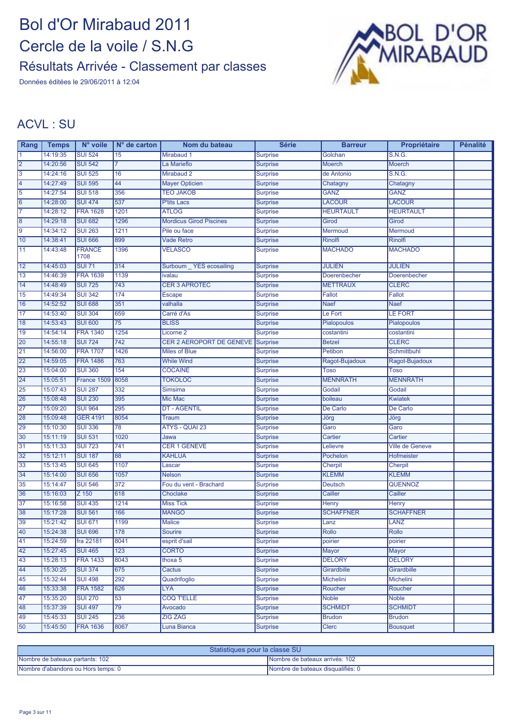Données éditées le 29/06/2011 à 12:04



#### ACVL : SU

| Rang                    | <b>Temps</b> | N° voile              | $N°$ de carton   | Nom du bateau                  | <b>Série</b>    | <b>Barreur</b>   | Propriétaire           | <b>Pénalité</b> |
|-------------------------|--------------|-----------------------|------------------|--------------------------------|-----------------|------------------|------------------------|-----------------|
|                         | 14:19:35     | <b>SUI 524</b>        | 15 <sub>1</sub>  | Mirabaud 1                     | <b>Surprise</b> | Golchan          | S.N.G.                 |                 |
| $ 2\rangle$             | 14:20:56     | <b>SUI 542</b>        |                  | La Marieflo                    | <b>Surprise</b> | <b>Moerch</b>    | <b>Moerch</b>          |                 |
| 3                       | 14:24:16     | <b>SUI 525</b>        | 16               | Mirabaud 2                     | Surprise        | de Antonio       | S.N.G.                 |                 |
| 4                       | 14:27:49     | <b>SUI 595</b>        | 44               | <b>Mayer Opticien</b>          | <b>Surprise</b> | Chatagny         | Chatagny               |                 |
| $\overline{5}$          | 14:27:54     | <b>SUI 518</b>        | 356              | <b>TEO JAKOB</b>               | <b>Surprise</b> | <b>GANZ</b>      | <b>GANZ</b>            |                 |
| 6                       | 14:28:00     | <b>SUI 474</b>        | 537              | <b>P'tits Lacs</b>             | <b>Surprise</b> | <b>LACOUR</b>    | <b>LACOUR</b>          |                 |
| 17                      | 14:28:12     | <b>FRA 1628</b>       | 1201             | <b>ATLOG</b>                   | <b>Surprise</b> | <b>HEURTAULT</b> | <b>HEURTAULT</b>       |                 |
| $\overline{\mathbf{8}}$ | 14:29:18     | <b>SUI 682</b>        | 1296             | <b>Mordicus Girod Piscines</b> | <b>Surprise</b> | Girod            | Girod                  |                 |
| $\overline{9}$          | 14:34:12     | <b>SUI 263</b>        | 1211             | Pile ou face                   | <b>Surprise</b> | Mermoud          | Mermoud                |                 |
| 10                      | 14:38:41     | <b>SUI 666</b>        | 899              | <b>Vade Retro</b>              | <b>Surprise</b> | <b>Rinolfi</b>   | Rinolfi                |                 |
| 11                      | 14:43:48     | <b>FRANCE</b><br>1708 | 1396             | <b>VELASCO</b>                 | <b>Surprise</b> | <b>MACHADO</b>   | <b>MACHADO</b>         |                 |
| 12                      | 14:45:03     | <b>SUI 71</b>         | 314              | Surboum _ YES ecosailing       | <b>Surprise</b> | <b>JULIEN</b>    | <b>JULIEN</b>          |                 |
| $\overline{13}$         | 14:46:39     | <b>FRA 1639</b>       | 1139             | ivalau                         | <b>Surprise</b> | Doerenbecher     | Doerenbecher           |                 |
| 14                      | 14:48:49     | <b>SUI 725</b>        | $\overline{743}$ | <b>CER 3 APROTEC</b>           | <b>Surprise</b> | <b>METTRAUX</b>  | <b>CLERC</b>           |                 |
| 15                      | 14:49:34     | <b>SUI 342</b>        | 174              | <b>Escape</b>                  | <b>Surprise</b> | Fallot           | Fallot                 |                 |
| 16                      | 14:52:52     | <b>SUI 688</b>        | 351              | valhalla                       | <b>Surprise</b> | <b>Naef</b>      | <b>Naef</b>            |                 |
| 17                      | 14:53:40     | <b>SUI 304</b>        | 659              | Carré d'As                     | <b>Surprise</b> | Le Fort          | <b>LE FORT</b>         |                 |
| 18                      | 14:53:43     | <b>SUI 600</b>        | 75               | <b>BLISS</b>                   | <b>Surprise</b> | Pialopoulos      | Pialopoulos            |                 |
| 19                      | 14:54:14     | <b>FRA 1340</b>       | 1254             | Licorne <sub>2</sub>           | <b>Surprise</b> | costantini       | costantini             |                 |
| 20                      | 14:55:18     | <b>SUI 724</b>        | $\overline{742}$ | CER 2 AEROPORT DE GENEVE       | Surprise        | <b>Betzel</b>    | <b>CLERC</b>           |                 |
| $\overline{21}$         | 14:56:00     | <b>FRA 1707</b>       | 1426             | <b>Miles of Blue</b>           | <b>Surprise</b> | Petibon          | Schmittbuhl            |                 |
| 22                      | 14:59:05     | <b>FRA 1486</b>       | 763              | <b>While Wind</b>              | <b>Surprise</b> | Ragot-Bujadoux   | Ragot-Bujadoux         |                 |
| 23                      | 15:04:00     | <b>SUI 360</b>        | 154              | <b>COCAINE</b>                 | <b>Surprise</b> | <b>Toso</b>      | <b>Toso</b>            |                 |
| $\overline{24}$         | 15:05:51     | France 1509           | 8058             | <b>TOKOLOC</b>                 | <b>Surprise</b> | <b>MENNRATH</b>  | <b>MENNRATH</b>        |                 |
| 25                      | 15:07:43     | <b>SUI 287</b>        | 332              | Simsima                        | <b>Surprise</b> | Godail           | Godail                 |                 |
| 26                      | 15:08:48     | <b>SUI 230</b>        | 395              | Mic Mac                        | <b>Surprise</b> | boileau          | <b>Kwiatek</b>         |                 |
| $\overline{27}$         | 15:09:20     | <b>SUI 964</b>        | 295              | <b>DT - AGENTIL</b>            | <b>Surprise</b> | De Carlo         | De Carlo               |                 |
| 28                      | 15:09:48     | <b>GER 4191</b>       | 8054             | <b>Traum</b>                   | <b>Surprise</b> | Jörg             | Jörg                   |                 |
| 29                      | 15:10:30     | <b>SUI 336</b>        | 78               | ATYS - QUAI 23                 | <b>Surprise</b> | Garo             | Garo                   |                 |
| 30                      | 15:11:19     | <b>SUI 531</b>        | 1020             | Jawa                           | <b>Surprise</b> | Cartier          | Cartier                |                 |
| 31                      | 15:11:33     | <b>SUI 723</b>        | 741              | <b>CER 1 GENEVE</b>            | Surprise        | Lelievre         | <b>Ville de Geneve</b> |                 |
| 32                      | 15:12:11     | <b>SUI 187</b>        | $\overline{88}$  | <b>KAHLUA</b>                  | <b>Surprise</b> | Pochelon         | Hofmeister             |                 |
| 33                      | 15:13:45     | <b>SUI 645</b>        | 1107             | Lascar                         | <b>Surprise</b> | <b>Cherpit</b>   | Cherpit                |                 |
| 34                      | 15:14:00     | <b>SUI 656</b>        | 1057             | <b>Nelson</b>                  | <b>Surprise</b> | <b>KLEMM</b>     | <b>KLEMM</b>           |                 |
| 35                      | 15:14:47     | <b>SUI 546</b>        | $\overline{372}$ | Fou du vent - Brachard         | <b>Surprise</b> | <b>Deutsch</b>   | <b>QUENNOZ</b>         |                 |
| 36                      | 15:16:03     | $Z$ 150               | 618              | Choclake                       | <b>Surprise</b> | Cailler          | Cailler                |                 |
| 37                      | 15:16:58     | <b>SUI 435</b>        | 1214             | <b>Miss Tick</b>               | <b>Surprise</b> | <b>Henry</b>     | Henry                  |                 |
| 38                      | 15:17:28     | <b>SUI 561</b>        | 166              | <b>MANGO</b>                   | <b>Surprise</b> | <b>SCHAFFNER</b> | <b>SCHAFFNER</b>       |                 |
| 39                      | 15:21:42     | <b>SUI 671</b>        | 1199             | <b>Malice</b>                  | <b>Surprise</b> | Lanz             | LANZ                   |                 |
| 40                      | 15:24:38     | <b>SUI 696</b>        | 178              | Sourire                        | <b>Surprise</b> | Rollo            | Rollo                  |                 |
| 41                      | 15:24:59     | fra 22181             | 8041             | esprit d'sail                  | <b>Surprise</b> | poirier          | poirier                |                 |
| 42                      | 15:27:45     | <b>SUI 465</b>        | 123              | <b>CORTO</b>                   | <b>Surprise</b> | <b>Mayor</b>     | <b>Mayor</b>           |                 |
| 43                      | 15:28:13     | <b>FRA 1433</b>       | 8043             | thoxa 5                        | <b>Surprise</b> | <b>DELORY</b>    | <b>DELORY</b>          |                 |
| 44                      | 15:30:25     | <b>SUI 374</b>        | 675              | Cactus                         | <b>Surprise</b> | Girardbille      | Girardbille            |                 |
| 45                      | 15:32:44     | <b>SUI 498</b>        | 292              | Quadrifoglio                   | <b>Surprise</b> | Michelini        | Michelini              |                 |
| 46                      | 15:33:38     | <b>FRA 1582</b>       | 626              | LYA.                           | <b>Surprise</b> | Roucher          | Roucher                |                 |
| 47                      | 15:35:20     | <b>SUI 270</b>        | 53               | <b>COQ T'ELLE</b>              | <b>Surprise</b> | <b>Noble</b>     | <b>Noble</b>           |                 |
| 48                      | 15:37:39     | <b>SUI 497</b>        | 79               | Avocado                        | <b>Surprise</b> | <b>SCHMIDT</b>   | <b>SCHMIDT</b>         |                 |
| 49                      | 15:45:33     | <b>SUI 245</b>        | 236              | <b>ZIG ZAG</b>                 | <b>Surprise</b> | <b>Brudon</b>    | <b>Brudon</b>          |                 |
| 50                      | 15:45:50     | <b>FRA 1636</b>       | 8067             | Luna Bianca                    | <b>Surprise</b> | <b>Clerc</b>     | <b>Bousquet</b>        |                 |
|                         |              |                       |                  |                                |                 |                  |                        |                 |

| Statistiques pour la classe SU     |                                   |  |  |  |
|------------------------------------|-----------------------------------|--|--|--|
| Nombre de bateaux partants: 102    | Nombre de bateaux arrivés: 102    |  |  |  |
| Nombre d'abandons ou Hors temps: 0 | Nombre de bateaux disqualifiés: 0 |  |  |  |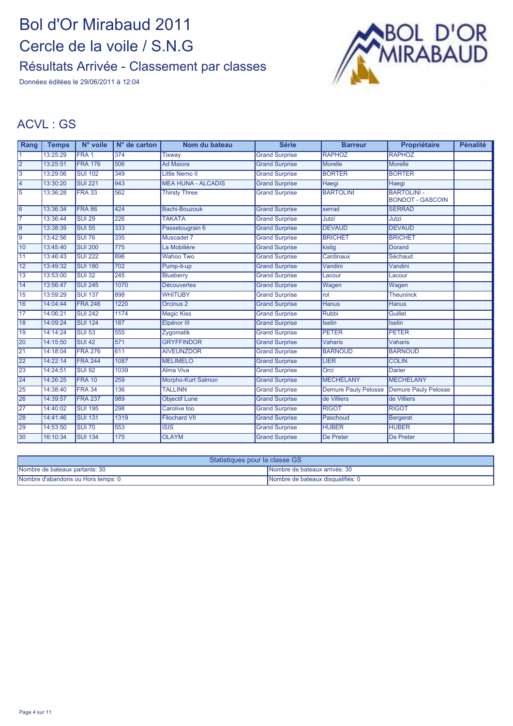Données éditées le 29/06/2011 à 12:04



#### ACVL : GS

| Rang            | <b>Temps</b> | N° voile         | $N°$ de carton   | Nom du bateau             | <b>Série</b>          | <b>Barreur</b>              | Propriétaire                                  | <b>Pénalité</b> |
|-----------------|--------------|------------------|------------------|---------------------------|-----------------------|-----------------------------|-----------------------------------------------|-----------------|
|                 | 13:25:29     | FRA <sub>1</sub> | 374              | <b>Tixway</b>             | <b>Grand Surprise</b> | <b>RAPHOZ</b>               | <b>RAPHOZ</b>                                 |                 |
| $\overline{2}$  | 13:25:51     | <b>FRA 176</b>   | 506              | <b>Ad Maiora</b>          | <b>Grand Surprise</b> | Morelle                     | <b>Morelle</b>                                |                 |
| 3               | 13:29:06     | <b>SUI 102</b>   | 349              | <b>Little Nemo II</b>     | <b>Grand Surprise</b> | <b>BORTER</b>               | <b>BORTER</b>                                 |                 |
| 4               | 13:30:20     | <b>SUI 221</b>   | 943              | <b>MEA HUNA - ALCADIS</b> | <b>Grand Surprise</b> | Haegi                       | Haegi                                         |                 |
| 5               | 13:36:28     | <b>FRA 33</b>    | 562              | <b>Thirsty Three</b>      | <b>Grand Surprise</b> | <b>BARTOLINI</b>            | <b>BARTOLINI -</b><br><b>BONDOT - GASCOIN</b> |                 |
| $\overline{6}$  | 13:36:34     | FRA 86           | 424              | Bachi-Bouzouk             | <b>Grand Surprise</b> | serrad                      | <b>SERRAD</b>                                 |                 |
|                 | 13:36:44     | <b>SUI 29</b>    | 226              | <b>TAKATA</b>             | <b>Grand Surprise</b> | Jutzi                       | Jutzi                                         |                 |
| 8               | 13:38:39     | <b>SUI 55</b>    | 333              | Passetougrain 6           | <b>Grand Surprise</b> | <b>DEVAUD</b>               | <b>DEVAUD</b>                                 |                 |
| 9               | 13:42:56     | <b>SUI 76</b>    | 335              | Muscadet 7                | <b>Grand Surprise</b> | <b>BRICHET</b>              | <b>BRICHET</b>                                |                 |
| 10              | 13:45:40     | <b>SUI 200</b>   | $\overline{775}$ | La Mobilière              | <b>Grand Surprise</b> | kislig                      | <b>Dorand</b>                                 |                 |
| $\overline{11}$ | 13:46:43     | <b>SUI 222</b>   | 896              | <b>Wahoo Two</b>          | <b>Grand Surprise</b> | Cardinaux                   | Séchaud                                       |                 |
| $\overline{12}$ | 13:49:32     | <b>SUI 180</b>   | 702              | Pump-it-up                | <b>Grand Surprise</b> | Vandini                     | Vandini                                       |                 |
| 13              | 13:53:00     | <b>SUI 32</b>    | 245              | Blueberry                 | <b>Grand Surprise</b> | Lacour                      | Lacour                                        |                 |
| 14              | 13:56:47     | <b>SUI 245</b>   | 1070             | <b>Découvertes</b>        | <b>Grand Surprise</b> | Wagen                       | Wagen                                         |                 |
| 15              | 13:59:29     | <b>SUI 137</b>   | 898              | <b>WHITUBY</b>            | <b>Grand Surprise</b> | rol                         | <b>Theuninck</b>                              |                 |
| 16              | 14:04:44     | <b>FRA 246</b>   | 1220             | Orcinus <sub>2</sub>      | <b>Grand Surprise</b> | <b>Hanus</b>                | <b>Hanus</b>                                  |                 |
| 17              | 14:06:21     | <b>SUI 242</b>   | 1174             | <b>Magic Kiss</b>         | <b>Grand Surprise</b> | <b>Rubbi</b>                | Guillet                                       |                 |
| 18              | 14:09:24     | <b>SUI 124</b>   | 187              | Elpénor III               | <b>Grand Surprise</b> | <b>Iselin</b>               | <b>Iselin</b>                                 |                 |
| 19              | 14:14:24     | <b>SUI 53</b>    | 555              | Zygomatik                 | <b>Grand Surprise</b> | <b>PETER</b>                | <b>PETER</b>                                  |                 |
| 20              | 14:15:50     | <b>SUI 42</b>    | 571              | <b>GRYFFINDOR</b>         | <b>Grand Surprise</b> | <b>Vaharis</b>              | <b>Vaharis</b>                                |                 |
| 21              | 14:18:04     | <b>FRA 276</b>   | 611              | <b>AIVEUNZDOR</b>         | <b>Grand Surprise</b> | <b>BARNOUD</b>              | <b>BARNOUD</b>                                |                 |
| 22              | 14:22:14     | <b>FRA 244</b>   | 1087             | <b>MELIMELO</b>           | <b>Grand Surprise</b> | <b>LIER</b>                 | <b>COLIN</b>                                  |                 |
| 23              | 14:24:51     | <b>SUI 92</b>    | 1039             | <b>Alma Viva</b>          | <b>Grand Surprise</b> | Orci                        | <b>Darier</b>                                 |                 |
| 24              | 14:26:25     | <b>FRA 10</b>    | 259              | Morpho-Kurt Salmon        | <b>Grand Surprise</b> | <b>MECHELANY</b>            | <b>MECHELANY</b>                              |                 |
| 25              | 14:38:40     | <b>FRA 34</b>    | 136              | <b>TALLINN</b>            | <b>Grand Surprise</b> | <b>Demure Pauly Pelosse</b> | <b>Demure Pauly Pelosse</b>                   |                 |
| 26              | 14:39:57     | <b>FRA 237</b>   | 989              | <b>Objectif Lune</b>      | <b>Grand Surprise</b> | de Villiers                 | de Villiers                                   |                 |
| 27              | 14:40:02     | <b>SUI 195</b>   | 298              | Carolive too              | <b>Grand Surprise</b> | <b>RIGOT</b>                | <b>RIGOT</b>                                  |                 |
| 28              | 14:41:46     | <b>SUI 131</b>   | 1319             | <b>Filochard VII</b>      | <b>Grand Surprise</b> | Paschoud                    | <b>Bergerat</b>                               |                 |
| 29              | 14:53:50     | <b>SUI 70</b>    | 553              | <b>ISIS</b>               | <b>Grand Surprise</b> | <b>HUBER</b>                | <b>HUBER</b>                                  |                 |
| 30              | 16:10:34     | <b>SUI 134</b>   | 175              | <b>OLAYM</b>              | <b>Grand Surprise</b> | De Preter                   | De Preter                                     |                 |

| Statistiques pour la classe GS     |                                      |  |  |  |
|------------------------------------|--------------------------------------|--|--|--|
| Nombre de bateaux partants: 30     | <b>Nombre de bateaux arrivés: 30</b> |  |  |  |
| Nombre d'abandons ou Hors temps: 0 | Nombre de bateaux disqualifiés: 0    |  |  |  |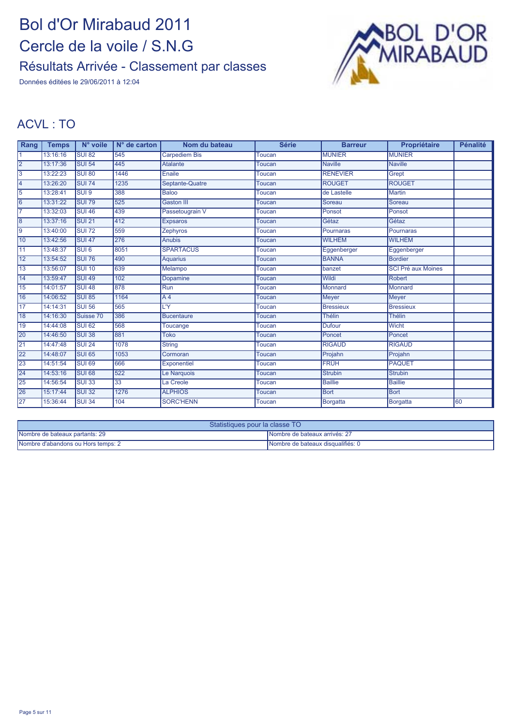Données éditées le 29/06/2011 à 12:04



#### ACVL : TO

| Rang            | <b>Temps</b> | N° voile         | $N°$ de carton | Nom du bateau        | <b>Série</b>  | <b>Barreur</b>   | Propriétaire              | Pénalité |
|-----------------|--------------|------------------|----------------|----------------------|---------------|------------------|---------------------------|----------|
| $\overline{1}$  | 13:16:16     | <b>SUI 82</b>    | 545            | <b>Carpediem Bis</b> | Toucan        | <b>MUNIER</b>    | <b>MUNIER</b>             |          |
| $\overline{2}$  | 13:17:36     | <b>SUI 54</b>    | 445            | <b>Atalante</b>      | <b>Toucan</b> | <b>Naville</b>   | <b>Naville</b>            |          |
| $\overline{3}$  | 13:22:23     | <b>SUI 80</b>    | 1446           | Enaile               | Toucan        | <b>RENEVIER</b>  | Grept                     |          |
| $\overline{4}$  | 13:26:20     | <b>SUI 74</b>    | 1235           | Septante-Quatre      | Toucan        | <b>ROUGET</b>    | <b>ROUGET</b>             |          |
| $\overline{5}$  | 13:28:41     | SUI <sub>9</sub> | 388            | <b>Baloo</b>         | Toucan        | de Lastelle      | <b>Martin</b>             |          |
| $\overline{6}$  | 13:31:22     | <b>SUI 79</b>    | 525            | <b>Gaston III</b>    | Toucan        | Soreau           | Soreau                    |          |
| 7               | 13:32:03     | <b>SUI 46</b>    | 439            | Passetougrain V      | Toucan        | Ponsot           | Ponsot                    |          |
| $\overline{8}$  | 13:37:16     | <b>SUI 21</b>    | 412            | <b>Expsaros</b>      | <b>Toucan</b> | Gétaz            | Gétaz                     |          |
| 9               | 13:40:00     | <b>SUI 72</b>    | 559            | <b>Zephyros</b>      | <b>Toucan</b> | Pournaras        | Pournaras                 |          |
| 10              | 13:42:56     | <b>SUI 47</b>    | 276            | <b>Anubis</b>        | Toucan        | <b>WILHEM</b>    | <b>WILHEM</b>             |          |
| $\overline{11}$ | 13:48:37     | SUI <sub>6</sub> | 8051           | <b>SPARTACUS</b>     | Toucan        | Eggenberger      | Eggenberger               |          |
| $\overline{12}$ | 13:54:52     | <b>SUI 76</b>    | 490            | <b>Aquarius</b>      | <b>Toucan</b> | <b>BANNA</b>     | <b>Bordier</b>            |          |
| $\overline{13}$ | 13:56:07     | <b>SUI 10</b>    | 639            | Melampo              | Toucan        | banzet           | <b>SCI Pré aux Moines</b> |          |
| $\overline{14}$ | 13:59:47     | <b>SUI 49</b>    | 102            | <b>Dopamine</b>      | <b>Toucan</b> | Wildi            | Robert                    |          |
| 15              | 14:01:57     | <b>SUI 48</b>    | 878            | Run                  | <b>Toucan</b> | <b>Monnard</b>   | <b>Monnard</b>            |          |
| 16              | 14:06:52     | <b>SUI 85</b>    | 1164           | A <sub>4</sub>       | Toucan        | <b>Meyer</b>     | <b>Meyer</b>              |          |
| $\overline{17}$ | 14:14:31     | <b>SUI 56</b>    | 565            | LΎ                   | <b>Toucan</b> | <b>Bressieux</b> | <b>Bressieux</b>          |          |
| 18              | 14:16:30     | Suisse 70        | 386            | <b>Bucentaure</b>    | <b>Toucan</b> | <b>Thélin</b>    | Thélin                    |          |
| 19              | 14:44:08     | <b>SUI 62</b>    | 568            | Toucange             | Toucan        | <b>Dufour</b>    | <b>Wicht</b>              |          |
| 20              | 14:46:50     | <b>SUI 38</b>    | 881            | <b>Toko</b>          | <b>Toucan</b> | Poncet           | Poncet                    |          |
| 21              | 14:47:48     | <b>SUI 24</b>    | 1078           | <b>String</b>        | Toucan        | <b>RIGAUD</b>    | <b>RIGAUD</b>             |          |
| 22              | 14:48:07     | <b>SUI 65</b>    | 1053           | Cormoran             | Toucan        | Projahn          | Projahn                   |          |
| $\overline{23}$ | 14:51:54     | <b>SUI 69</b>    | 666            | Exponentiel          | <b>Toucan</b> | <b>FRÜH</b>      | <b>PAQUET</b>             |          |
| 24              | 14:53:16     | <b>SUI 68</b>    | 522            | Le Narquois          | <b>Toucan</b> | <b>Strubin</b>   | <b>Strubin</b>            |          |
| 25              | 14:56:54     | <b>SUI 33</b>    | 33             | La Creole            | Toucan        | <b>Baillie</b>   | <b>Baillie</b>            |          |
| 26              | 15:17:44     | <b>SUI 32</b>    | 1276           | <b>ALPHIOS</b>       | <b>Toucan</b> | <b>Bort</b>      | <b>Bort</b>               |          |
| 27              | 15:36:44     | <b>SUI 34</b>    | 104            | <b>SORC'HENN</b>     | Toucan        | <b>Borgatta</b>  | <b>Borgatta</b>           | 60       |

| Statistiques pour la classe TO     |                                    |  |  |  |
|------------------------------------|------------------------------------|--|--|--|
| Nombre de bateaux partants: 29     | INombre de bateaux arrivés: 27     |  |  |  |
| Nombre d'abandons ou Hors temps: 2 | INombre de bateaux disqualifiés: 0 |  |  |  |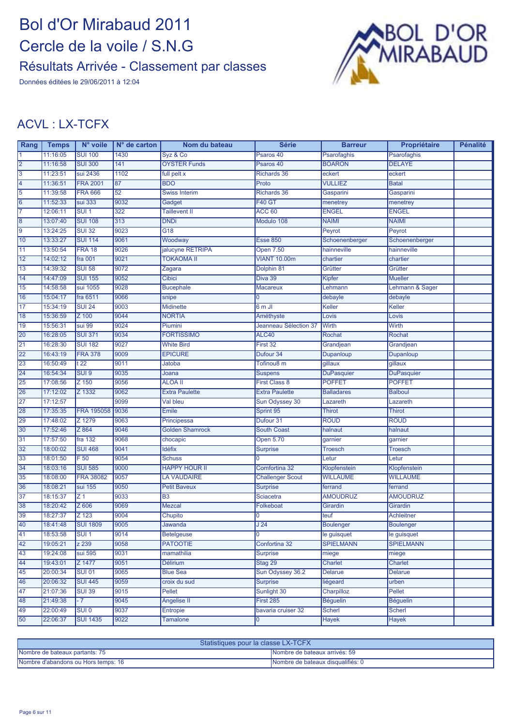Données éditées le 29/06/2011 à 12:04



#### ACVL : LX-TCFX

| Rang           | <b>Temps</b> | $N^{\circ}$ voile | $N°$ de carton   | Nom du bateau          | <b>Série</b>            | <b>Barreur</b>    | Propriétaire       | <b>Pénalité</b> |
|----------------|--------------|-------------------|------------------|------------------------|-------------------------|-------------------|--------------------|-----------------|
|                | 11:16:05     | <b>SUI 100</b>    | 1430             | Syz & Co               | Psaros 40               | Psarofaghis       | <b>Psarofaghis</b> |                 |
| 2              | 11:16:58     | <b>SUI 300</b>    | 141              | <b>OYSTER Funds</b>    | Psaros 40               | <b>BOARON</b>     | <b>DELAYE</b>      |                 |
| 3              | 11:23:51     | sui 2436          | 1102             | full pelt x            | <b>Richards 36</b>      | eckert            | eckert             |                 |
| 4              | 11:36:51     | <b>FRA 2001</b>   | 87               | <b>BDO</b>             | Proto                   | <b>VULLIEZ</b>    | <b>Batal</b>       |                 |
| 5              | 11:39:58     | <b>FRA 666</b>    | 52               | <b>Swiss Interim</b>   | Richards 36             | Gasparini         | Gasparini          |                 |
| 6              | 11:52:33     | sui 333           | 9032             | Gadget                 | <b>F40 GT</b>           | menetrey          | menetrey           |                 |
| 17             | 12:06:11     | SUI <sub>1</sub>  | $\overline{322}$ | <b>Taillevent II</b>   | ACC <sub>60</sub>       | <b>ENGEL</b>      | <b>ENGEL</b>       |                 |
| $\overline{8}$ | 13:07:40     | <b>SUI 108</b>    | 313              | <b>DNDi</b>            | Modulo 108              | <b>NAIMI</b>      | <b>NAIMI</b>       |                 |
| 19             | 13:24:25     | <b>SUI 32</b>     | 9023             | G18                    |                         | Peyrot            | Peyrot             |                 |
| 10             | 13:33:27     | <b>SUI 114</b>    | 9061             | Woodway                | <b>Esse 850</b>         | Schoenenberger    | Schoenenberger     |                 |
| 11             | 13:50:54     | <b>FRA 18</b>     | 9026             | jalucyne RETRIPA       | <b>Open 7.50</b>        | hainneville       | hainneville        |                 |
| 12             | 14:02:12     | fra 001           | 9021             | <b>TOKAOMA II</b>      | <b>VIANT 10.00m</b>     | chartier          | chartier           |                 |
| 13             | 14:39:32     | <b>SUI 58</b>     | 9072             | Zagara                 | Dolphin 81              | Grütter           | Grütter            |                 |
| 14             | 14:47:09     | <b>SUI 155</b>    | 9052             | <b>Cibici</b>          | Diva 39                 | Kipfer            | <b>Mueller</b>     |                 |
| 15             | 14:58:58     | sui 1055          | 9028             | <b>Bucephale</b>       | <b>Macareux</b>         | Lehmann           | Lehmann & Sager    |                 |
| 16             | 15:04:17     | fra 6511          | 9066             | snipe                  | $\overline{0}$          | debayle           | debayle            |                 |
| 17             | 15:34:19     | <b>SUI 24</b>     | 9003             | <b>Midinette</b>       | 6 m JI                  | Keller            | Keller             |                 |
| 18             | 15:36:59     | Z 100             | 9044             | <b>NORTIA</b>          | Améthyste               | Lovis             | Lovis              |                 |
| 19             | 15:56:31     | sui 99            | 9024             | Piumini                | Jeanneau Sélection 37   | Wirth             | Wirth              |                 |
| 20             | 16:28:05     | <b>SUI 371</b>    | 9034             | <b>FORTISSIMO</b>      | ALC40                   | <b>Rochat</b>     | Rochat             |                 |
| 21             | 16:28:30     | <b>SUI 182</b>    | 9027             | White Bird             | First 32                | Grandjean         | Grandjean          |                 |
| 22             | 16:43:19     | <b>FRA 378</b>    | 9009             | <b>EPICURE</b>         | Dufour 34               | Dupanloup         | Dupanloup          |                 |
| 23             | 16:50:49     | t 22              | 9011             | Jatoba                 | Tofinou8 m              | gillaux           | gillaux            |                 |
| 24             | 16:54:34     | SUI <sub>9</sub>  | 9035             | Joana                  | <b>Suspens</b>          | <b>DuPasquier</b> | <b>DuPasquier</b>  |                 |
| 25             | 17:08:56     | Z 150             | 9056             | <b>ALOA II</b>         | <b>First Class 8</b>    | <b>POFFET</b>     | <b>POFFET</b>      |                 |
| 26             | 17:12:02     | Z 1332            | 9062             | <b>Extra Paulette</b>  | <b>Extra Paulette</b>   | <b>Balladares</b> | <b>Balboul</b>     |                 |
| 27             | 17:12:57     |                   | 9099             | Val bleu               | Sun Odyssey 30          | _azareth          | _azareth           |                 |
| 28             | 17:35:35     | FRA 195058        | 9036             | <b>Emile</b>           | Sprint 95               | <b>Thirot</b>     | <b>Thirot</b>      |                 |
| 29             | 17:48:02     | Z 1279            | 9063             | Principessa            | Dufour 31               | <b>ROUD</b>       | <b>ROUD</b>        |                 |
| 30             | 17:52:46     | Z 864             | 9046             | <b>Golden Shamrock</b> | <b>South Coast</b>      | halnaut           | halnaut            |                 |
| 31             | 17:57:50     | fra 132           | 9068             | chocapic               | <b>Open 5.70</b>        | garnier           | garnier            |                 |
| 32             | 18:00:02     | <b>SUI 468</b>    | 9041             | <b>Idéfix</b>          | <b>Surprise</b>         | <b>Troesch</b>    | <b>Troesch</b>     |                 |
| 33             | 18:01:50     | F50               | 9054             | <b>Schuss</b>          | 0                       | Letur             | Letur              |                 |
| 34             | 18:03:16     | <b>SUI 585</b>    | 9000             | <b>HAPPY HOUR II</b>   | Comfortina 32           | Klopfenstein      | Klopfenstein       |                 |
| 35             | 18:08:00     | <b>FRA 38082</b>  | 9057             | <b>LA VAUDAIRE</b>     | <b>Challenger Scout</b> | <b>WILLAUME</b>   | <b>WILLAUME</b>    |                 |
| 36             | 18:08:21     | sui 155           | 9050             | <b>Petit Baveux</b>    | <b>Surprise</b>         | ferrand           | ferrand            |                 |
| 37             | 18:15:37     | $\overline{Z}$ 1  | 9033             | $\overline{B3}$        | Sciacetra               | <b>AMOUDRUZ</b>   | <b>AMOUDRUZ</b>    |                 |
| 38             | 18:20:42     | Z 606             | 9069             | <b>Mezcal</b>          | Folkeboat               | Girardin          | Girardin           |                 |
| 39             | 18:27:37     | Z 123             | 9004             | Chupito                | 0                       | teuf              | <b>Achleitner</b>  |                 |
| 40             | 18:41:48     | <b>SUI 1809</b>   | 9005             | Jawanda                | J <sub>24</sub>         | <b>Boulenger</b>  | <b>Boulenger</b>   |                 |
| 41             | 18:53:58     | SUI <sub>1</sub>  | 9014             | <b>Betelgeuse</b>      | 0                       | le guisquet       | le guisquet        |                 |
| 42             | 19:05:21     | z 239             | 9058             | <b>PATOOTIE</b>        | Confortina 32           | <b>SPIELMANN</b>  | <b>SPIELMANN</b>   |                 |
| 43             | 19:24:08     | sui 595           | 9031             | mamathilia             | <b>Surprise</b>         | miege             | miege              |                 |
| 44             | 19:43:01     | Z 1477            | 9051             | <b>Délirium</b>        | Stag 29                 | Charlet           | Charlet            |                 |
| 45             | 20:00:34     | <b>SUI 01</b>     | 9065             | <b>Blue Sea</b>        | Sun Odyssey 36.2        | Delarue           | Delarue            |                 |
| 46             | 20:06:32     | <b>SUI 445</b>    | 9059             | croix du sud           | <b>Surprise</b>         | liégeard          | urben              |                 |
| 47             | 21:07:36     | <b>SUI 39</b>     | 9015             | Pellet                 | Sunlight 30             | Charpilloz        | Pellet             |                 |
| 48             | 21:49:38     | $-7$              | 9045             | <b>Angelise II</b>     | First 285               | <b>Béguelin</b>   | <b>Béguelin</b>    |                 |
| 49             | 22:00:49     | SUI <sub>0</sub>  | 9037             | Entropie               | bavaria cruiser 32      | <b>Scherl</b>     | <b>Scherl</b>      |                 |
| 50             | 22:06:37     | <b>SUI 1435</b>   | 9022             | <b>Tamalone</b>        | 0                       | <b>Hayek</b>      | <b>Hayek</b>       |                 |
|                |              |                   |                  |                        |                         |                   |                    |                 |

| Statistiques pour la classe LX-TCFX |                                   |  |  |  |
|-------------------------------------|-----------------------------------|--|--|--|
| Nombre de bateaux partants: 75      | Nombre de bateaux arrivés: 59     |  |  |  |
| Nombre d'abandons ou Hors temps: 16 | Nombre de bateaux disqualifiés: 0 |  |  |  |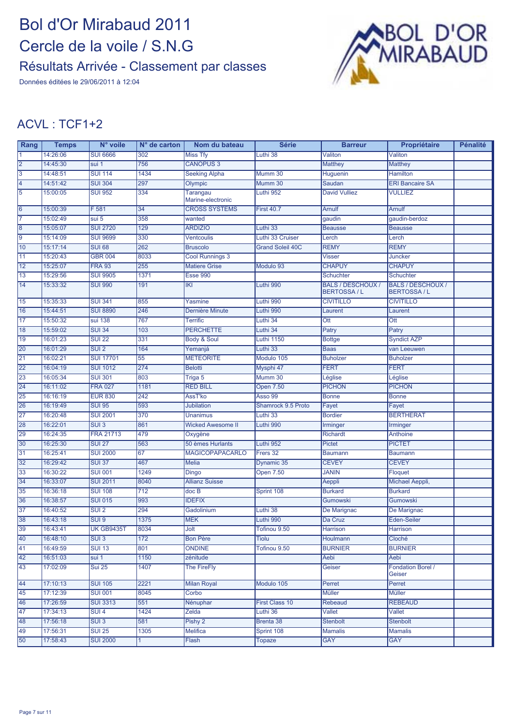Données éditées le 29/06/2011 à 12:04



#### ACVL : TCF1+2

| Rang            | <b>Temps</b> | N° voile          | $N°$ de carton  | Nom du bateau                        | <b>Série</b>            | <b>Barreur</b>                         | Propriétaire                           | <b>Pénalité</b> |
|-----------------|--------------|-------------------|-----------------|--------------------------------------|-------------------------|----------------------------------------|----------------------------------------|-----------------|
|                 | 14:26:06     | <b>SUI 6666</b>   | 302             | <b>Miss Tfy</b>                      | Luthi 38                | Valiton                                | Valiton                                |                 |
| $\overline{2}$  | 14:45:30     | sui 1             | 756             | <b>CANOPUS 3</b>                     |                         | <b>Matthey</b>                         | <b>Matthey</b>                         |                 |
| 3               | 14:48:51     | <b>SUI 114</b>    | 1434            | Seeking Alpha                        | Mumm 30                 | Huguenin                               | Hamilton                               |                 |
| 4               | 14:51:42     | <b>SUI 304</b>    | 297             | Olympic                              | Mumm 30                 | Saudan                                 | <b>ERI Bancaire SA</b>                 |                 |
| $\overline{5}$  | 15:00:05     | <b>SUI 952</b>    | 334             | <b>Tarangau</b><br>Marine-electronic | Luthi 952               | <b>David Vulliez</b>                   | <b>VULLIEZ</b>                         |                 |
| 6               | 15:00:39     | F <sub>581</sub>  | $\overline{34}$ | <b>CROSS SYSTEMS</b>                 | <b>First 40.7</b>       | <b>Arnulf</b>                          | Arnulf                                 |                 |
| 17              | 15:02:49     | sui 5             | 358             | wanted                               |                         | gaudin                                 | gaudin-berdoz                          |                 |
| $\overline{8}$  | 15:05:07     | <b>SUI 2720</b>   | 129             | <b>ARDIZIO</b>                       | Luthi 33                | <b>Beausse</b>                         | <b>Beausse</b>                         |                 |
| 9               | 15:14:09     | <b>SUI 9699</b>   | 330             | <b>Ventcoulis</b>                    | Luthi 33 Cruiser        | Lerch                                  | Lerch                                  |                 |
| 10              | 15:17:14     | <b>SUI 68</b>     | 262             | <b>Bruscolo</b>                      | <b>Grand Soleil 40C</b> | <b>REMY</b>                            | <b>REMY</b>                            |                 |
| 11              | 15:20:43     | <b>GBR 004</b>    | 8033            | Cool Runnings 3                      |                         | <b>Visser</b>                          | Juncker                                |                 |
| 12              | 15:25:07     | <b>FRA 93</b>     | 255             | <b>Matiere Grise</b>                 | Modulo 93               | <b>CHAPUY</b>                          | <b>CHAPUY</b>                          |                 |
| 13              | 15:29:56     | <b>SUI 9905</b>   | 1371            | <b>Esse 990</b>                      |                         | <b>Schuchter</b>                       | Schuchter                              |                 |
| 14              | 15:33:32     | <b>SUI 990</b>    | 191             | IKI                                  | Luthi 990               | <b>BALS / DESCHOUX /</b><br>BERTOSSA/L | <b>BALS / DESCHOUX /</b><br>BERTOSSA/L |                 |
| 15              | 15:35:33     | <b>SUI 341</b>    | 855             | Yasmine                              | Luthi 990               | <b>CIVITILLO</b>                       | <b>CIVITILLO</b>                       |                 |
| 16              | 15:44:51     | <b>SUI 8890</b>   | 246             | Dernière Minute                      | Luthi 990               | Laurent                                | Laurent                                |                 |
| 17              | 15:50:32     | sui 138           | 767             | <b>Terrific</b>                      | Luthi 34                | Ott                                    | Ott                                    |                 |
| 18              | 15:59:02     | <b>SUI 34</b>     | 103             | <b>PERCHETTE</b>                     | Luthi 34                | Patry                                  | Patry                                  |                 |
| 19              | 16:01:23     | <b>SUI 22</b>     | 331             | Body & Soul                          | Luthi 1150              | <b>Bottge</b>                          | <b>Syndict AZP</b>                     |                 |
| 20              | 16:01:29     | SUI <sub>2</sub>  | 164             | Yemanjá                              | Luthi 33                | <b>Baas</b>                            | van Leeuwen                            |                 |
| 21              | 16:02:21     | <b>SUI 17701</b>  | 55              | <b>METEORITE</b>                     | Modulo 105              | <b>Buholzer</b>                        | <b>Buholzer</b>                        |                 |
| 22              | 16:04:19     | <b>SUI 1012</b>   | 274             | <b>Belotti</b>                       | Mysphi 47               | <b>FERT</b>                            | <b>FERT</b>                            |                 |
| 23              | 16:05:34     | <b>SUI 301</b>    | 803             | Triga 5                              | Mumm 30                 | Léglise                                | Léglise                                |                 |
| $\overline{24}$ | 16:11:02     | <b>FRA 027</b>    | 1181            | <b>RED BILL</b>                      | <b>Open 7.50</b>        | <b>PICHON</b>                          | <b>PICHON</b>                          |                 |
| 25              | 16:16:19     | <b>EUR 830</b>    | 242             | AssT'ko                              | Asso 99                 | <b>Bonne</b>                           | <b>Bonne</b>                           |                 |
| 26              | 16:19:49     | <b>SUI 95</b>     | 593             | <b>Jubilation</b>                    | Shamrock 9.5 Proto      | Fayet                                  | Fayet                                  |                 |
| 27              | 16:20:48     | <b>SUI 2001</b>   | 370             | <b>Unanimus</b>                      | Luthi 33                | <b>Bordier</b>                         | <b>BERTHERAT</b>                       |                 |
| 28              | 16:22:01     | $SUI$ 3           | 861             | <b>Wicked Awesome II</b>             | Luthi 990               | Irminger                               | <b>Irminger</b>                        |                 |
| 29              | 16:24:35     | FRA 21713         | 479             | Oxygène                              |                         | <b>Richardt</b>                        | Anthoine                               |                 |
| 30              | 16:25:30     | <b>SUI 27</b>     | 563             | 50 èmes Hurlants                     | Luthi 952               | <b>Pictet</b>                          | <b>PICTET</b>                          |                 |
| 31              | 16:25:41     | <b>SUI 2000</b>   | 67              | <b>MAGICOPAPACARLO</b>               | Frers 32                | <b>Baumann</b>                         | <b>Baumann</b>                         |                 |
| 32              | 16:29:42     | <b>SUI 37</b>     | 467             | <b>Melia</b>                         | Dynamic 35              | <b>CEVEY</b>                           | <b>CEVEY</b>                           |                 |
| 33              | 16:30:22     | <b>SUI 001</b>    | 1249            | Dingo                                | <b>Open 7.50</b>        | <b>JANIN</b>                           | Floquet                                |                 |
| 34              | 16:33:07     | <b>SUI 2011</b>   | 8040            | <b>Allianz Suisse</b>                |                         | Aeppli                                 | Michael Aeppli,                        |                 |
| 35              | 16:36:18     | <b>SUI 108</b>    | 712             | doc B                                | Sprint 108              | <b>Burkard</b>                         | <b>Burkard</b>                         |                 |
| 36              | 16:38:57     | <b>SUI 015</b>    | 993             | <b>IDEFIX</b>                        |                         | <b>Gumowski</b>                        | <b>Gumowski</b>                        |                 |
| $\overline{37}$ | 16:40:52     | SUI <sub>2</sub>  | 294             | Gadolinium                           | Luthi 38                | De Marignac                            | De Marignac                            |                 |
| 38              | 16:43:18     | SUI 9             | 1375            | <b>MEK</b>                           | Luthi 990               | Da Cruz                                | Eden-Seiler                            |                 |
| 39              | 16:43:41     | <b>UK GB9435T</b> | 8034            | Jolt                                 | Tofinou 9.50            | <b>Harrison</b>                        | Harrison                               |                 |
| 40              | 16:48:10     | SUI <sub>3</sub>  | 172             | <b>Bon Père</b>                      | Tiolu                   | Houlmann                               | Cloché                                 |                 |
| 41              | 16:49:59     | <b>SUI 13</b>     | 801             | <b>ONDINE</b>                        | Tofinou 9.50            | <b>BURNIER</b>                         | <b>BURNIER</b>                         |                 |
| 42              | 16:51:03     | sui 1             | 1150            | zénitude                             |                         | Aebi                                   | Aebi                                   |                 |
| 43              | 17:02:09     | <b>Sui 25</b>     | 1407            | <b>The FireFly</b>                   |                         | Geiser                                 | Fondation Borel /<br>Geiser            |                 |
| 44              | 17:10:13     | <b>SUI 105</b>    | 2221            | <b>Milan Royal</b>                   | Modulo 105              | Perret                                 | Perret                                 |                 |
| 45              | 17:12:39     | <b>SUI 001</b>    | 8045            | Corbo                                |                         | <b>Müller</b>                          | Müller                                 |                 |
| 46              | 17:26:59     | <b>SUI 3313</b>   | 551             | Nénuphar                             | <b>First Class 10</b>   | Rebeaud                                | <b>REBEAUD</b>                         |                 |
| 47              | 17:34:13     | SUI 4             | 1424            | Zelda                                | Luthi 36                | Vallet                                 | Vallet                                 |                 |
| 48              | 17:56:18     | SUI3              | 581             | Pishy 2                              | Brenta 38               | <b>Stenbolt</b>                        | <b>Stenbolt</b>                        |                 |
| 49              | 17:56:31     | <b>SUI 25</b>     | 1305            | Melifica                             | Sprint 108              | <b>Mamalis</b>                         | <b>Mamalis</b>                         |                 |
| 50              | 17:58:43     | <b>SUI 2000</b>   | $\mathbf{1}$    | Flash                                | <b>Topaze</b>           | <b>GAY</b>                             | <b>GAY</b>                             |                 |
|                 |              |                   |                 |                                      |                         |                                        |                                        |                 |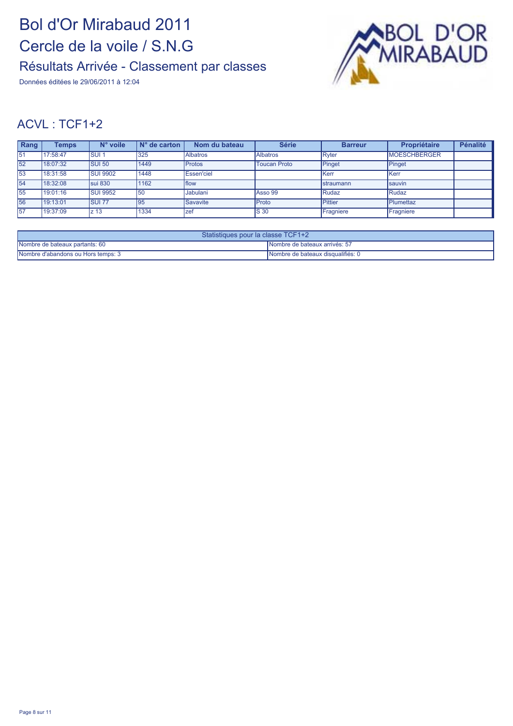Données éditées le 29/06/2011 à 12:04



#### ACVL : TCF1+2

| Rang | Temps    | N° voile        | $N°$ de carton | Nom du bateau     | <b>Série</b>        | <b>Barreur</b>    | Propriétaire         | <b>Pénalité</b> |
|------|----------|-----------------|----------------|-------------------|---------------------|-------------------|----------------------|-----------------|
| 151  | 17:58:47 | <b>SUI1</b>     | 325            | <b>Albatros</b>   | <b>Albatros</b>     | Ryter             | <b>IMOESCHBERGER</b> |                 |
| 52   | 18:07:32 | <b>SUI 50</b>   | 1449           | <b>Protos</b>     | <b>Toucan Proto</b> | Pinget            | Pinget               |                 |
| 53   | 18:31:58 | <b>SUI 9902</b> | 1448           | <b>Essen'ciel</b> |                     | <b>Kerr</b>       | <b>Kerr</b>          |                 |
| 54   | 18:32:08 | sui 830         | 1162           | flow              |                     | <b>Istraumann</b> | <b>Isauvin</b>       |                 |
| 55   | 19:01:16 | <b>SUI 9952</b> | 50             | <b>Jabulani</b>   | Asso 99             | Rudaz             | Rudaz                |                 |
| 56   | 19:13:01 | <b>SUI 77</b>   | 195            | <b>Savavite</b>   | <b>I</b> Proto      | <b>Pittier</b>    | Plumettaz            |                 |
| 157  | 19:37:09 | lz 13           | 1334           | rzef              | <b>S</b> 30         | Fragniere         | Fragniere            |                 |

| Statistiques pour la classe TCF1+2                              |                                   |  |  |  |
|-----------------------------------------------------------------|-----------------------------------|--|--|--|
| Nombre de bateaux partants: 60<br>Nombre de bateaux arrivés: 57 |                                   |  |  |  |
| Nombre d'abandons ou Hors temps: 3                              | Nombre de bateaux disqualifiés: 0 |  |  |  |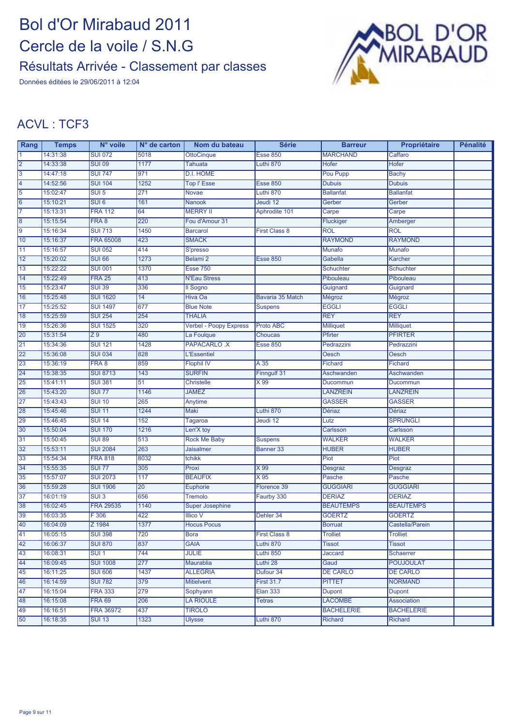Données éditées le 29/06/2011 à 12:04



#### ACVL : TCF3

| Rang            | <b>Temps</b> | N° voile           | $N^{\circ}$ de carton | Nom du bateau                 | <b>Série</b>         | <b>Barreur</b>    | Propriétaire      | <b>Pénalité</b> |
|-----------------|--------------|--------------------|-----------------------|-------------------------------|----------------------|-------------------|-------------------|-----------------|
| $\overline{1}$  | 14:31:38     | <b>SUI 072</b>     | 5018                  | <b>OttoCinque</b>             | <b>Esse 850</b>      | <b>MARCHAND</b>   | Caffaro           |                 |
| $\overline{2}$  | 14:33:38     | <b>SUI 09</b>      | 1177                  | Tahuata                       | Luthi 870            | <b>Hofer</b>      | <b>Hofer</b>      |                 |
| $\overline{3}$  | 14:47:18     | <b>SUI 747</b>     | 971                   | D.I. HOME                     |                      | Pou Pupp          | <b>Bachy</b>      |                 |
| $\overline{4}$  | 14:52:56     | <b>SUI 104</b>     | 1252                  | <b>Top I' Esse</b>            | <b>Esse 850</b>      | <b>Dubuis</b>     | <b>Dubuis</b>     |                 |
| $\overline{5}$  | 15:02:47     | $SUI$ <sub>5</sub> | 271                   | <b>Novae</b>                  | Luthi 870            | <b>Ballanfat</b>  | <b>Ballanfat</b>  |                 |
| $\overline{6}$  | 15:10:21     | SUI6               | 161                   | Nanook                        | Jeudi 12             | Gerber            | Gerber            |                 |
| 7               | 15:13:31     | <b>FRA 112</b>     | 64                    | <b>MERRY II</b>               | Aphrodite 101        | Carpe             | Carpe             |                 |
| $\overline{8}$  | 15:15:54     | FRA 8              | 220                   | Fou d'Amour 31                |                      | Fluckiger         | Amberger          |                 |
| $\overline{9}$  | 15:16:34     | <b>SUI 713</b>     | 1450                  | <b>Barcarol</b>               | <b>First Class 8</b> | <b>ROL</b>        | <b>ROL</b>        |                 |
| 10              | 15:16:37     | <b>FRA 65008</b>   | 423                   | <b>SMACK</b>                  |                      | <b>RAYMOND</b>    | <b>RAYMOND</b>    |                 |
| $\overline{11}$ | 15:16:57     | <b>SUI 052</b>     | 414                   | S'presso                      |                      | <b>Munafo</b>     | Munafo            |                 |
| $\overline{12}$ | 15:20:02     | <b>SUI 66</b>      | 1273                  | Belami <sub>2</sub>           | <b>Esse 850</b>      | Gabella           | Karcher           |                 |
| 13              | 15:22:22     | <b>SUI 001</b>     | 1370                  | <b>Esse 750</b>               |                      | <b>Schuchter</b>  | <b>Schuchter</b>  |                 |
| $\overline{14}$ | 15:22:49     | <b>FRA 25</b>      | 413                   | <b>N'Eau Stress</b>           |                      | Pibouleau         | Pibouleau         |                 |
| 15              | 15:23:47     | <b>SUI 39</b>      | 336                   | Il Sogno                      |                      | Guignard          | Guignard          |                 |
| 16              | 15:25:48     | <b>SUI 1620</b>    | 14                    | Hiva Oa                       | Bavaria 35 Match     | Mégroz            | Mégroz            |                 |
| $\overline{17}$ | 15:25:52     | <b>SUI 1497</b>    | 677                   | <b>Blue Note</b>              | <b>Suspens</b>       | <b>EGGLI</b>      | <b>EGGLI</b>      |                 |
| 18              | 15:25:59     | <b>SUI 254</b>     | 254                   | <b>THALIA</b>                 |                      | <b>REY</b>        | <b>REY</b>        |                 |
| 19              | 15:26:36     | <b>SUI 1525</b>    | 320                   | <b>Verbel - Poopy Express</b> | Proto ABC            | Milliquet         | <b>Milliquet</b>  |                 |
| 20              | 15:31:54     | $\overline{Z9}$    | 480                   | La Foulque                    | <b>Choucas</b>       | Pfirter           | <b>PFIRTER</b>    |                 |
| $\overline{21}$ | 15:34:36     | <b>SUI 121</b>     | 1428                  | <b>PAPACARLO .X</b>           | <b>Esse 850</b>      | Pedrazzini        | Pedrazzini        |                 |
| 22              | 15:36:08     | <b>SUI 034</b>     | 828                   | <b>L'Essentiel</b>            |                      | Oesch             | <b>Oesch</b>      |                 |
| $\overline{23}$ | 15:36:19     | FRA 8              | 859                   | <b>Flophil IV</b>             | $\overline{A}35$     | <b>Fichard</b>    | Fichard           |                 |
| $\overline{24}$ | 15:38:35     | <b>SUI 8713</b>    | 143                   | <b>SURFIN</b>                 | Finngulf 31          | Aschwanden        | Aschwanden        |                 |
| 25              | 15:41:11     | <b>SUI 381</b>     | 51                    | <b>Christelle</b>             | X 99                 | Ducommun          | Ducommun          |                 |
| 26              | 15:43:20     | <b>SUI 77</b>      | 1146                  | <b>JAMEZ</b>                  |                      | <b>LANZREIN</b>   | <b>LANZREIN</b>   |                 |
| $\overline{27}$ | 15:43:43     | <b>SUI 10</b>      | 265                   | Anytime                       |                      | <b>GASSER</b>     | <b>GASSER</b>     |                 |
| 28              | 15:45:46     | <b>SUI 11</b>      | 1244                  | Maki                          | Luthi 870            | <b>Dériaz</b>     | <b>Dériaz</b>     |                 |
| 29              | 15:46:45     | <b>SUI 14</b>      | 152                   | Tagaroa                       | Jeudi 12             | Lutz              | <b>SPRUNGLI</b>   |                 |
| 30              | 15:50:04     | <b>SUI 170</b>     | 1216                  | Len'X toy                     |                      | Carlsson          | Carlsson          |                 |
| 31              | 15:50:45     | <b>SUI 89</b>      | 513                   | <b>Rock Me Baby</b>           | <b>Suspens</b>       | <b>WALKER</b>     | <b>WALKER</b>     |                 |
| 32              | 15:53:11     | <b>SUI 2084</b>    | 263                   | Jaisalmer                     | Banner 33            | <b>HUBER</b>      | <b>HUBER</b>      |                 |
| 33              | 15:54:34     | <b>FRA 818</b>     | 8032                  | tchikk                        |                      | Piot              | Piot              |                 |
| 34              | 15:55:35     | <b>SUI 77</b>      | 305                   | Proxi                         | X 99                 | Desgraz           | Desgraz           |                 |
| 35              | 15:57:07     | <b>SUI 2073</b>    | 117                   | <b>BEAUFIX</b>                | $\times 95$          | Pasche            | Pasche            |                 |
| 36              | 15:59:28     | <b>SUI 1906</b>    | $\overline{20}$       | Euphorie                      | Florence 39          | <b>GUGGIARI</b>   | <b>GUGGIARI</b>   |                 |
| 37              | 16:01:19     | SUI <sub>3</sub>   | 656                   | Tremolo                       | Faurby 330           | <b>DERIAZ</b>     | <b>DERIAZ</b>     |                 |
| 38              | 16:02:45     | <b>FRA 29535</b>   | 1140                  | <b>Super Josephine</b>        |                      | <b>BEAUTEMPS</b>  | <b>BEAUTEMPS</b>  |                 |
| 39              | 16:03:35     | F 306              | 422                   | <b>Illico V</b>               | Dehler 34            | <b>GOERTZ</b>     | <b>GOERTZ</b>     |                 |
| 40              | 16:04:09     | Z 1984             | 1377                  | <b>Hocus Pocus</b>            |                      | <b>Borruat</b>    | Castella/Parein   |                 |
| 41              | 16:05:15     | <b>SUI 398</b>     | 720                   | <b>Bora</b>                   | <b>First Class 8</b> | <b>Trolliet</b>   | <b>Trolliet</b>   |                 |
| $\overline{42}$ | 16:06:37     | <b>SUI 870</b>     | 837                   | <b>GAIA</b>                   | Luthi 870            | <b>Tissot</b>     | <b>Tissot</b>     |                 |
| 43              | 16:08:31     | SUI <sub>1</sub>   | 744                   | <b>JULIE</b>                  | Luthi 850            | Jaccard           | Schaerrer         |                 |
| 44              | 16:09:45     | <b>SUI 1008</b>    | 277                   | Maurablia                     | Luthi 28             | Gaud              | <b>POUJOULAT</b>  |                 |
| 45              | 16:11:25     | <b>SUI 606</b>     | 1437                  | <b>ALLEGRIA</b>               | Dufour 34            | <b>DE CARLO</b>   | <b>DE CARLO</b>   |                 |
| 46              | 16:14:59     | <b>SUI 782</b>     | 379                   | <b>Mitielvent</b>             | <b>First 31.7</b>    | <b>PITTET</b>     | <b>NORMAND</b>    |                 |
| $\overline{47}$ | 16:15:04     | <b>FRA 333</b>     | 279                   | Sophyann                      | <b>Elan 333</b>      | Dupont            | <b>Dupont</b>     |                 |
| 48              | 16:15:08     | <b>FRA 69</b>      | 206                   | <b>LA RIOULE</b>              | <b>Tetras</b>        | <b>LACOMBE</b>    | Association       |                 |
| 49              | 16:16:51     | <b>FRA 36972</b>   | 437                   | <b>TIROLO</b>                 |                      | <b>BACHELERIE</b> | <b>BACHELERIE</b> |                 |
| 50              | 16:18:35     | <b>SUI 13</b>      | 1323                  | <b>Ulysse</b>                 | Luthi 870            | <b>Richard</b>    | <b>Richard</b>    |                 |
|                 |              |                    |                       |                               |                      |                   |                   |                 |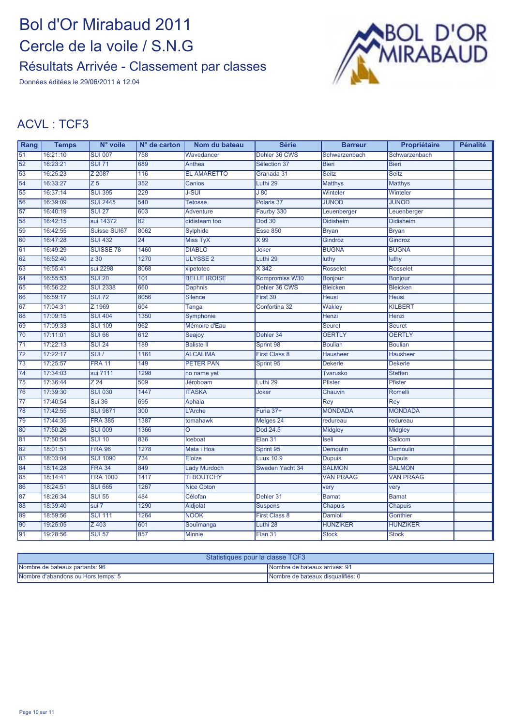Données éditées le 29/06/2011 à 12:04



#### ACVL : TCF3

| Rang            | <b>Temps</b> | N° voile                | N° de carton    | Nom du bateau       | <b>Série</b>         | <b>Barreur</b>   | Propriétaire     | <b>Pénalité</b> |
|-----------------|--------------|-------------------------|-----------------|---------------------|----------------------|------------------|------------------|-----------------|
| 51              | 16:21:10     | <b>SUI 007</b>          | 758             | Wavedancer          | Dehler 36 CWS        | Schwarzenbach    | Schwarzenbach    |                 |
| 52              | 16:23:21     | <b>SUI 71</b>           | 689             | Anthea              | Sélection 37         | <b>Bieri</b>     | <b>Bieri</b>     |                 |
| 53              | 16:25:23     | Z 2087                  | 116             | <b>EL AMARETTO</b>  | Granada 31           | <b>Seitz</b>     | <b>Seitz</b>     |                 |
| 54              | 16:33:27     | $\overline{Z}$ 5        | 352             | Canios              | Luthi 29             | <b>Matthys</b>   | <b>Matthys</b>   |                 |
| 55              | 16:37:14     | <b>SUI 395</b>          | 229             | <b>J-SUI</b>        | $\overline{J80}$     | Winteler         | Winteler         |                 |
| 56              | 16:39:09     | <b>SUI 2445</b>         | 540             | <b>Tetosse</b>      | Polaris 37           | <b>JUNOD</b>     | <b>JUNOD</b>     |                 |
| 57              | 16:40:19     | <b>SUI 27</b>           | 603             | <b>Adventure</b>    | Faurby 330           | Leuenberger      | Leuenberger      |                 |
| 58              | 16:42:15     | sui 14372               | 82              | didisteam too       | <b>Dod 30</b>        | <b>Didisheim</b> | <b>Didisheim</b> |                 |
| 59              | 16:42:55     | <b>Suisse SUI67</b>     | 8062            | Sylphide            | <b>Esse 850</b>      | <b>Bryan</b>     | <b>Bryan</b>     |                 |
| 60              | 16:47:28     | <b>SUI 432</b>          | $\overline{24}$ | <b>Miss TyX</b>     | X99                  | Gindroz          | Gindroz          |                 |
| 61              | 16:49:29     | <b>SUISSE 78</b>        | 1460            | <b>DIABLO</b>       | <b>Joker</b>         | <b>BUGNA</b>     | <b>BUGNA</b>     |                 |
| 62              | 16:52:40     | z30                     | 1270            | <b>ULYSSE 2</b>     | Luthi 29             | luthy            | luthy            |                 |
| 63              | 16:55:41     | sui 2298                | 8068            | xipetotec           | X 342                | <b>Rosselet</b>  | <b>Rosselet</b>  |                 |
| 64              | 16:55:53     | <b>SUI 20</b>           | 101             | <b>BELLE IROISE</b> | Kompromiss W30       | <b>Bonjour</b>   | <b>Bonjour</b>   |                 |
| 65              | 16:56:22     | <b>SUI 2338</b>         | 660             | Daphnis             | Dehler 36 CWS        | <b>Bleicken</b>  | <b>Bleicken</b>  |                 |
| 66              | 16:59:17     | <b>SUI 72</b>           | 8056            | <b>Silence</b>      | First 30             | <b>Heusi</b>     | <b>Heusi</b>     |                 |
| 67              | 17:04:31     | Z 1969                  | 604             | Tanga               | Confortina 32        | Wakley           | <b>KILBERT</b>   |                 |
| 68              | 17:09:15     | <b>SUI 404</b>          | 1350            | Symphonie           |                      | Henzi            | <b>Henzi</b>     |                 |
| 69              | 17:09:33     | <b>SUI 109</b>          | 962             | Mémoire d'Eau       |                      | <b>Seuret</b>    | <b>Seuret</b>    |                 |
| 70              | 17:11:01     | <b>SUI 66</b>           | 612             | Seajoy              | Dehler 34            | <b>OERTLY</b>    | <b>OERTLY</b>    |                 |
| 71              | 17:22:13     | <b>SUI 24</b>           | 189             | <b>Baliste II</b>   | Sprint 98            | <b>Boulian</b>   | <b>Boulian</b>   |                 |
| 72              | 17:22:17     | $\overline{\text{SUI}}$ | 1161            | <b>ALCALIMA</b>     | <b>First Class 8</b> | <b>Hausheer</b>  | <b>Hausheer</b>  |                 |
| 73              | 17:25:57     | <b>FRA 11</b>           | 149             | <b>PETER PAN</b>    | Sprint 95            | <b>Dekerle</b>   | <b>Dekerle</b>   |                 |
| $\overline{74}$ | 17:34:03     | sui 7111                | 1298            | no name yet         |                      | <b>Tvarusko</b>  | <b>Steffen</b>   |                 |
| 75              | 17:36:44     | Z 24                    | 509             | Jéroboam            | Luthi 29             | <b>Pfister</b>   | Pfister          |                 |
| 76              | 17:39:30     | <b>SUI 030</b>          | 1447            | <b>ITASKA</b>       | Joker                | Chauvin          | Romelli          |                 |
| 77              | 17:40:54     | <b>Sui 36</b>           | 695             | Aphaia              |                      | Rey              | Rey              |                 |
| 78              | 17:42:55     | <b>SUI 9871</b>         | 300             | L'Arche             | Furia 37+            | <b>MONDADA</b>   | <b>MONDADA</b>   |                 |
| 79              | 17:44:35     | <b>FRA 385</b>          | 1387            | tomahawk            | Melges 24            | redureau         | redureau         |                 |
| 80              | 17:50:26     | <b>SUI 009</b>          | 1366            | $\overline{O}$      | Dod 24.5             | <b>Midgley</b>   | <b>Midgley</b>   |                 |
| 81              | 17:50:54     | <b>SUI 10</b>           | 836             | <b>Iceboat</b>      | Elan 31              | Iseli            | Sailcom          |                 |
| 82              | 18:01:51     | <b>FRA 96</b>           | 1278            | Mata i Hoa          | Sprint 95            | <b>Demoulin</b>  | <b>Demoulin</b>  |                 |
| 83              | 18:03:04     | <b>SUI 1090</b>         | 734             | Eloize              | Luux 10.9            | <b>Dupuis</b>    | <b>Dupuis</b>    |                 |
| 84              | 18:14:28     | <b>FRA 34</b>           | 849             | <b>Lady Murdoch</b> | Sweden Yacht 34      | <b>SALMON</b>    | <b>SALMON</b>    |                 |
| 85              | 18:14:41     | <b>FRA 1000</b>         | 1417            | <b>TI BOUTCHY</b>   |                      | <b>VAN PRAAG</b> | <b>VAN PRAAG</b> |                 |
| 86              | 18:24:51     | <b>SUI 665</b>          | 1267            | <b>Nice Coton</b>   |                      | very             | very             |                 |
| 87              | 18:26:34     | <b>SUI 55</b>           | 484             | Célofan             | Dehler 31            | <b>Bamat</b>     | <b>Bamat</b>     |                 |
| 88              | 18:39:40     | sui 7                   | 1290            | Aidjolat            | <b>Suspens</b>       | <b>Chapuis</b>   | <b>Chapuis</b>   |                 |
| 89              | 18:59:56     | <b>SUI 111</b>          | 1264            | <b>NOOK</b>         | <b>First Class 8</b> | <b>Damioli</b>   | Gonthier         |                 |
| 90              | 19:25:05     | $Z$ 403                 | 601             | Souïmanga           | Luthi 28             | <b>HUNZIKER</b>  | <b>HUNZIKER</b>  |                 |
| 91              | 19:28:56     | <b>SUI 57</b>           | 857             | <b>Minnie</b>       | Elan 31              | <b>Stock</b>     | <b>Stock</b>     |                 |

| Statistiques pour la classe TCF3                                       |                                    |  |  |  |
|------------------------------------------------------------------------|------------------------------------|--|--|--|
| Nombre de bateaux partants: 96<br><b>Nombre de bateaux arrivés: 91</b> |                                    |  |  |  |
| Nombre d'abandons ou Hors temps: 5                                     | INombre de bateaux disqualifiés: 0 |  |  |  |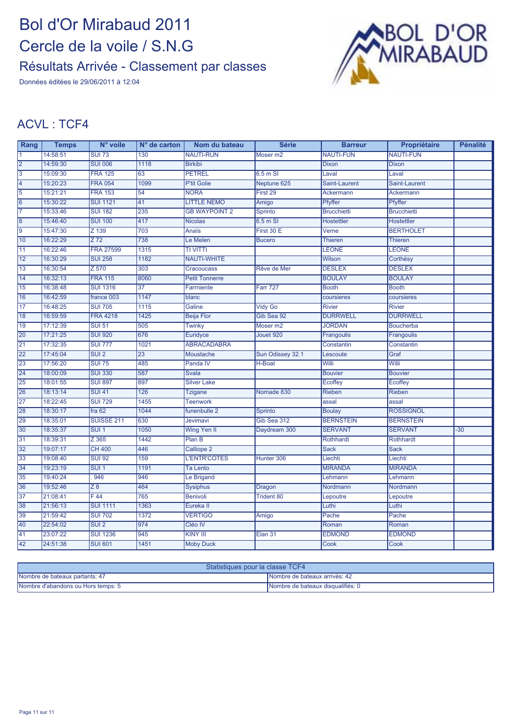Données éditées le 29/06/2011 à 12:04



#### ACVL : TCF4

| Rang            | <b>Temps</b> | N° voile           | $N°$ de carton  | Nom du bateau         | <b>Série</b>        | <b>Barreur</b>     | Propriétaire       | <b>Pénalité</b> |
|-----------------|--------------|--------------------|-----------------|-----------------------|---------------------|--------------------|--------------------|-----------------|
|                 | 14:58:51     | <b>SUI 73</b>      | 130             | <b>NAUTI-RUN</b>      | Moser <sub>m2</sub> | <b>NAUTI-FUN</b>   | <b>NAUTI-FUN</b>   |                 |
| $\overline{2}$  | 14:59:30     | <b>SUI 006</b>     | 1118            | <b>Birkibi</b>        |                     | <b>Dixon</b>       | <b>Dixon</b>       |                 |
| $\overline{3}$  | 15:09:30     | <b>FRA 125</b>     | 63              | <b>PETREL</b>         | $6.5m$ SI           | Laval              | Laval              |                 |
| 4               | 15:20:23     | <b>FRA 054</b>     | 1099            | P'tit Golie           | Neptune 625         | Saint-Laurent      | Saint-Laurent      |                 |
| 5               | 15:21:21     | <b>FRA 153</b>     | $\overline{54}$ | <b>NORA</b>           | First 29            | Ackermann          | Ackermann          |                 |
| 6               | 15:30:22     | <b>SUI 1121</b>    | 41              | <b>LITTLE NEMO</b>    | Amigo               | Pfyffer            | Pfyffer            |                 |
| 17              | 15:33:46     | <b>SUI 182</b>     | 235             | <b>GB WAYPOINT 2</b>  | Sprinto             | <b>Brucchietti</b> | <b>Brucchietti</b> |                 |
| $\overline{8}$  | 15:46:40     | <b>SUI 100</b>     | 417             | <b>Nicolas</b>        | $6.5m$ SI           | <b>Hostettler</b>  | <b>Hostettler</b>  |                 |
| $\overline{9}$  | 15:47:30     | $Z$ 139            | 703             | Anaïs                 | First 30 E          | Verne              | <b>BERTHOLET</b>   |                 |
| 10              | 16:22:29     | $\overline{Z}$ 72  | 738             | Le Melen              | <b>Bucero</b>       | <b>Thieren</b>     | <b>Thieren</b>     |                 |
| $\overline{11}$ | 16:22:46     | <b>FRA 27599</b>   | 1315            | <b>TI VITTI</b>       |                     | <b>LEONE</b>       | <b>LEONE</b>       |                 |
| 12              | 16:30:29     | <b>SUI 258</b>     | 1182            | <b>NAUTI-WHITE</b>    |                     | <b>Wilson</b>      | Corthésy           |                 |
| 13              | 16:30:54     | Z 570              | 303             | Cracoucass            | Rêve de Mer         | <b>DESLEX</b>      | <b>DESLEX</b>      |                 |
| 14              | 16:32:13     | <b>FRA 115</b>     | 8060            | <b>Petit Tonnerre</b> |                     | <b>BOULAY</b>      | <b>BOULAY</b>      |                 |
| 15              | 16:38:48     | <b>SUI 1316</b>    | $\overline{37}$ | Farrniente            | <b>Farr 727</b>     | <b>Booth</b>       | <b>Booth</b>       |                 |
| 16              | 16:42:59     | france 003         | 1147            | blanc                 |                     | coursieres         | coursieres         |                 |
| $\overline{17}$ | 16:48:25     | <b>SUI 705</b>     | 1115            | Galine                | <b>Vidy Go</b>      | <b>Rivier</b>      | <b>Rivier</b>      |                 |
| 18              | 16:59:59     | <b>FRA 4218</b>    | 1425            | <b>Beija Flor</b>     | Gib Sea 92          | <b>DURRWELL</b>    | <b>DURRWELL</b>    |                 |
| 19              | 17:12:39     | <b>SUI 51</b>      | 505             | Twinky                | Moser <sub>m2</sub> | <b>JORDAN</b>      | <b>Boucherba</b>   |                 |
| 20              | 17:21:25     | <b>SUI 920</b>     | 676             | Euridyce              | Jouet 920           | Frangoulis         | <b>Frangoulis</b>  |                 |
| $\overline{21}$ | 17:32:35     | <b>SUI 777</b>     | 1021            | <b>ABRACADABRA</b>    |                     | Constantin         | Constantin         |                 |
| 22              | 17:45:04     | SUI <sub>2</sub>   | 23              | Moustache             | Sun Odissey 32.1    | Lescoute           | Graf               |                 |
| 23              | 17:56:20     | <b>SUI 75</b>      | 485             | Panda IV              | H-Boat              | Willi              | Willi              |                 |
| 24              | 18:00:09     | <b>SUI 330</b>     | 587             | Svala                 |                     | <b>Bouvier</b>     | <b>Bouvier</b>     |                 |
| 25              | 18:01:55     | <b>SUI 897</b>     | 897             | <b>Silver Lake</b>    |                     | Ecoffey            | Ecoffey            |                 |
| 26              | 18:13:14     | <b>SUI 41</b>      | 126             | <b>Tzigane</b>        | Nomade 830          | Rieben             | Rieben             |                 |
| 27              | 18:22:45     | <b>SUI 729</b>     | 1455            | <b>Teenwork</b>       |                     | assal              | assal              |                 |
| 28              | 18:30:17     | fra 62             | 1044            | funenbulle 2          | Sprinto             | <b>Boulay</b>      | <b>ROSSIGNOL</b>   |                 |
| 29              | 18:35:01     | <b>SUISSE 211</b>  | 630             | Jevimavi              | Gib Sea 312         | <b>BERNSTEIN</b>   | <b>BERNSTEIN</b>   |                 |
| 30              | 18:35:37     | $SUI$ 1            | 1050            | Wing Yen II           | Daydream 300        | <b>SERVANT</b>     | <b>SERVANT</b>     | $-30$           |
| 31              | 18:39:31     | $\overline{Z}$ 365 | 1442            | Plan B                |                     | Rothhardt          | <b>Rothhardt</b>   |                 |
| 32              | 19:07:17     | <b>CH 400</b>      | 446             | Calliope 2            |                     | <b>Sack</b>        | <b>Sack</b>        |                 |
| 33              | 19:08:40     | <b>SUI 92</b>      | 159             | <b>L'ENTR'COTES</b>   | Hunter 306          | Liechti            | Liechti            |                 |
| 34              | 19:23:19     | SUI <sub>1</sub>   | 1191            | <b>Ta Lento</b>       |                     | <b>MIRANDA</b>     | <b>MIRANDA</b>     |                 |
| 35              | 19:40:24     | 946                | 946             | Le Brigand            |                     | Lehmann            | Lehmann            |                 |
| 36              | 19:52:46     | $\overline{Z8}$    | 464             | <b>Sysiphus</b>       | Dragon              | Nordmann           | Nordmann           |                 |
| 37              | 21:08:41     | F44                | 765             | <b>Benivoli</b>       | <b>Trident 80</b>   | Lepoutre           | Lepoutre           |                 |
| 38              | 21:56:13     | <b>SUI 1111</b>    | 1363            | Eureka II             |                     | Luthi              | Luthi              |                 |
| 39              | 21:59:42     | <b>SUI 702</b>     | 1372            | <b>VERTIGO</b>        | Amigo               | Pache              | Pache              |                 |
| 40              | 22:54:02     | SUI <sub>2</sub>   | 974             | Cléo IV               |                     | Roman              | Roman              |                 |
| 41              | 23:07:22     | <b>SUI 1236</b>    | 945             | <b>KINY III</b>       | Elan 31             | <b>EDMOND</b>      | <b>EDMOND</b>      |                 |
| 42              | 24:51:38     | <b>SUI 601</b>     | 1451            | <b>Moby Duck</b>      |                     | Cook               | Cook               |                 |

| Statistiques pour la classe TCF4                                 |                                   |  |  |  |
|------------------------------------------------------------------|-----------------------------------|--|--|--|
| Nombre de bateaux partants: 47<br>INombre de bateaux arrivés: 42 |                                   |  |  |  |
| Nombre d'abandons ou Hors temps: 5                               | Nombre de bateaux disqualifiés: 0 |  |  |  |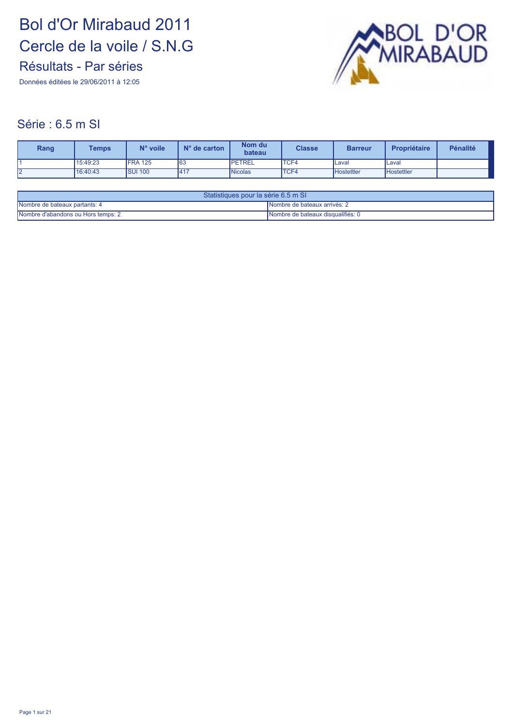Données éditées le 29/06/2011 à 12:05



#### Série : 6.5 m SI

| Rang | <b>Temps</b> | N° voile       | $N^{\circ}$ de carton | Nom du<br>bateau | <b>Classe</b> | <b>Barreur</b>    | <b>Propriétaire</b> | <b>Pénalité</b> |
|------|--------------|----------------|-----------------------|------------------|---------------|-------------------|---------------------|-----------------|
|      | 15:49:23     | <b>FRA 125</b> | 63                    | <b>IPETREL</b>   | TCF4          | ILaval            | <b>ILaval</b>       |                 |
|      | 16:40:43     | <b>SUI 100</b> | 417                   | <b>Nicolas</b>   | <b>TCF4</b>   | <b>Hostettler</b> | Hostettler          |                 |

| Statistiques pour la série 6.5 m SI                                  |                                    |  |  |
|----------------------------------------------------------------------|------------------------------------|--|--|
| Nombre de bateaux partants: 4<br><b>Nombre de bateaux arrivés: 2</b> |                                    |  |  |
| Nombre d'abandons ou Hors temps: 2                                   | INombre de bateaux disqualifiés: 0 |  |  |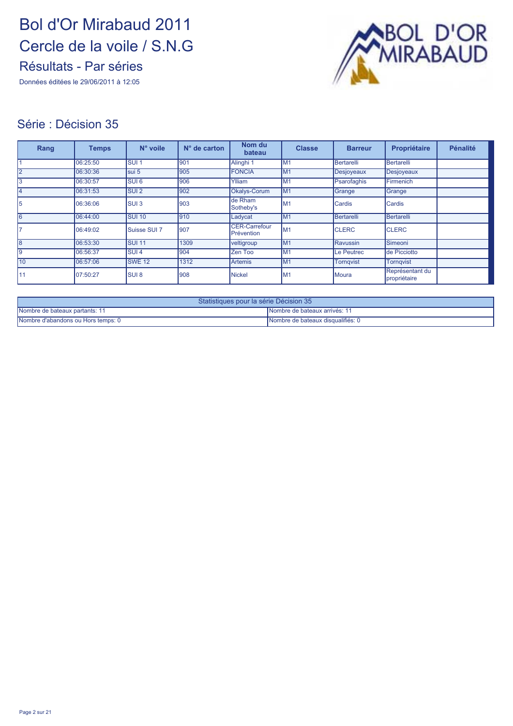Données éditées le 29/06/2011 à 12:05



#### Série : Décision 35

| Rang            | <b>Temps</b> | N° voile         | $No$ de carton | Nom du<br>bateau                   | <b>Classe</b>  | <b>Barreur</b>    | Propriétaire                    | Pénalité |
|-----------------|--------------|------------------|----------------|------------------------------------|----------------|-------------------|---------------------------------|----------|
|                 | 06:25:50     | <b>SUI1</b>      | 901            | Alinghi 1                          | M1             | Bertarelli        | Bertarelli                      |          |
| l2              | 06:30:36     | Isui 5           | 905            | <b>FONCIA</b>                      | M <sub>1</sub> | <b>Desjoyeaux</b> | Desjoyeaux                      |          |
| 3               | 06:30:57     | SUI <sub>6</sub> | 906            | Ylliam                             | M1             | Psarofaghis       | Firmenich                       |          |
| 14              | 06:31:53     | <b>SUI2</b>      | 902            | Okalys-Corum                       | M <sub>1</sub> | Grange            | Grange                          |          |
| l5              | 06:36:06     | <b>SUI3</b>      | 903            | de Rham<br>Sotheby's               | M1             | <b>Cardis</b>     | <b>Cardis</b>                   |          |
| 6               | 06:44:00     | <b>SUI 10</b>    | 910            | Ladycat                            | M <sub>1</sub> | Bertarelli        | Bertarelli                      |          |
| 17              | 06:49:02     | Suisse SUI 7     | 907            | <b>CER-Carrefour</b><br>Prévention | M <sub>1</sub> | <b>CLERC</b>      | <b>CLERC</b>                    |          |
| l8              | 06:53:30     | <b>SUI 11</b>    | 1309           | veltigroup                         | M <sub>1</sub> | Ravussin          | Simeoni                         |          |
| l9              | 06:56:37     | SUI <sub>4</sub> | 904            | Zen Too                            | M1             | Le Peutrec        | de Picciotto                    |          |
| $\overline{10}$ | 06:57:06     | <b>SWE 12</b>    | 1312           | Artemis                            | M <sub>1</sub> | <b>Torngvist</b>  | <b>Torngvist</b>                |          |
| 11              | 07:50:27     | <b>SUI 8</b>     | 908            | <b>Nickel</b>                      | M <sub>1</sub> | Moura             | Représentant du<br>propriétaire |          |

| Statistiques pour la série Décision 35 |                                      |  |  |  |
|----------------------------------------|--------------------------------------|--|--|--|
| Nombre de bateaux partants: 11         | <b>Nombre de bateaux arrivés: 11</b> |  |  |  |
| Nombre d'abandons ou Hors temps: 0     | Nombre de bateaux disqualifiés: 0    |  |  |  |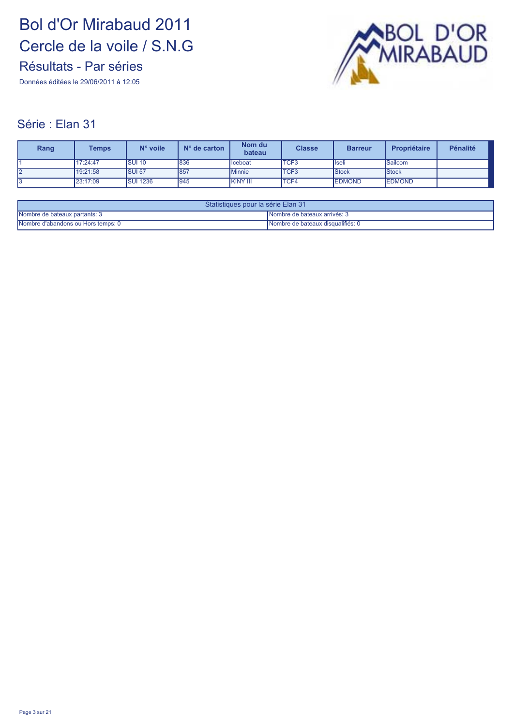Données éditées le 29/06/2011 à 12:05



#### Série : Elan 31

| Rang | <b>Temps</b> | N° voile         | $No$ de carton | Nom du<br>bateau | <b>Classe</b> | <b>Barreur</b> | Propriétaire   | <b>Pénalité</b> |
|------|--------------|------------------|----------------|------------------|---------------|----------------|----------------|-----------------|
|      | 17:24:47     | <b>SUI 10</b>    | 836            | Iceboat          | <b>TCF3</b>   | llseli         | Sailcom        |                 |
| 12   | 19:21:58     | <b>SUI 57</b>    | 857            | Minnie           | <b>ITCF3</b>  | <b>Stock</b>   | <b>Stock</b>   |                 |
| I3   | 23:17:09     | <b>ISUI 1236</b> | 945            | <b>KINY III</b>  | <b>TCF4</b>   | <b>IEDMOND</b> | <b>IEDMOND</b> |                 |

| Statistiques pour la série Elan 31 |                                     |  |  |
|------------------------------------|-------------------------------------|--|--|
| Nombre de bateaux partants: 3      | <b>Nombre de bateaux arrivés: 3</b> |  |  |
| Nombre d'abandons ou Hors temps: 0 | INombre de bateaux disqualifiés: 0  |  |  |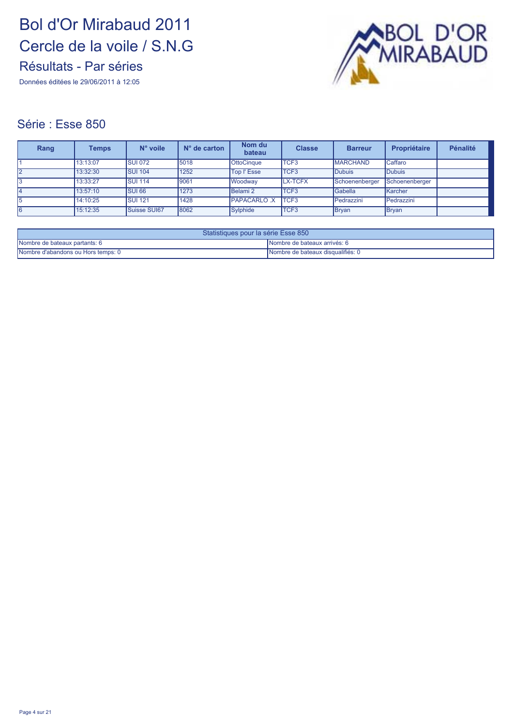Données éditées le 29/06/2011 à 12:05



#### Série : Esse 850

| Rang | <b>Temps</b> | $N^{\circ}$ voile   | $N°$ de carton | Nom du<br>bateau    | <b>Classe</b>    | <b>Barreur</b>  | Propriétaire   | Pénalité |
|------|--------------|---------------------|----------------|---------------------|------------------|-----------------|----------------|----------|
|      | 13:13:07     | <b>SUI 072</b>      | 5018           | <b>OttoCinque</b>   | TCF <sub>3</sub> | <b>MARCHAND</b> | Caffaro        |          |
|      | 13:32:30     | <b>SUI 104</b>      | 1252           | <b>Top I' Esse</b>  | TCF <sub>3</sub> | <b>Dubuis</b>   | <b>Dubuis</b>  |          |
|      | 13:33:27     | <b>SUI 114</b>      | 9061           | Woodway             | <b>LX-TCFX</b>   | Schoenenberger  | Schoenenberger |          |
|      | 13:57:10     | <b>SUI 66</b>       | 1273           | Belami <sub>2</sub> | TCF3             | Gabella         | Karcher        |          |
| l5   | 14:10:25     | <b>SUI 121</b>      | 1428           | <b>PAPACARLO .X</b> | TCF <sub>3</sub> | Pedrazzini      | Pedrazzini     |          |
| I6   | 15:12:35     | <b>Suisse SUI67</b> | 8062           | Sylphide            | TCF <sub>3</sub> | Bryan           | <b>Bryan</b>   |          |

| Statistiques pour la série Esse 850 |                                   |  |  |  |
|-------------------------------------|-----------------------------------|--|--|--|
| Nombre de bateaux partants: 6       | INombre de bateaux arrivés: 6     |  |  |  |
| Nombre d'abandons ou Hors temps: 0  | Nombre de bateaux disqualifiés: 0 |  |  |  |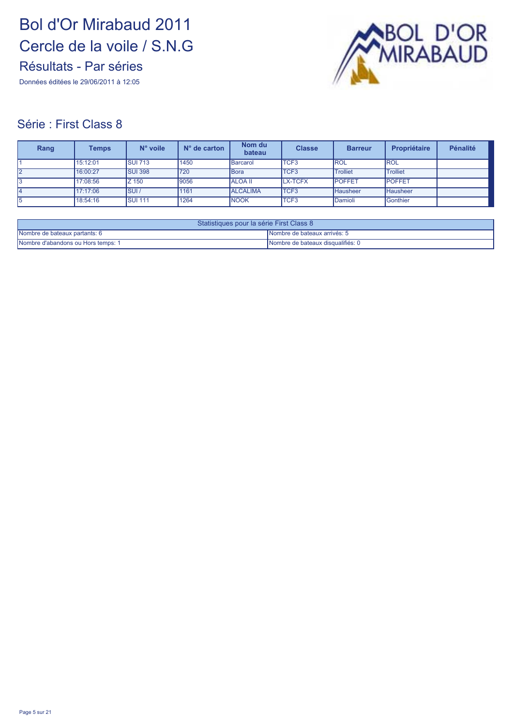Données éditées le 29/06/2011 à 12:05



#### Série : First Class 8

| Rang | Temps    | N° voile       | $N°$ de carton | Nom du<br>bateau | <b>Classe</b>    | <b>Barreur</b>  | Propriétaire    | <b>Pénalité</b> |
|------|----------|----------------|----------------|------------------|------------------|-----------------|-----------------|-----------------|
|      | 15:12:01 | <b>SUI 713</b> | 1450           | Barcarol         | <b>TCF3</b>      | <b>IROL</b>     | <b>IROL</b>     |                 |
| l2   | 16:00:27 | <b>SUI 398</b> | 720            | Bora             | TCF <sub>3</sub> | <b>Trolliet</b> | <b>Trolliet</b> |                 |
|      | 17:08:56 | <b>Z</b> 150   | 9056           | <b>ALOA II</b>   | <b>LX-TCFX</b>   | <b>POFFET</b>   | <b>POFFET</b>   |                 |
| 14   | 17:17:06 | ISUI/          | 1161           | <b>ALCALIMA</b>  | <b>TCF3</b>      | <b>Hausheer</b> | <b>Hausheer</b> |                 |
| l5   | 18:54:16 | <b>SUI 111</b> | 1264           | <b>NOOK</b>      | TCF <sub>3</sub> | Damioli         | Gonthier        |                 |

| Statistiques pour la série First Class 8 |                                     |  |  |
|------------------------------------------|-------------------------------------|--|--|
| Nombre de bateaux partants: 6            | <b>Nombre de bateaux arrivés: 5</b> |  |  |
| Nombre d'abandons ou Hors temps: 1       | INombre de bateaux disqualifiés: 0  |  |  |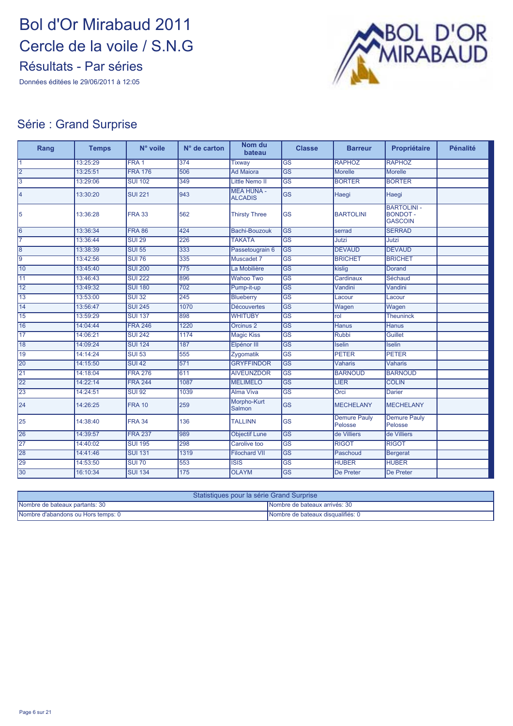Données éditées le 29/06/2011 à 12:05



#### Série : Grand Surprise

| Rang            | <b>Temps</b> | N° voile         | $N°$ de carton   | Nom du<br>bateau                    | <b>Classe</b>          | <b>Barreur</b>                 | Propriétaire                                            | <b>Pénalité</b> |
|-----------------|--------------|------------------|------------------|-------------------------------------|------------------------|--------------------------------|---------------------------------------------------------|-----------------|
| $\overline{1}$  | 13:25:29     | FRA <sub>1</sub> | 374              | <b>Tixway</b>                       | $\overline{\text{GS}}$ | <b>RAPHOZ</b>                  | <b>RAPHOZ</b>                                           |                 |
| $\overline{2}$  | 13:25:51     | <b>FRA 176</b>   | 506              | <b>Ad Maiora</b>                    | $\overline{\text{GS}}$ | Morelle                        | <b>Morelle</b>                                          |                 |
| 3               | 13:29:06     | <b>SUI 102</b>   | 349              | <b>Little Nemo II</b>               | $\overline{\text{GS}}$ | <b>BORTER</b>                  | <b>BORTER</b>                                           |                 |
| l4              | 13:30:20     | <b>SUI 221</b>   | 943              | <b>MEA HUNA -</b><br><b>ALCADIS</b> | <b>GS</b>              | Haegi                          | Haegi                                                   |                 |
| 5               | 13:36:28     | <b>FRA 33</b>    | 562              | <b>Thirsty Three</b>                | <b>GS</b>              | <b>BARTOLINI</b>               | <b>BARTOLINI -</b><br><b>BONDOT -</b><br><b>GASCOIN</b> |                 |
| 6               | 13:36:34     | <b>FRA 86</b>    | 424              | Bachi-Bouzouk                       | <b>GS</b>              | serrad                         | <b>SERRAD</b>                                           |                 |
| 17              | 13:36:44     | <b>SUI 29</b>    | 226              | <b>TAKATA</b>                       | $\overline{\text{GS}}$ | Jutzi                          | Jutzi                                                   |                 |
| 8               | 13:38:39     | <b>SUI 55</b>    | 333              | Passetougrain 6                     | <b>GS</b>              | <b>DEVAUD</b>                  | <b>DEVAUD</b>                                           |                 |
| l9              | 13:42:56     | <b>SUI 76</b>    | 335              | Muscadet 7                          | <b>GS</b>              | <b>BRICHET</b>                 | <b>BRICHET</b>                                          |                 |
| 10              | 13:45:40     | <b>SUI 200</b>   | $\overline{775}$ | La Mobilière                        | GS                     | kislig                         | Dorand                                                  |                 |
| $\overline{11}$ | 13:46:43     | <b>SUI 222</b>   | 896              | <b>Wahoo Two</b>                    | $\overline{\text{GS}}$ | Cardinaux                      | Séchaud                                                 |                 |
| 12              | 13:49:32     | <b>SUI 180</b>   | 702              | Pump-it-up                          | $\overline{\text{GS}}$ | Vandini                        | Vandini                                                 |                 |
| $\overline{13}$ | 13:53:00     | <b>SUI 32</b>    | $\overline{245}$ | Blueberry                           | $\overline{\text{GS}}$ | Lacour                         | Lacour                                                  |                 |
| 14              | 13:56:47     | <b>SUI 245</b>   | 1070             | <b>Découvertes</b>                  | $\overline{\text{GS}}$ | Wagen                          | Wagen                                                   |                 |
| 15              | 13:59:29     | <b>SUI 137</b>   | 898              | <b>WHITUBY</b>                      | $\overline{\text{GS}}$ | rol                            | <b>Theuninck</b>                                        |                 |
| 16              | 14:04:44     | <b>FRA 246</b>   | 1220             | Orcinus <sub>2</sub>                | $\overline{\text{GS}}$ | Hanus                          | <b>Hanus</b>                                            |                 |
| 17              | 14:06:21     | <b>SUI 242</b>   | 1174             | <b>Magic Kiss</b>                   | <b>GS</b>              | <b>Rubbi</b>                   | <b>Guillet</b>                                          |                 |
| 18              | 14:09:24     | <b>SUI 124</b>   | 187              | Elpénor III                         | $\overline{\text{GS}}$ | <b>Iselin</b>                  | <b>Iselin</b>                                           |                 |
| 19              | 14:14:24     | <b>SUI 53</b>    | 555              | Zygomatik                           | $\overline{\text{GS}}$ | <b>PETER</b>                   | <b>PETER</b>                                            |                 |
| 20              | 14:15:50     | <b>SUI 42</b>    | 571              | <b>GRYFFINDOR</b>                   | <b>GS</b>              | <b>Vaharis</b>                 | <b>Vaharis</b>                                          |                 |
| 21              | 14:18:04     | <b>FRA 276</b>   | 611              | <b>AIVEUNZDOR</b>                   | $\overline{\text{GS}}$ | <b>BARNOUD</b>                 | <b>BARNOUD</b>                                          |                 |
| 22              | 14:22:14     | <b>FRA 244</b>   | 1087             | <b>MELIMELO</b>                     | $\overline{\text{GS}}$ | <b>LIER</b>                    | <b>COLIN</b>                                            |                 |
| 23              | 14:24:51     | <b>SUI 92</b>    | 1039             | <b>Alma Viva</b>                    | $\overline{\text{GS}}$ | Orci                           | <b>Darier</b>                                           |                 |
| 24              | 14:26:25     | <b>FRA 10</b>    | 259              | Morpho-Kurt<br>Salmon               | <b>GS</b>              | <b>MECHELANY</b>               | <b>MECHELANY</b>                                        |                 |
| 25              | 14:38:40     | <b>FRA 34</b>    | 136              | <b>TALLINN</b>                      | <b>GS</b>              | <b>Demure Pauly</b><br>Pelosse | <b>Demure Pauly</b><br>Pelosse                          |                 |
| 26              | 14:39:57     | <b>FRA 237</b>   | 989              | <b>Objectif Lune</b>                | $\overline{\text{GS}}$ | de Villiers                    | de Villiers                                             |                 |
| 27              | 14:40:02     | <b>SUI 195</b>   | 298              | Carolive too                        | $\overline{\text{GS}}$ | <b>RIGOT</b>                   | <b>RIGOT</b>                                            |                 |
| 28              | 14:41:46     | <b>SUI 131</b>   | 1319             | <b>Filochard VII</b>                | <b>GS</b>              | Paschoud                       | <b>Bergerat</b>                                         |                 |
| 29              | 14:53:50     | <b>SUI 70</b>    | 553              | $\overline{\text{ISIS}}$            | $\overline{\text{GS}}$ | <b>HUBER</b>                   | <b>HUBER</b>                                            |                 |
| 30              | 16:10:34     | <b>SUI 134</b>   | 175              | <b>OLAYM</b>                        | $\overline{\text{GS}}$ | <b>De Preter</b>               | <b>De Preter</b>                                        |                 |

| Statistiques pour la série Grand Surprise |                                      |  |  |  |
|-------------------------------------------|--------------------------------------|--|--|--|
| Nombre de bateaux partants: 30            | <b>Nombre de bateaux arrivés: 30</b> |  |  |  |
| Nombre d'abandons ou Hors temps: 0        | Nombre de bateaux disqualifiés: 0    |  |  |  |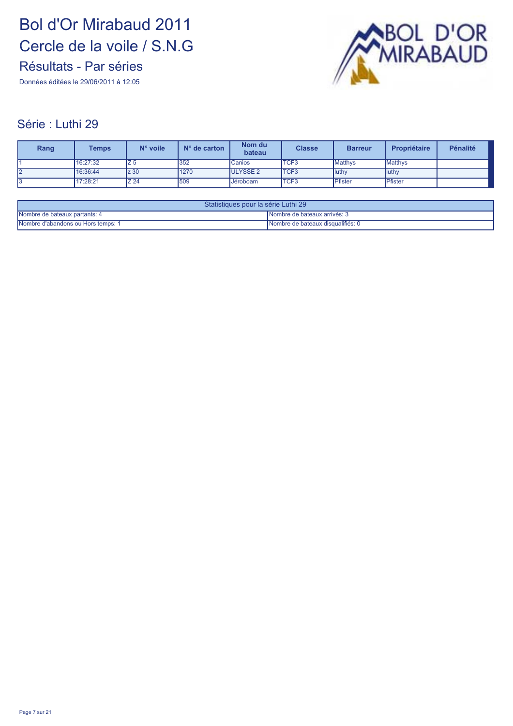Données éditées le 29/06/2011 à 12:05



| Rang | <b>Temps</b> | N° voile        | $No$ de carton | Nom du<br>bateau | <b>Classe</b> | <b>Barreur</b> | Propriétaire | Pénalité |
|------|--------------|-----------------|----------------|------------------|---------------|----------------|--------------|----------|
|      | 16:27:32     | IZ 5            | 352            | Canios           | <b>TCF3</b>   | Matthys        | Matthys      |          |
| 12   | 16:36:44     | z <sub>30</sub> | 1270           | <b>ULYSSE 2</b>  | <b>ITCF3</b>  | luthy          | luthy        |          |
| I3   | 17:28:21     | Z <sub>24</sub> | 509            | Jéroboam         | <b>TCF3</b>   | Pfister        | Pfister      |          |

| Statistiques pour la série Luthi 29 |                                    |  |  |
|-------------------------------------|------------------------------------|--|--|
| Nombre de bateaux partants: 4       | INombre de bateaux arrivés: 3      |  |  |
| Nombre d'abandons ou Hors temps: 1  | INombre de bateaux disqualifiés: 0 |  |  |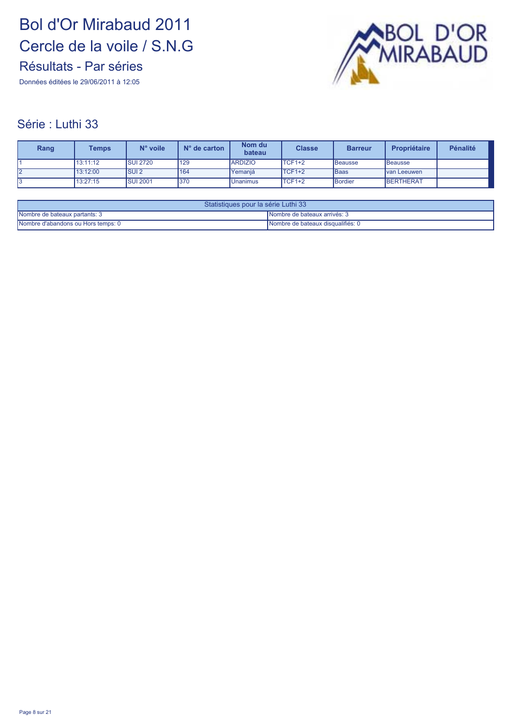Données éditées le 29/06/2011 à 12:05



| Rang      | Temps    | N° voile         | $N°$ de carton | Nom du<br>bateau | <b>Classe</b>      | <b>Barreur</b> | Propriétaire     | <b>Pénalité</b> |
|-----------|----------|------------------|----------------|------------------|--------------------|----------------|------------------|-----------------|
|           | 13:11:12 | <b>ISUI 2720</b> | 129            | <b>ARDIZIO</b>   | TCF1+2             | <b>Beausse</b> | <b>Beausse</b>   |                 |
| <u> 2</u> | 13:12:00 | <b>SUI2</b>      | 164            | Yemanjá          | TCF <sub>1+2</sub> | <b>Baas</b>    | Ivan Leeuwen     |                 |
| I3        | 13:27:15 | <b>ISUI 2001</b> | 370            | Unanimus         | TCF1+2             | Bordier        | <b>BERTHERAT</b> |                 |

| Statistiques pour la série Luthi 33 |                                     |  |  |
|-------------------------------------|-------------------------------------|--|--|
| Nombre de bateaux partants: 3       | <b>Nombre de bateaux arrivés: 3</b> |  |  |
| Nombre d'abandons ou Hors temps: 0  | Nombre de bateaux disqualifiés: 0   |  |  |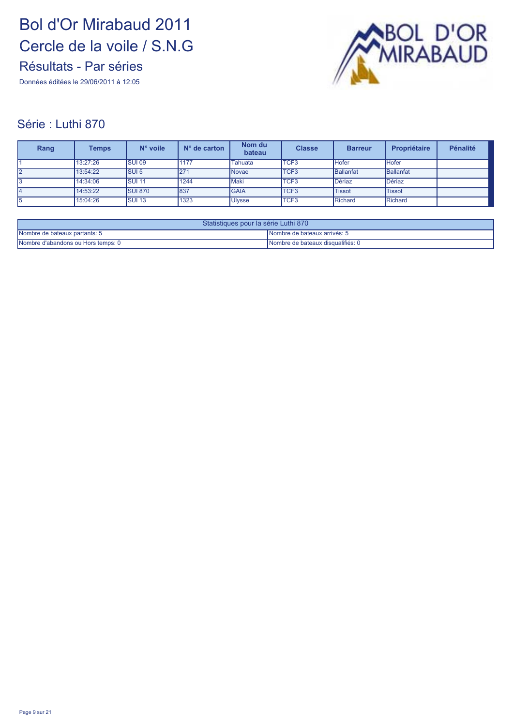Données éditées le 29/06/2011 à 12:05



| Rang | Temps    | N° voile       | $N°$ de carton | Nom du<br>bateau | <b>Classe</b>    | <b>Barreur</b> | Propriétaire     | <b>Pénalité</b> |
|------|----------|----------------|----------------|------------------|------------------|----------------|------------------|-----------------|
|      | 13:27:26 | <b>SUI 09</b>  | 177            | Tahuata          | <b>TCF3</b>      | <b>Hofer</b>   | Hofer            |                 |
| 12   | 13:54:22 | <b>SUI 5</b>   | 271            | <b>Novae</b>     | <b>TCF3</b>      | Ballanfat      | <b>Ballanfat</b> |                 |
| 3    | 14:34:06 | <b>SUI 11</b>  | 1244           | <b>Maki</b>      | TCF <sub>3</sub> | Dériaz         | Dériaz           |                 |
| 14   | 14:53:22 | <b>SUI 870</b> | 837            | <b>IGAIA</b>     | <b>TCF3</b>      | <b>Tissot</b>  | <b>Tissot</b>    |                 |
| l5   | 15:04:26 | <b>SUI 13</b>  | 1323           | <b>Ulysse</b>    | <b>TCF3</b>      | Richard        | Richard          |                 |

| Statistiques pour la série Luthi 870 |                                     |  |  |
|--------------------------------------|-------------------------------------|--|--|
| Nombre de bateaux partants: 5        | <b>Nombre de bateaux arrivés: 5</b> |  |  |
| Nombre d'abandons ou Hors temps: 0   | Nombre de bateaux disqualifiés: 0   |  |  |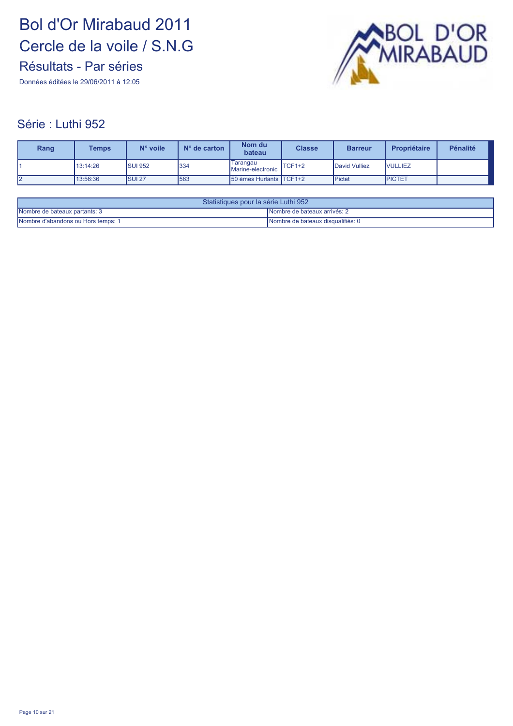Données éditées le 29/06/2011 à 12:05



| Rang | Temps    | N° voile          | $N°$ de carton | Nom du<br>bateau              | <b>Classe</b> | <b>Barreur</b> | <b>Propriétaire</b> | <b>Pénalité</b> |
|------|----------|-------------------|----------------|-------------------------------|---------------|----------------|---------------------|-----------------|
|      | 13:14:26 | <b>SUI 952</b>    | 334            | Tarangau<br>Marine-electronic | TCF1+2        | David Vulliez  | <b>VULLIEZ</b>      |                 |
| L    | 13:56:36 | SUI <sub>27</sub> | 563            | 50 èmes Hurlants TCF1+2       |               | <b>Pictet</b>  | <b>PICTET</b>       |                 |

| Statistiques pour la série Luthi 952 |                                   |  |  |  |
|--------------------------------------|-----------------------------------|--|--|--|
| Nombre de bateaux partants: 3        | INombre de bateaux arrivés: 2     |  |  |  |
| Nombre d'abandons ou Hors temps: 1   | Nombre de bateaux disqualifiés: 0 |  |  |  |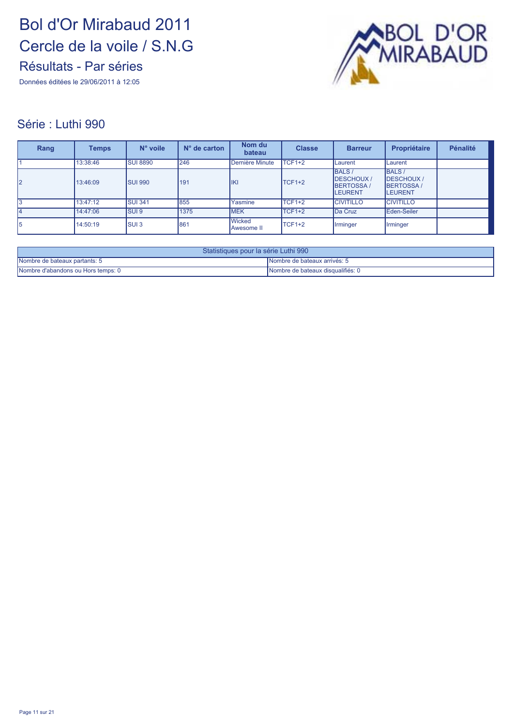Données éditées le 29/06/2011 à 12:05



| Rang | Temps    | N° voile         | $N°$ de carton | Nom du<br>bateau     | <b>Classe</b> | <b>Barreur</b>                                                          | Propriétaire                                                           | <b>Pénalité</b> |
|------|----------|------------------|----------------|----------------------|---------------|-------------------------------------------------------------------------|------------------------------------------------------------------------|-----------------|
|      | 13:38:46 | <b>ISUI 8890</b> | 246            | Dernière Minute      | TCF1+2        | Laurent                                                                 | Laurent                                                                |                 |
| l2   | 13:46:09 | <b>SUI 990</b>   | 191            | <b>IKI</b>           | TCF1+2        | <b>BALS/</b><br><b>IDESCHOUX/</b><br><b>BERTOSSA/</b><br><b>LEURENT</b> | <b>BALS</b><br><b>IDESCHOUX/</b><br><b>BERTOSSA/</b><br><b>LEURENT</b> |                 |
| 3    | 13:47:12 | <b>SUI 341</b>   | 855            | Yasmine              | TCF1+2        | <b>CIVITILLO</b>                                                        | <b>CIVITILLO</b>                                                       |                 |
| l4   | 14:47:06 | <b>SUI 9</b>     | 1375           | <b>IMEK</b>          | TCF1+2        | Da Cruz                                                                 | Eden-Seiler                                                            |                 |
| 15   | 14:50:19 | <b>SUI3</b>      | 861            | Wicked<br>Awesome II | TCF1+2        | Irminger                                                                | <b>Irminger</b>                                                        |                 |

| Statistiques pour la série Luthi 990 |                                   |  |  |  |
|--------------------------------------|-----------------------------------|--|--|--|
| Nombre de bateaux partants: 5        | INombre de bateaux arrivés: 5     |  |  |  |
| Nombre d'abandons ou Hors temps: 0   | Nombre de bateaux disqualifiés: 0 |  |  |  |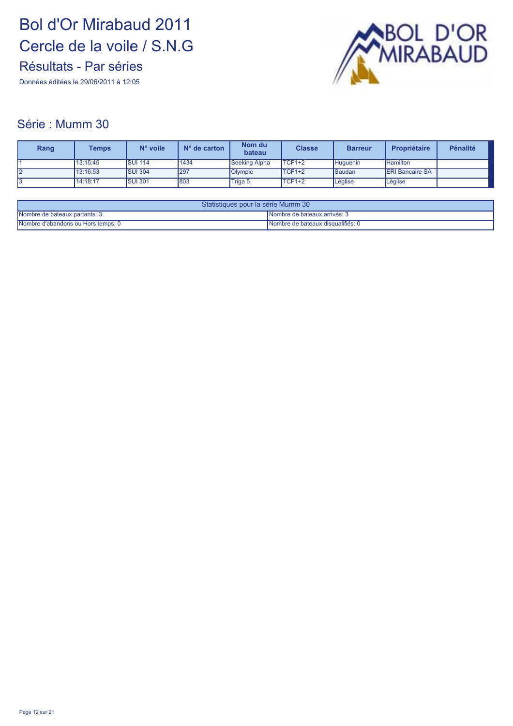Données éditées le 29/06/2011 à 12:05



#### Série : Mumm 30

| Rang | Temps    | N° voile        | $N°$ de carton | Nom du<br>bateau     | <b>Classe</b>      | <b>Barreur</b> | Propriétaire            | <b>Pénalité</b> |
|------|----------|-----------------|----------------|----------------------|--------------------|----------------|-------------------------|-----------------|
|      | 13:15:45 | <b>SUI 114</b>  | 1434           | <b>Seeking Alpha</b> | TCF <sub>1+2</sub> | Huguenin       | <b>Hamilton</b>         |                 |
|      | 13:16:53 | <b>SUI 304</b>  | 297            | <b>Olympic</b>       | TCF <sub>1+2</sub> | <b>Saudan</b>  | <b>IERI Bancaire SA</b> |                 |
|      | 14:18:17 | <b>ISUI 301</b> | 803            | Triga 5              | TCF1+2             | Léglise        | Léglise                 |                 |

| Statistiques pour la série Mumm 30 |                                   |  |  |  |
|------------------------------------|-----------------------------------|--|--|--|
| Nombre de bateaux partants: 3      | INombre de bateaux arrivés: 3     |  |  |  |
| Nombre d'abandons ou Hors temps: 0 | Nombre de bateaux disqualifiés: 0 |  |  |  |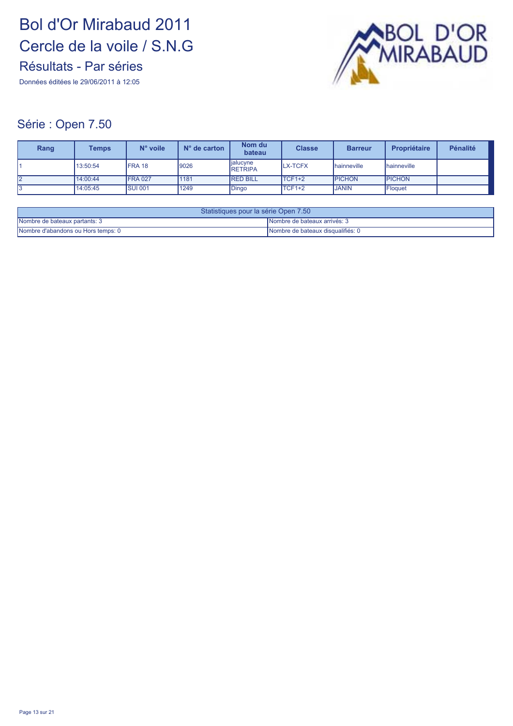Données éditées le 29/06/2011 à 12:05



#### Série : Open 7.50

| Rang | Temps    | N° voile        | $N°$ de carton | Nom du<br>bateau           | <b>Classe</b>  | <b>Barreur</b>      | Propriétaire       | <b>Pénalité</b> |
|------|----------|-----------------|----------------|----------------------------|----------------|---------------------|--------------------|-----------------|
|      | 13:50:54 | FRA 18          | 9026           | jalucyne<br><b>RETRIPA</b> | <b>LX-TCFX</b> | <b>Ihainneville</b> | <b>hainneville</b> |                 |
| 12   | 14:00:44 | <b>FRA 027</b>  | 1181           | <b>RED BILL</b>            | TCF1+2         | <b>PICHON</b>       | <b>PICHON</b>      |                 |
| I3   | 14:05:45 | <b>ISUI 001</b> | 1249           | Dingo                      | TCF1+2         | <b>JANIN</b>        | Floquet            |                 |

| Statistiques pour la série Open 7.50 |                                   |  |  |  |
|--------------------------------------|-----------------------------------|--|--|--|
| Nombre de bateaux partants: 3        | Nombre de bateaux arrivés: 3      |  |  |  |
| Nombre d'abandons ou Hors temps: 0   | Nombre de bateaux disqualifiés: 0 |  |  |  |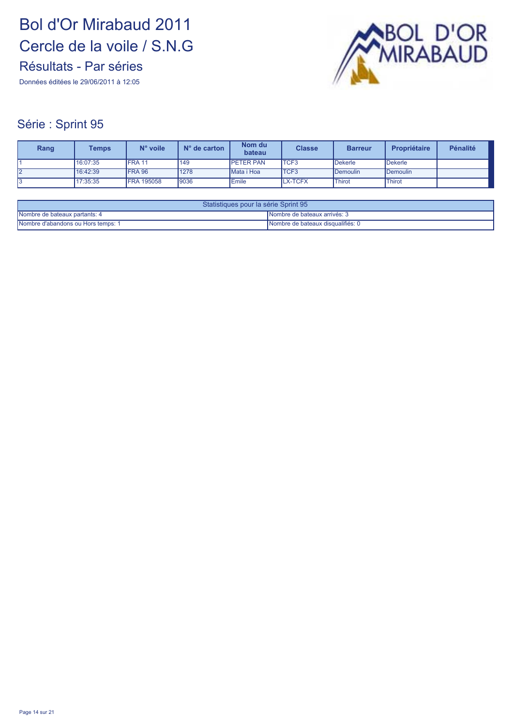Données éditées le 29/06/2011 à 12:05



#### Série : Sprint 95

| Rang | Temps    | N° voile          | $N°$ de carton | Nom du<br>bateau | <b>Classe</b>  | <b>Barreur</b> | <b>Propriétaire</b> | <b>Pénalité</b> |
|------|----------|-------------------|----------------|------------------|----------------|----------------|---------------------|-----------------|
|      | 16:07:35 | <b>FRA1</b>       | 149            | <b>PETER PAN</b> | <b>TCF3</b>    | <b>Dekerle</b> | <b>IDekerle</b>     |                 |
| L    | 16:42:39 | <b>FRA 96</b>     | 1278           | Mata i Hoa       | <b>TCF3</b>    | Demoulin       | Demoulin            |                 |
|      | 17:35:35 | <b>FRA 195058</b> | 9036           | <b>Emile</b>     | <b>LX-TCFX</b> | <b>Thirot</b>  | Thirot              |                 |

| Statistiques pour la série Sprint 95 |                                   |  |  |  |
|--------------------------------------|-----------------------------------|--|--|--|
| Nombre de bateaux partants: 4        | Nombre de bateaux arrivés: 3      |  |  |  |
| Nombre d'abandons ou Hors temps: 1   | Nombre de bateaux disqualifiés: 0 |  |  |  |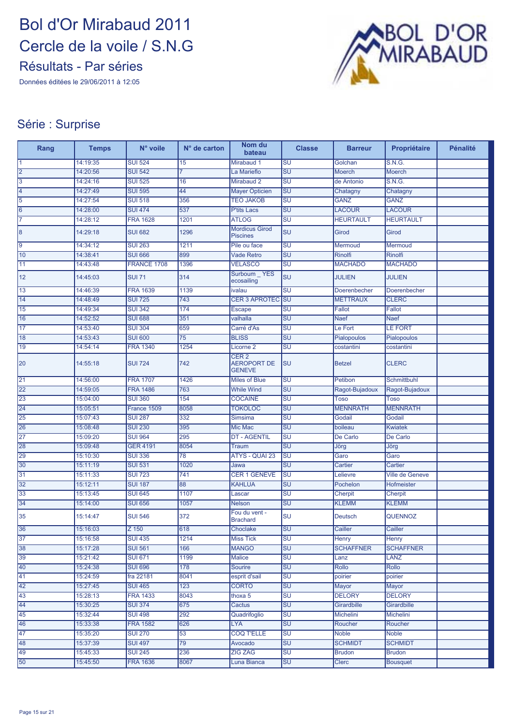Données éditées le 29/06/2011 à 12:05



#### Série : Surprise

| Rang            | <b>Temps</b> | N° voile        | $N°$ de carton  | Nom du<br>bateau                                        | <b>Classe</b>                     | <b>Barreur</b>   | Propriétaire       | <b>Pénalité</b> |
|-----------------|--------------|-----------------|-----------------|---------------------------------------------------------|-----------------------------------|------------------|--------------------|-----------------|
| $\overline{1}$  | 14:19:35     | <b>SUI 524</b>  | 15              | Mirabaud 1                                              | SU                                | Golchan          | <b>S.N.G.</b>      |                 |
| $\overline{2}$  | 14:20:56     | <b>SUI 542</b>  | 17              | La Marieflo                                             | $\overline{\text{SU}}$            | <b>Moerch</b>    | <b>Moerch</b>      |                 |
| $\overline{3}$  | 14:24:16     | <b>SUI 525</b>  | 16              | Mirabaud 2                                              | $\overline{\mathsf{S}}\mathsf{U}$ | de Antonio       | S.N.G.             |                 |
| $\overline{4}$  | 14:27:49     | <b>SUI 595</b>  | 44              | <b>Mayer Opticien</b>                                   | $\overline{\mathsf{S}\mathsf{U}}$ | Chatagny         | Chatagny           |                 |
| $\overline{5}$  | 14:27:54     | <b>SUI 518</b>  | 356             | <b>TEO JAKOB</b>                                        | $\overline{\mathsf{SU}}$          | <b>GANZ</b>      | <b>GANZ</b>        |                 |
| $\overline{6}$  | 14:28:00     | <b>SUI 474</b>  | 537             | <b>P'tits Lacs</b>                                      | $\overline{\mathsf{S}\mathsf{U}}$ | <b>LACOUR</b>    | <b>LACOUR</b>      |                 |
| 7               | 14:28:12     | <b>FRA 1628</b> | 1201            | <b>ATLOG</b>                                            | SU                                | <b>HEURTAULT</b> | <b>HEURTAULT</b>   |                 |
| $\vert$ 8       | 14:29:18     | <b>SUI 682</b>  | 1296            | <b>Mordicus Girod</b><br><b>Piscines</b>                | SU                                | Girod            | <b>Girod</b>       |                 |
| $\overline{9}$  | 14:34:12     | <b>SUI 263</b>  | 1211            | Pile ou face                                            | SU                                | Mermoud          | Mermoud            |                 |
| 10              | 14:38:41     | <b>SUI 666</b>  | 899             | <b>Vade Retro</b>                                       | $\overline{\mathsf{SU}}$          | Rinolfi          | <b>Rinolfi</b>     |                 |
| $\overline{11}$ | 14:43:48     | FRANCE 1708     | 1396            | <b>VELASCO</b>                                          | $\overline{\mathsf{S}}\mathsf{U}$ | <b>MACHADO</b>   | <b>MACHADO</b>     |                 |
| 12              | 14:45:03     | <b>SUI 71</b>   | 314             | Surboum _ YES<br>ecosailing                             | SU                                | <b>JULIEN</b>    | <b>JULIEN</b>      |                 |
| $\overline{13}$ | 14:46:39     | <b>FRA 1639</b> | 1139            | ivalau                                                  | $\overline{\mathsf{S}}\mathsf{U}$ | Doerenbecher     | Doerenbecher       |                 |
| $\overline{14}$ | 14:48:49     | <b>SUI 725</b>  | 743             | <b>CER 3 APROTEC</b>                                    | <b>SU</b>                         | <b>METTRAUX</b>  | <b>CLERC</b>       |                 |
| 15              | 14:49:34     | <b>SUI 342</b>  | 174             | <b>Escape</b>                                           | $\overline{\mathsf{SU}}$          | Fallot           | Fallot             |                 |
| 16              | 14:52:52     | <b>SUI 688</b>  | 351             | valhalla                                                | SU                                | <b>Naef</b>      | <b>Naef</b>        |                 |
| $\overline{17}$ | 14:53:40     | <b>SUI 304</b>  | 659             | Carré d'As                                              | SU                                | Le Fort          | <b>LE FORT</b>     |                 |
| 18              | 14:53:43     | <b>SUI 600</b>  | $\overline{75}$ | <b>BLISS</b>                                            | $\overline{\mathsf{SU}}$          | Pialopoulos      | <b>Pialopoulos</b> |                 |
| 19              | 14:54:14     | <b>FRA 1340</b> | 1254            | Licorne 2                                               | $\overline{\mathsf{S}}\mathsf{U}$ | costantini       | costantini         |                 |
| 20              | 14:55:18     | <b>SUI 724</b>  | 742             | CER <sub>2</sub><br><b>AEROPORT DE</b><br><b>GENEVE</b> | SU                                | <b>Betzel</b>    | <b>CLERC</b>       |                 |
| $\overline{21}$ | 14:56:00     | <b>FRA 1707</b> | 1426            | <b>Miles of Blue</b>                                    | SU                                | Petibon          | Schmittbuhl        |                 |
| 22              | 14:59:05     | <b>FRA 1486</b> | 763             | <b>While Wind</b>                                       | $\overline{\mathsf{SU}}$          | Ragot-Bujadoux   | Ragot-Bujadoux     |                 |
| $\overline{23}$ | 15:04:00     | <b>SUI 360</b>  | 154             | <b>COCAINE</b>                                          | $\overline{\mathsf{S}}\mathsf{U}$ | <b>Toso</b>      | <b>Toso</b>        |                 |
| $\overline{24}$ | 15:05:51     | France 1509     | 8058            | <b>TOKOLOC</b>                                          | SU                                | <b>MENNRATH</b>  | <b>MENNRATH</b>    |                 |
| 25              | 15:07:43     | <b>SUI 287</b>  | 332             | Simsima                                                 | $\overline{\mathsf{SU}}$          | Godail           | Godail             |                 |
| 26              | 15:08:48     | <b>SUI 230</b>  | 395             | Mic Mac                                                 | SU                                | boileau          | <b>Kwiatek</b>     |                 |
| $\overline{27}$ | 15:09:20     | <b>SUI 964</b>  | 295             | <b>DT - AGENTIL</b>                                     | SU                                | De Carlo         | De Carlo           |                 |
| 28              | 15:09:48     | <b>GER 4191</b> | 8054            | Traum                                                   | $\overline{\mathsf{SU}}$          | Jörg             | Jörg               |                 |
| 29              | 15:10:30     | <b>SUI 336</b>  | 78              | ATYS - QUAI 23                                          | $\overline{\mathsf{S}}\mathsf{U}$ | Garo             | Garo               |                 |
| 30              | 15:11:19     | <b>SUI 531</b>  | 1020            | Jawa                                                    | SU                                | Cartier          | Cartier            |                 |
| 31              | 15:11:33     | <b>SUI 723</b>  | 741             | CER 1 GENEVE                                            | SU                                | Lelievre         | Ville de Geneve    |                 |
| 32              | 15:12:11     | <b>SUI 187</b>  | 88              | <b>KAHLUA</b>                                           | SU                                | Pochelon         | Hofmeister         |                 |
| 33              | 15:13:45     | <b>SUI 645</b>  | 1107            | Lascar                                                  | SU                                | Cherpit          | Cherpit            |                 |
| 34              | 15:14:00     | <b>SUI 656</b>  | 1057            | <b>Nelson</b>                                           | SU                                | <b>KLEMM</b>     | <b>KLEMM</b>       |                 |
| 35              | 15:14:47     | <b>SUI 546</b>  | 372             | Fou du vent -<br><b>Brachard</b>                        | SU                                | <b>Deutsch</b>   | <b>QUENNOZ</b>     |                 |
| $\frac{36}{37}$ | 15:16:03     | $Z$ 150         | 618             | Choclake                                                | SU                                | Cailler          | Cailler            |                 |
|                 | 15:16:58     | <b>SUI 435</b>  | 1214            | <b>Miss Tick</b>                                        | $\overline{\mathsf{S}\mathsf{U}}$ | <b>Henry</b>     | <b>Henry</b>       |                 |
| 38              | 15:17:28     | <b>SUI 561</b>  | 166             | <b>MANGO</b>                                            | SU                                | <b>SCHAFFNER</b> | <b>SCHAFFNER</b>   |                 |
| 39              | 15:21:42     | <b>SUI 671</b>  | 1199            | <b>Malice</b>                                           | SU                                | Lanz             | <b>LANZ</b>        |                 |
| 40              | 15:24:38     | <b>SUI 696</b>  | 178             | <b>Sourire</b>                                          | SU                                | Rollo            | Rollo              |                 |
| 41              | 15:24:59     | fra 22181       | 8041            | esprit d'sail                                           | SU                                | poirier          | poirier            |                 |
| $\overline{42}$ | 15:27:45     | <b>SUI 465</b>  | 123             | <b>CORTO</b>                                            | <b>SU</b>                         | Mayor            | Mayor              |                 |
| $\overline{43}$ | 15:28:13     | <b>FRA 1433</b> | 8043            | thoxa 5                                                 | SU                                | <b>DELORY</b>    | <b>DELORY</b>      |                 |
| $\overline{44}$ | 15:30:25     | <b>SUI 374</b>  | 675             | Cactus                                                  | SU                                | Girardbille      | Girardbille        |                 |
| 45              | 15:32:44     | <b>SUI 498</b>  | 292             | Quadrifoglio                                            | SU                                | Michelini        | Michelini          |                 |
| 46              | 15:33:38     | <b>FRA 1582</b> | 626             | <b>LYA</b>                                              | SU                                | Roucher          | Roucher            |                 |
| $\overline{47}$ | 15:35:20     | <b>SUI 270</b>  | 53              | <b>COQ T'ELLE</b>                                       | SU                                | <b>Noble</b>     | <b>Noble</b>       |                 |
| 48              | 15:37:39     | <b>SUI 497</b>  | 79              | Avocado                                                 | SU                                | <b>SCHMIDT</b>   | <b>SCHMIDT</b>     |                 |
| $\overline{49}$ | 15:45:33     | <b>SUI 245</b>  | 236             | <b>ZIG ZAG</b>                                          | SU                                | <b>Brudon</b>    | <b>Brudon</b>      |                 |
| 50              | 15:45:50     | <b>FRA 1636</b> | 8067            | Luna Bianca                                             | SU                                | Clerc            | <b>Bousquet</b>    |                 |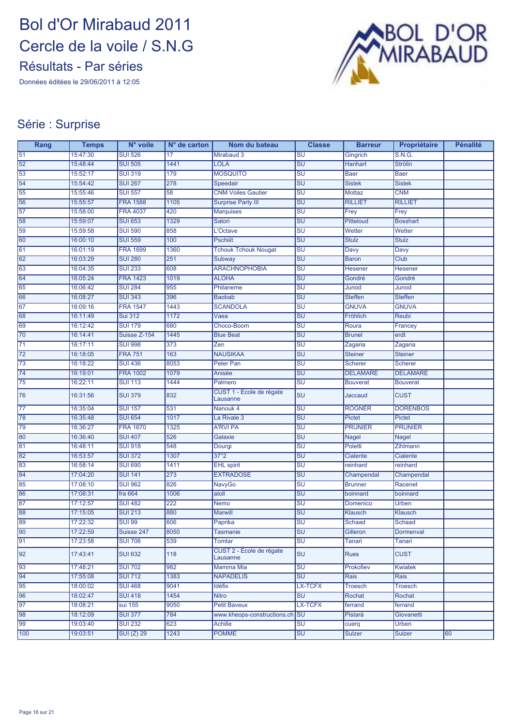Données éditées le 29/06/2011 à 12:05



#### Série : Surprise

| Rang            | <b>Temps</b> | N° voile          | $N°$ de carton | Nom du bateau                        | <b>Classe</b>                     | <b>Barreur</b>  | Propriétaire    | <b>Pénalité</b> |
|-----------------|--------------|-------------------|----------------|--------------------------------------|-----------------------------------|-----------------|-----------------|-----------------|
| $\overline{51}$ | 15:47:30     | <b>SUI 526</b>    | 17             | Mirabaud 3                           | SU                                | Gingrich        | S.N.G.          |                 |
| 52              | 15:48:44     | <b>SUI 505</b>    | 1441           | <b>LOLA</b>                          | $\overline{\mathsf{SU}}$          | Hanhart         | <b>Strölin</b>  |                 |
| 53              | 15:52:17     | <b>SUI 319</b>    | 179            | <b>MOSQUITO</b>                      | <b>SU</b>                         | <b>Baer</b>     | <b>Baer</b>     |                 |
| 54              | 15:54:42     | <b>SUI 267</b>    | 278            | Speedair                             | $\overline{\mathsf{SU}}$          | <b>Sistek</b>   | <b>Sistek</b>   |                 |
| 55              | 15:55:46     | <b>SUI 557</b>    | 58             | <b>CNM Voiles Gautier</b>            | SU                                | Mottaz          | <b>CNM</b>      |                 |
| 56              | 15:55:57     | <b>FRA 1588</b>   | 1105           | <b>Surprise Party III</b>            | $\overline{\mathsf{SU}}$          | <b>RILLIET</b>  | <b>RILLIET</b>  |                 |
| $\overline{57}$ | 15:58:00     | <b>FRA 4037</b>   | 420            | <b>Marquises</b>                     | $\overline{\mathsf{S}\mathsf{U}}$ | Frey            | Frey            |                 |
| 58              | 15:59:07     | <b>SUI 653</b>    | 1329           | Satori                               | $\overline{\mathsf{SU}}$          | Pitteloud       | <b>Bosshart</b> |                 |
| 59              | 15:59:58     | <b>SUI 590</b>    | 858            | L'Octave                             | <b>SU</b>                         | Wetter          | Wetter          |                 |
| 60              | 16:00:10     | <b>SUI 559</b>    | 100            | <b>Pschiiit</b>                      | SU                                | <b>Stulz</b>    | <b>Stulz</b>    |                 |
| 61              | 16:01:19     | <b>FRA 1699</b>   | 1360           | <b>Tchouk Tchouk Nougat</b>          | SU                                | Davy            | Davy            |                 |
| 62              | 16:03:29     | <b>SUI 280</b>    | 251            | Subway                               | $\overline{\mathsf{SU}}$          | <b>Baron</b>    | Club            |                 |
| 63              | 16:04:35     | <b>SUI 233</b>    | 608            | <b>ARACHNOPHOBIA</b>                 | SU                                | Hesener         | <b>Hesener</b>  |                 |
| 64              | 16:05:24     | <b>FRA 1423</b>   | 1019           | <b>ALOHA</b>                         | $\overline{\text{SU}}$            | Gondré          | Gondré          |                 |
| 65              | 16:06:42     | <b>SUI 284</b>    | 955            | Philaneme                            | <b>SU</b>                         | Junod           | Junod           |                 |
| 66              | 16:08:27     | <b>SUI 343</b>    | 396            | <b>Baobab</b>                        | <b>SU</b>                         | <b>Steffen</b>  | <b>Steffen</b>  |                 |
| 67              | 16:09:16     | <b>FRA 1547</b>   | 1443           | <b>SCANDOLA</b>                      | $\overline{\mathsf{S}\mathsf{U}}$ | <b>GNUVA</b>    | <b>GNUVA</b>    |                 |
| 68              | 16:11:49     | <b>Sui 312</b>    | 1172           | Vaea                                 | $\overline{\text{SU}}$            | Fröhlich        | <b>Reubi</b>    |                 |
| 69              | 16:12:42     | <b>SUI 179</b>    | 680            | Choco-Boom                           | SU                                | Roura           | Francey         |                 |
| 70              | 16:14:41     | Suisse Z-154      | 1445           | <b>Blue Beat</b>                     | $\overline{\text{SU}}$            | <b>Brunel</b>   | erdt            |                 |
| 71              | 16:17:11     | <b>SUI 998</b>    | 373            | Zen                                  | <b>SU</b>                         | Zagaria         | Zagaria         |                 |
| 72              | 16:18:05     | <b>FRA 751</b>    | 163            | <b>NAUSIKAA</b>                      | <b>SU</b>                         | <b>Steiner</b>  | <b>Steiner</b>  |                 |
| 73              | 16:18:22     | <b>SUI 436</b>    | 8053           | Peter Pan                            | $\overline{\mathsf{S}\mathsf{U}}$ | <b>Scherer</b>  | Scherer         |                 |
| $\overline{74}$ | 16:19:01     | <b>FRA 1002</b>   | 1079           | Anisée                               | $\overline{\text{SU}}$            | <b>DELAMARE</b> | <b>DELAMARE</b> |                 |
| 75              | 16:22:11     | <b>SUI 113</b>    | 1444           | Palmero                              | SU                                | <b>Bouverat</b> | <b>Bouverat</b> |                 |
|                 |              |                   |                | CUST 1 - Ecole de régate             |                                   |                 |                 |                 |
| 76              | 16:31:56     | <b>SUI 379</b>    | 832            | Lausanne                             | <b>SU</b>                         | Jaccaud         | <b>CUST</b>     |                 |
| $\overline{77}$ | 16:35:04     | <b>SUI 157</b>    | 531            | Nanouk 4                             | SU                                | <b>ROGNER</b>   | <b>DORENBOS</b> |                 |
| 78              | 16:35:48     | <b>SUI 654</b>    | 1017           | La Rivale 3                          | $\overline{\text{SU}}$            | <b>Pictet</b>   | <b>Pictet</b>   |                 |
| 79              | 16:36:27     | <b>FRA 1670</b>   | 1325           | <b>A'RVI PA</b>                      | <b>SU</b>                         | <b>PRUNIER</b>  | <b>PRUNIER</b>  |                 |
| 80              | 16:36:40     | <b>SUI 407</b>    | 526            | Galaxie                              | <b>SU</b>                         | <b>Nagel</b>    | <b>Nagel</b>    |                 |
| 81              | 16:48:11     | <b>SUI 918</b>    | 548            | Dourgi                               | $\overline{\mathsf{S}\mathsf{U}}$ | Poletti         | <b>Zihlmann</b> |                 |
| 82              | 16:53:57     | <b>SUI 372</b>    | 1307           | 37°2                                 | $\overline{\text{SU}}$            | Cialente        | Cialente        |                 |
| 83              | 16:58:14     | <b>SUI 690</b>    | 1411           | <b>EHL</b> spirit                    | $\overline{\mathsf{S}\mathsf{U}}$ | reinhard        | reinhard        |                 |
| 84              | 17:04:20     | <b>SUI 141</b>    | 273            | <b>EXTRADOSE</b>                     | $\overline{\text{SU}}$            | Champendal      | Champendal      |                 |
| 85              | 17:08:10     | <b>SUI 962</b>    | 826            | <b>NavyGo</b>                        | $\overline{\mathsf{S}\mathsf{U}}$ | <b>Brunner</b>  | Racenet         |                 |
| 86              | 17:08:31     | fra 664           | 1006           | atoll                                | $\overline{\text{SU}}$            | boinnard        | boinnard        |                 |
| 87              | 17:12:57     | <b>SUI 482</b>    | 222            | Nemo                                 | $\overline{\mathsf{S}\mathsf{U}}$ | Domenico        | <b>Urben</b>    |                 |
| 88              | 17:15:05     | <b>SUI 213</b>    | 880            | <b>Marwill</b>                       | <b>SU</b>                         | Klausch         | <b>Klausch</b>  |                 |
| 89              | 17:22:32     | <b>SUI 99</b>     | 606            | Paprika                              | $\overline{\mathsf{S}\mathsf{U}}$ | Schaad          | Schaad          |                 |
| 90              | 17:22:59     | Suisse 247        | 8050           | Tasmanie                             | <b>SU</b>                         | Gilleron        | Dormenval       |                 |
| 91              | 17:23:58     | <b>SUI 706</b>    | 539            | Tomtar                               | $\overline{\mathsf{S}\mathsf{U}}$ | Tanari          | Tanari          |                 |
| 92              | 17:43:41     | <b>SUI 632</b>    | 118            | CUST 2 - Ecole de régate<br>Lausanne | <b>SU</b>                         | <b>Rues</b>     | <b>CUST</b>     |                 |
| 93              | 17:48:21     | <b>SUI 702</b>    | 982            | Mamma Mia                            | <b>SU</b>                         | Prokofiev       | <b>Kwiatek</b>  |                 |
| 94              | 17:55:08     | <b>SUI 712</b>    | 1383           | <b>NAPADELIS</b>                     | $\overline{\text{SU}}$            | Rais            | Rais            |                 |
| 95              | 18:00:02     | <b>SUI 468</b>    | 9041           | Idéfix                               | <b>LX-TCFX</b>                    | <b>Troesch</b>  | Troesch         |                 |
| 96              | 18:02:47     | <b>SUI 418</b>    | 1454           | <b>Nitro</b>                         | <b>SU</b>                         | Rochat          | Rochat          |                 |
| 97              | 18:08:21     | sui 155           | 9050           | <b>Petit Baveux</b>                  | LX-TCFX                           | ferrand         | ferrand         |                 |
| 98              | 18:12:09     | <b>SUI 377</b>    | 784            | www.kheops-constructions.ch          | lsu                               | Pistarà         | Giovanetti      |                 |
| 99              | 19:03:40     | <b>SUI 232</b>    | 623            | <b>Achille</b>                       | <b>SU</b>                         | cuerq           | Urben           |                 |
| 100             | 19:03:51     | <b>SUI (Z) 29</b> | 1243           | <b>POMME</b>                         | SU                                | <b>Sulzer</b>   | <b>Sulzer</b>   | 60              |
|                 |              |                   |                |                                      |                                   |                 |                 |                 |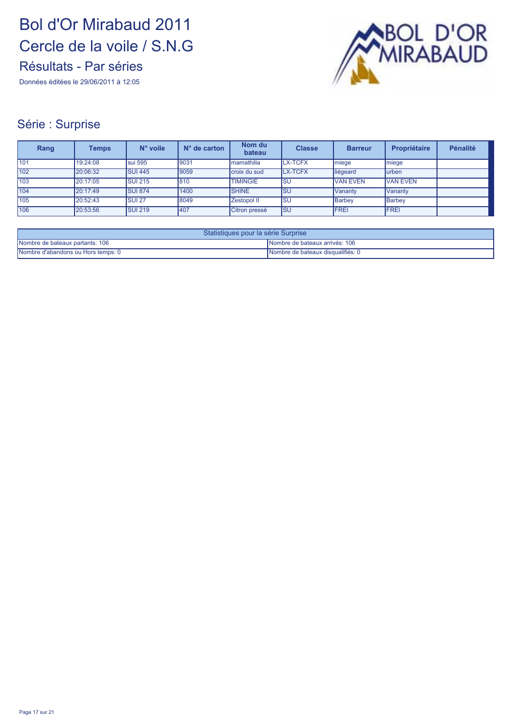Données éditées le 29/06/2011 à 12:05



#### Série : Surprise

| Rang | <b>Temps</b> | $N^{\circ}$ voile | $N°$ de carton | Nom du<br>bateau | <b>Classe</b>  | <b>Barreur</b>  | Propriétaire    | Pénalité |
|------|--------------|-------------------|----------------|------------------|----------------|-----------------|-----------------|----------|
| 101  | 19:24:08     | sui 595           | 9031           | Imamathilia      | <b>LX-TCFX</b> | <b>Imiege</b>   | miege           |          |
| 102  | 20:06:32     | <b>SUI 445</b>    | 9059           | croix du sud     | <b>LX-TCFX</b> | liégeard        | lurben          |          |
| 103  | 20:17:05     | <b>SUI 215</b>    | 810            | <b>TIMINGIE</b>  | lsu            | <b>VAN EVEN</b> | <b>VAN EVEN</b> |          |
| 104  | 20:17:49     | <b>SUI 874</b>    | 1400           | <b>SHINE</b>     | <b>ISU</b>     | Vananty         | Vananty         |          |
| 105  | 20:52:43     | SUI <sub>27</sub> | 8049           | Zestopol II      | lsu            | <b>Barbey</b>   | Barbev          |          |
| 106  | 20:53:56     | <b>SUI 219</b>    | 407            | Citron pressé    | Isu            | <b>IFREI</b>    | <b>FREI</b>     |          |

| Statistiques pour la série Surprise                               |                                   |  |  |  |
|-------------------------------------------------------------------|-----------------------------------|--|--|--|
| Nombre de bateaux partants: 106<br>Nombre de bateaux arrivés: 106 |                                   |  |  |  |
| Nombre d'abandons ou Hors temps: 0                                | Nombre de bateaux disqualifiés: 0 |  |  |  |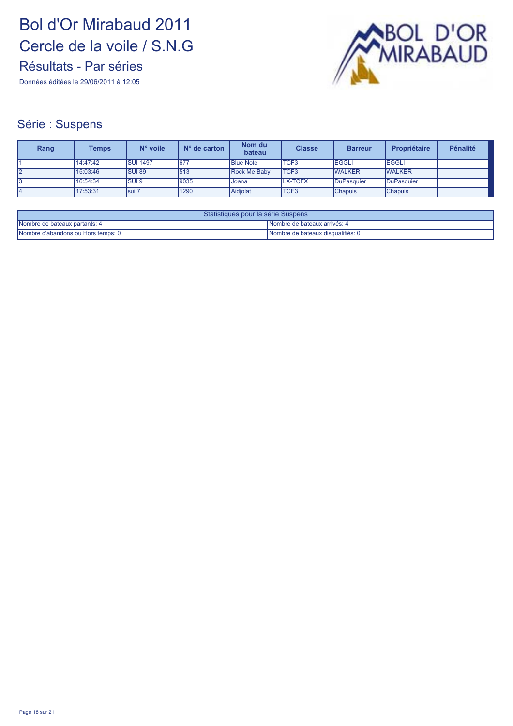Données éditées le 29/06/2011 à 12:05



#### Série : Suspens

| Rang | Temps    | N° voile        | $N^{\circ}$ de carton | Nom du<br>bateau    | <b>Classe</b>  | <b>Barreur</b> | Propriétaire   | <b>Pénalité</b> |
|------|----------|-----------------|-----------------------|---------------------|----------------|----------------|----------------|-----------------|
|      | 14:47:42 | <b>SUI 1497</b> | 677                   | <b>Blue Note</b>    | <b>TCF3</b>    | <b>EGGLI</b>   | <b>IEGGLI</b>  |                 |
| 12   | 15:03:46 | <b>SUI 89</b>   | 513                   | <b>Rock Me Baby</b> | <b>TCF3</b>    | <b>WALKER</b>  | <b>WALKER</b>  |                 |
| I3   | 16:54:34 | <b>SUI 9</b>    | 9035                  | IJoana              | <b>LX-TCFX</b> | DuPasquier     | DuPasquier     |                 |
|      | 17:53:31 | Isui 7          | 1290                  | Aidjolat            | <b>TCF3</b>    | <b>Chapuis</b> | <b>Chapuis</b> |                 |

| Statistiques pour la série Suspens |                                     |  |  |  |
|------------------------------------|-------------------------------------|--|--|--|
| Nombre de bateaux partants: 4      | <b>Nombre de bateaux arrivés: 4</b> |  |  |  |
| Nombre d'abandons ou Hors temps: 0 | INombre de bateaux disqualifiés: 0  |  |  |  |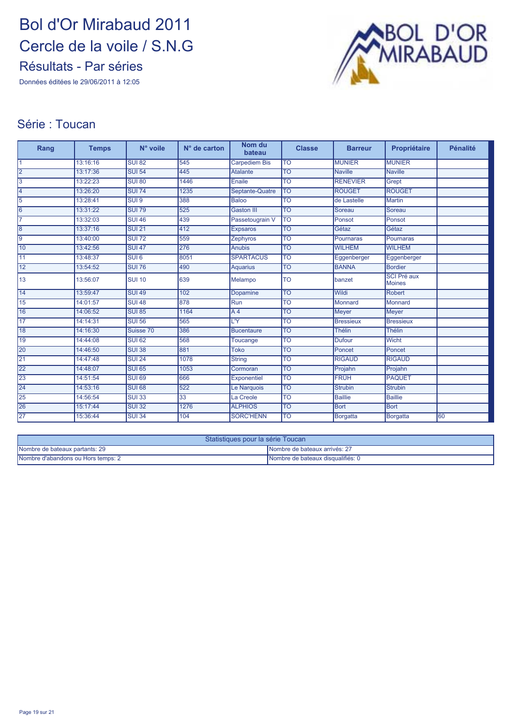Données éditées le 29/06/2011 à 12:05



#### Série : Toucan

| Rang            | <b>Temps</b> | N° voile         | N° de carton | Nom du<br>bateau     | <b>Classe</b>   | <b>Barreur</b>   | Propriétaire                        | Pénalité |
|-----------------|--------------|------------------|--------------|----------------------|-----------------|------------------|-------------------------------------|----------|
| $\overline{1}$  | 13:16:16     | <b>SUI 82</b>    | 545          | <b>Carpediem Bis</b> | <b>TO</b>       | <b>MUNIER</b>    | <b>MUNIER</b>                       |          |
| $\overline{2}$  | 13:17:36     | <b>SUI 54</b>    | 445          | <b>Atalante</b>      | <b>TO</b>       | <b>Naville</b>   | <b>Naville</b>                      |          |
| $\overline{3}$  | 13:22:23     | <b>SUI 80</b>    | 1446         | Enaile               | TO              | <b>RENEVIER</b>  | Grept                               |          |
| $\overline{4}$  | 13:26:20     | <b>SUI 74</b>    | 1235         | Septante-Quatre      | <b>TO</b>       | <b>ROUGET</b>    | <b>ROUGET</b>                       |          |
| 5               | 13:28:41     | SUI <sub>9</sub> | 388          | <b>Baloo</b>         | $\overline{10}$ | de Lastelle      | <b>Martin</b>                       |          |
| $\overline{6}$  | 13:31:22     | <b>SUI 79</b>    | 525          | <b>Gaston III</b>    | <b>TO</b>       | Soreau           | Soreau                              |          |
| 17              | 13:32:03     | <b>SUI 46</b>    | 439          | Passetougrain V      | lto             | Ponsot           | Ponsot                              |          |
| $\overline{8}$  | 13:37:16     | <b>SUI 21</b>    | 412          | <b>Expsaros</b>      | <b>TO</b>       | Gétaz            | Gétaz                               |          |
| $\overline{9}$  | 13:40:00     | <b>SUI 72</b>    | 559          | Zephyros             | <b>TO</b>       | Pournaras        | Pournaras                           |          |
| 10              | 13:42:56     | <b>SUI 47</b>    | 276          | <b>Anubis</b>        | <b>TO</b>       | <b>WILHEM</b>    | <b>WILHEM</b>                       |          |
| 11              | 13:48:37     | SUI6             | 8051         | <b>SPARTACUS</b>     | <b>TO</b>       | Eggenberger      | Eggenberger                         |          |
| $\overline{12}$ | 13:54:52     | <b>SUI 76</b>    | 490          | Aquarius             | $\overline{10}$ | <b>BANNA</b>     | <b>Bordier</b>                      |          |
| 13              | 13:56:07     | <b>SUI 10</b>    | 639          | Melampo              | <b>TO</b>       | banzet           | <b>SCI Pré aux</b><br><b>Moines</b> |          |
| $\overline{14}$ | 13:59:47     | <b>SUI 49</b>    | 102          | Dopamine             | <b>TO</b>       | Wildi            | Robert                              |          |
| 15              | 14:01:57     | <b>SUI 48</b>    | 878          | Run                  | <b>TO</b>       | Monnard          | Monnard                             |          |
| 16              | 14:06:52     | <b>SUI 85</b>    | 1164         | A <sub>4</sub>       | <b>TO</b>       | <b>Meyer</b>     | <b>Meyer</b>                        |          |
| $\overline{17}$ | 14:14:31     | <b>SUI 56</b>    | 565          | L'Y                  | TO              | <b>Bressieux</b> | <b>Bressieux</b>                    |          |
| 18              | 14:16:30     | Suisse 70        | 386          | <b>Bucentaure</b>    | <b>TO</b>       | <b>Thélin</b>    | Thélin                              |          |
| 19              | 14:44:08     | <b>SUI 62</b>    | 568          | Toucange             | <b>TO</b>       | <b>Dufour</b>    | Wicht                               |          |
| 20              | 14:46:50     | <b>SUI 38</b>    | 881          | <b>Toko</b>          | <b>TO</b>       | Poncet           | Poncet                              |          |
| $\overline{21}$ | 14:47:48     | <b>SUI 24</b>    | 1078         | <b>String</b>        | <b>TO</b>       | <b>RIGAUD</b>    | <b>RIGAUD</b>                       |          |
| 22              | 14:48:07     | <b>SUI 65</b>    | 1053         | Cormoran             | <b>TO</b>       | Projahn          | Projahn                             |          |
| 23              | 14:51:54     | <b>SUI 69</b>    | 666          | <b>Exponentiel</b>   | <b>TO</b>       | <b>FRÜH</b>      | <b>PAQUET</b>                       |          |
| $\overline{24}$ | 14:53:16     | <b>SUI 68</b>    | 522          | Le Narquois          | <b>TO</b>       | <b>Strubin</b>   | <b>Strubin</b>                      |          |
| 25              | 14:56:54     | <b>SUI 33</b>    | 33           | La Creole            | <b>TO</b>       | <b>Baillie</b>   | <b>Baillie</b>                      |          |
| 26              | 15:17:44     | <b>SUI 32</b>    | 1276         | <b>ALPHIOS</b>       | <b>TO</b>       | <b>Bort</b>      | <b>Bort</b>                         |          |
| $\overline{27}$ | 15:36:44     | <b>SUI 34</b>    | 104          | <b>SORC'HENN</b>     | <b>TO</b>       | Borgatta         | <b>Borgatta</b>                     | 60       |

| Statistiques pour la série Toucan  |                                   |  |  |  |
|------------------------------------|-----------------------------------|--|--|--|
| Nombre de bateaux partants: 29     | INombre de bateaux arrivés: 27    |  |  |  |
| Nombre d'abandons ou Hors temps: 2 | Nombre de bateaux disqualifiés: 0 |  |  |  |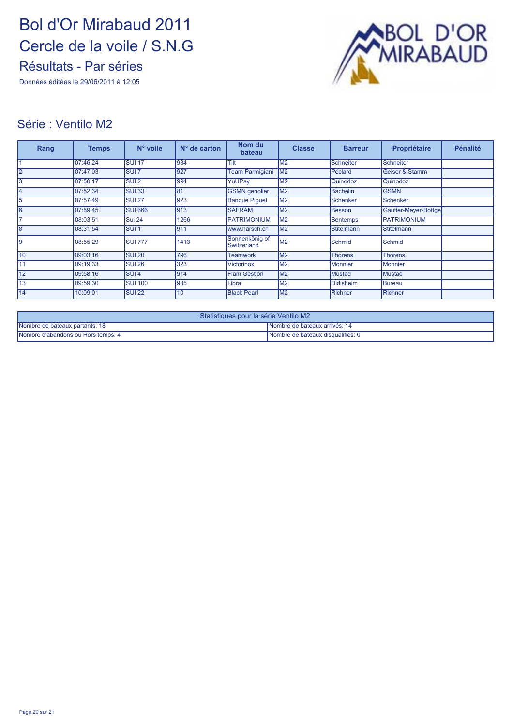Données éditées le 29/06/2011 à 12:05



#### Série : Ventilo M2

| Rang            | <b>Temps</b> | N° voile                  | $N°$ de carton | Nom du<br>bateau              | <b>Classe</b>  | <b>Barreur</b>    | Propriétaire         | Pénalité |
|-----------------|--------------|---------------------------|----------------|-------------------------------|----------------|-------------------|----------------------|----------|
|                 | 07:46:24     | <b>SUI 17</b>             | 934            | Tilt                          | M <sub>2</sub> | Schneiter         | Schneiter            |          |
| 2               | 07:47:03     | <b>ISUI 7</b>             | 927            | <b>Team Parmigiani</b>        | IM2            | Péclard           | Geiser & Stamm       |          |
| 3               | 07:50:17     | $\overline{\text{SUI 2}}$ | 994            | YuUPay                        | M <sub>2</sub> | Quinodoz          | Quinodoz             |          |
| 14              | 07:52:34     | <b>SUI 33</b>             | 81             | <b>GSMN</b> genolier          | M <sub>2</sub> | <b>Bachelin</b>   | <b>GSMN</b>          |          |
| 5               | 07:57:49     | <b>SUI 27</b>             | 923            | <b>Banque Piguet</b>          | M2             | Schenker          | Schenker             |          |
| 6               | 07:59:45     | <b>SUI 666</b>            | 913            | <b>SAFRAM</b>                 | M2             | Besson            | Gautier-Meyer-Bottge |          |
|                 | 08:03:51     | <b>Sui 24</b>             | 1266           | <b>PATRIMONIUM</b>            | M <sub>2</sub> | Bontemps          | <b>PATRIMONIUM</b>   |          |
| 8               | 08:31:54     | <b>SUI1</b>               | 911            | www.harsch.ch                 | M <sub>2</sub> | <b>Stitelmann</b> | <b>Stitelmann</b>    |          |
| 19              | 08:55:29     | <b>SUI 777</b>            | 1413           | Sonnenkönig of<br>Switzerland | M <sub>2</sub> | Schmid            | Schmid               |          |
| $\overline{10}$ | 09:03:16     | <b>SUI 20</b>             | 796            | <b>Teamwork</b>               | M2             | <b>Thorens</b>    | Thorens              |          |
| $\overline{11}$ | 09:19:33     | <b>SUI 26</b>             | 323            | <b>Victorinox</b>             | M <sub>2</sub> | <b>Monnier</b>    | Monnier              |          |
| 12              | 09:58:16     | <b>SUI4</b>               | 914            | <b>Flam Gestion</b>           | M2             | Mustad            | <b>Mustad</b>        |          |
| 13              | 09:59:30     | <b>SUI 100</b>            | 935            | Libra                         | M <sub>2</sub> | <b>Didisheim</b>  | <b>Bureau</b>        |          |
| 14              | 10:09:01     | <b>SUI 22</b>             | 10             | <b>Black Pearl</b>            | M <sub>2</sub> | Richner           | Richner              |          |

| Statistiques pour la série Ventilo M2                           |                                   |  |  |  |
|-----------------------------------------------------------------|-----------------------------------|--|--|--|
| Nombre de bateaux partants: 18<br>Nombre de bateaux arrivés: 14 |                                   |  |  |  |
| Nombre d'abandons ou Hors temps: 4                              | Nombre de bateaux disqualifiés: 0 |  |  |  |